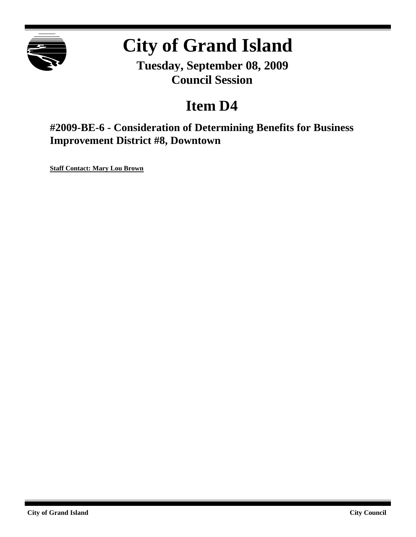

# **City of Grand Island**

**Tuesday, September 08, 2009 Council Session**

## **Item D4**

**#2009-BE-6 - Consideration of Determining Benefits for Business Improvement District #8, Downtown**

**Staff Contact: Mary Lou Brown**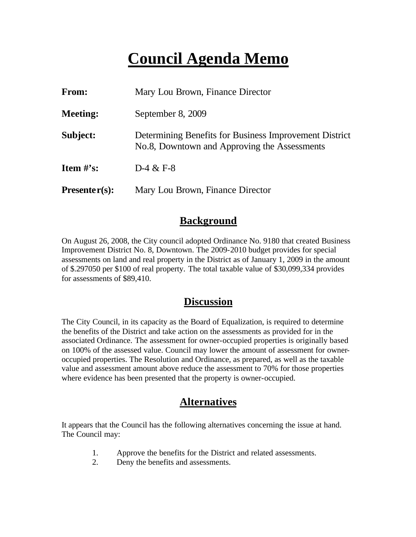## **Council Agenda Memo**

| From:           | Mary Lou Brown, Finance Director                                                                       |
|-----------------|--------------------------------------------------------------------------------------------------------|
| <b>Meeting:</b> | September 8, 2009                                                                                      |
| Subject:        | Determining Benefits for Business Improvement District<br>No.8, Downtown and Approving the Assessments |
| Item $\#$ 's:   | $D-4 & E-8$                                                                                            |
| $Presenter(s):$ | Mary Lou Brown, Finance Director                                                                       |

### **Background**

On August 26, 2008, the City council adopted Ordinance No. 9180 that created Business Improvement District No. 8, Downtown. The 2009-2010 budget provides for special assessments on land and real property in the District as of January 1, 2009 in the amount of \$.297050 per \$100 of real property. The total taxable value of \$30,099,334 provides for assessments of \$89,410.

### **Discussion**

The City Council, in its capacity as the Board of Equalization, is required to determine the benefits of the District and take action on the assessments as provided for in the associated Ordinance. The assessment for owner-occupied properties is originally based on 100% of the assessed value. Council may lower the amount of assessment for owneroccupied properties. The Resolution and Ordinance, as prepared, as well as the taxable value and assessment amount above reduce the assessment to 70% for those properties where evidence has been presented that the property is owner-occupied.

## **Alternatives**

It appears that the Council has the following alternatives concerning the issue at hand. The Council may:

- 1. Approve the benefits for the District and related assessments.
- 2. Deny the benefits and assessments.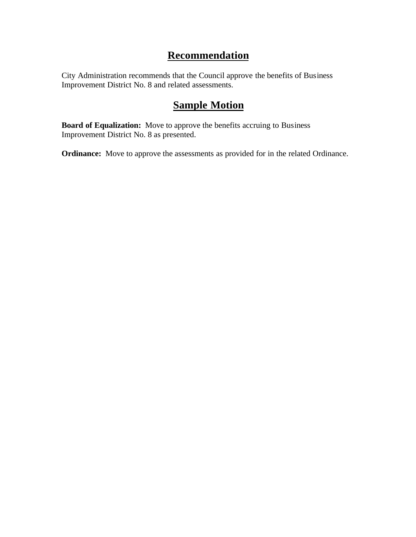## **Recommendation**

City Administration recommends that the Council approve the benefits of Business Improvement District No. 8 and related assessments.

## **Sample Motion**

**Board of Equalization:** Move to approve the benefits accruing to Business Improvement District No. 8 as presented.

**Ordinance:** Move to approve the assessments as provided for in the related Ordinance.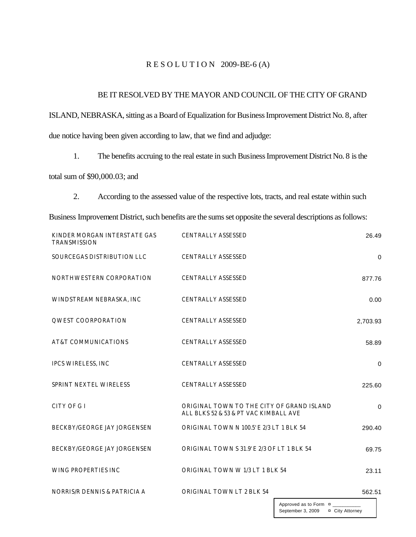#### BE IT RESOLVED BY THE MAYOR AND COUNCIL OF THE CITY OF GRAND

ISLAND, NEBRASKA, sitting as a Board of Equalization for Business Improvement District No. 8, after due notice having been given according to law, that we find and adjudge:

1. The benefits accruing to the real estate in such Business Improvement District No. 8 is the total sum of \$90,000.03; and

2. According to the assessed value of the respective lots, tracts, and real estate within such

Business Improvement District, such benefits are the sums set opposite the several descriptions as follows:

| KINDER MORGAN INTERSTATE GAS<br><b>TRANSMISSION</b> | <b>CENTRALLY ASSESSED</b>                                                          | 26.49    |
|-----------------------------------------------------|------------------------------------------------------------------------------------|----------|
| SOURCEGAS DISTRIBUTION LLC                          | <b>CENTRALLY ASSESSED</b>                                                          | $\Omega$ |
| NORTHWESTERN CORPORATION                            | <b>CENTRALLY ASSESSED</b>                                                          | 877.76   |
| WINDSTREAM NEBRASKA, INC                            | <b>CENTRALLY ASSESSED</b>                                                          | 0.00     |
| QWEST COORPORATION                                  | <b>CENTRALLY ASSESSED</b>                                                          | 2,703.93 |
| AT&T COMMUNICATIONS                                 | <b>CENTRALLY ASSESSED</b>                                                          | 58.89    |
| <b>IPCS WIRELESS, INC</b>                           | <b>CENTRALLY ASSESSED</b>                                                          | $\Omega$ |
| SPRINT NEXTEL WIRELESS                              | <b>CENTRALLY ASSESSED</b>                                                          | 225.60   |
| CITY OF GI                                          | ORIGINAL TOWN TO THE CITY OF GRAND ISLAND<br>ALL BLKS 52 & 53 & PT VAC KIMBALL AVE | $\Omega$ |
| BECKBY/GEORGE JAY JORGENSEN                         | ORIGINAL TOWN N 100.5' E 2/3 LT 1 BLK 54                                           | 290.40   |
| BECKBY/GEORGE JAY JORGENSEN                         | ORIGINAL TOWN S 31.9' E 2/3 OF LT 1 BLK 54                                         | 69.75    |
| WING PROPERTIES INC                                 | ORIGINAL TOWN W 1/3 LT 1 BLK 54                                                    | 23.11    |
| NORRIS/R DENNIS & PATRICIA A                        | ORIGINAL TOWN LT 2 BLK 54                                                          | 562.51   |

Approved as to Form  $\Box$ September 3, 2009 ¤ City Attorney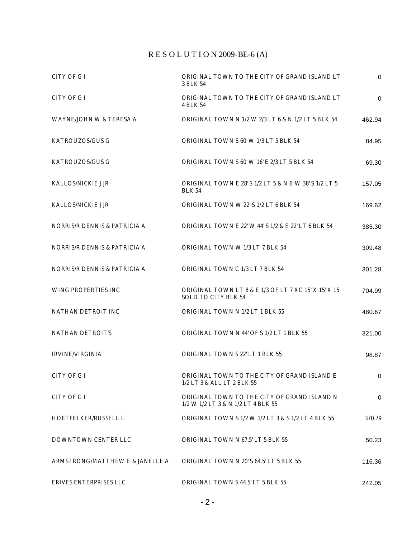| CITY OF GI                      | ORIGINAL TOWN TO THE CITY OF GRAND ISLAND LT<br>3 BLK 54                          | $\mathbf 0$ |
|---------------------------------|-----------------------------------------------------------------------------------|-------------|
| CITY OF G I                     | ORIGINAL TOWN TO THE CITY OF GRAND ISLAND LT<br>4 BLK 54                          | $\mathbf 0$ |
| WAYNE/JOHN W & TERESA A         | ORIGINAL TOWN N 1/2 W 2/3 LT 6 & N 1/2 LT 5 BLK 54                                | 462.94      |
| KATROUZOS/GUS G                 | ORIGINAL TOWN S 60' W 1/3 LT 5 BLK 54                                             | 84.95       |
| KATROUZOS/GUS G                 | ORIGINAL TOWN S 60' W 16' E 2/3 LT 5 BLK 54                                       | 69.30       |
| KALLOS/NICKIE J JR              | ORIGINAL TOWN E 28' S 1/2 LT 5 & N 6' W 38' S 1/2 LT 5<br><b>BLK 54</b>           | 157.05      |
| KALLOS/NICKIE J JR              | ORIGINAL TOWN W 22' S 1/2 LT 6 BLK 54                                             | 169.62      |
| NORRIS/R DENNIS & PATRICIA A    | ORIGINAL TOWN E 22' W 44' S 1/2 & E 22' LT 6 BLK 54                               | 385.30      |
| NORRIS/R DENNIS & PATRICIA A    | ORIGINAL TOWN W 1/3 LT 7 BLK 54                                                   | 309.48      |
| NORRIS/R DENNIS & PATRICIA A    | ORIGINAL TOWN C 1/3 LT 7 BLK 54                                                   | 301.28      |
| WING PROPERTIES INC             | ORIGINAL TOWN LT 8 & E 1/3 OF LT 7 XC 15' X 15' X 15'<br>SOLD TO CITY BLK 54      | 704.99      |
| NATHAN DETROIT INC              | ORIGINAL TOWN N 1/2 LT 1 BLK 55                                                   | 480.67      |
| NATHAN DETROIT'S                | ORIGINAL TOWN N 44' OF S 1/2 LT 1 BLK 55                                          | 321.00      |
| <b>IRVINE/VIRGINIA</b>          | ORIGINAL TOWN S 22' LT 1 BLK 55                                                   | 98.87       |
| CITY OF G I                     | ORIGINAL TOWN TO THE CITY OF GRAND ISLAND E<br>1/2 LT 3 & ALL LT 2 BLK 55         | 0           |
| CITY OF GI                      | ORIGINAL TOWN TO THE CITY OF GRAND ISLAND N<br>1/2 W 1/2 LT 3 & N 1/2 LT 4 BLK 55 | 0           |
| HOETFELKER/RUSSELL L            | ORIGINAL TOWN S 1/2 W 1/2 LT 3 & S 1/2 LT 4 BLK 55                                | 370.79      |
| DOWNTOWN CENTER LLC             | ORIGINAL TOWN N 67.5' LT 5 BLK 55                                                 | 50.23       |
| ARMSTRONG/MATTHEW E & JANELLE A | ORIGINAL TOWN N 20' S 64.5' LT 5 BLK 55                                           | 116.36      |
| ERIVES ENTERPRISES LLC          | ORIGINAL TOWN S 44.5' LT 5 BLK 55                                                 | 242.05      |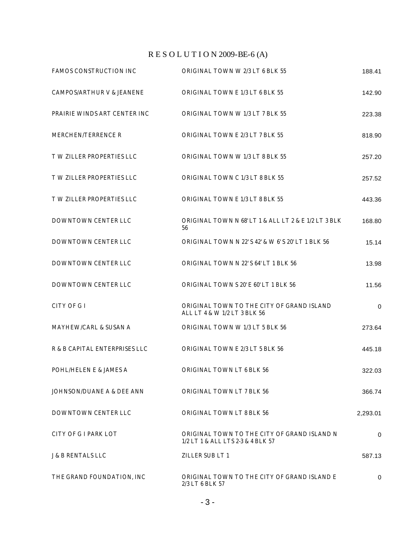| FAMOS CONSTRUCTION INC               | ORIGINAL TOWN W 2/3 LT 6 BLK 55                                                  | 188.41   |
|--------------------------------------|----------------------------------------------------------------------------------|----------|
| <b>CAMPOS/ARTHUR V &amp; JEANENE</b> | ORIGINAL TOWN E 1/3 LT 6 BLK 55                                                  | 142.90   |
| PRAIRIE WINDS ART CENTER INC         | ORIGINAL TOWN W 1/3 LT 7 BLK 55                                                  | 223.38   |
| MERCHEN/TERRENCE R                   | ORIGINAL TOWN E 2/3 LT 7 BLK 55                                                  | 818.90   |
| T W ZILLER PROPERTIES LLC            | ORIGINAL TOWN W 1/3 LT 8 BLK 55                                                  | 257.20   |
| T W ZILLER PROPERTIES LLC            | ORIGINAL TOWN C 1/3 LT 8 BLK 55                                                  | 257.52   |
| T W ZILLER PROPERTIES LLC            | ORIGINAL TOWN E 1/3 LT 8 BLK 55                                                  | 443.36   |
| DOWNTOWN CENTER LLC                  | ORIGINAL TOWN N 68' LT 1 & ALL LT 2 & E 1/2 LT 3 BLK<br>56                       | 168.80   |
| DOWNTOWN CENTER LLC                  | ORIGINAL TOWN N 22' S 42' & W 6' S 20' LT 1 BLK 56                               | 15.14    |
| DOWNTOWN CENTER LLC                  | ORIGINAL TOWN N 22' S 64' LT 1 BLK 56                                            | 13.98    |
| DOWNTOWN CENTER LLC                  | ORIGINAL TOWN S 20' E 60' LT 1 BLK 56                                            | 11.56    |
| CITY OF GI                           | ORIGINAL TOWN TO THE CITY OF GRAND ISLAND<br>ALL LT 4 & W 1/2 LT 3 BLK 56        | 0        |
| <b>MAYHEW/CARL &amp; SUSAN A</b>     | ORIGINAL TOWN W 1/3 LT 5 BLK 56                                                  | 273.64   |
| R & B CAPITAL ENTERPRISES LLC        | ORIGINAL TOWN E 2/3 LT 5 BLK 56                                                  | 445.18   |
| POHL/HELEN E & JAMES A               | ORIGINAL TOWN LT 6 BLK 56                                                        | 322.03   |
| JOHNSON/DUANE A & DEE ANN            | ORIGINAL TOWN LT 7 BLK 56                                                        | 366.74   |
| DOWNTOWN CENTER LLC                  | ORIGINAL TOWN LT 8 BLK 56                                                        | 2,293.01 |
| CITY OF G I PARK LOT                 | ORIGINAL TOWN TO THE CITY OF GRAND ISLAND N<br>1/2 LT 1 & ALL LTS 2-3 & 4 BLK 57 | 0        |
| <b>J &amp; B RENTALS LLC</b>         | ZILLER SUBLT1                                                                    | 587.13   |
| THE GRAND FOUNDATION, INC            | ORIGINAL TOWN TO THE CITY OF GRAND ISLAND E<br>2/3 LT 6 BLK 57                   | 0        |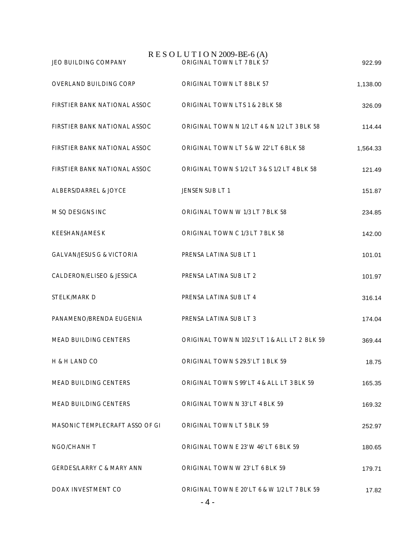| JEO BUILDING COMPANY                 | $R E S O L U T I O N 2009-BE-6 (A)$<br>ORIGINAL TOWN LT 7 BLK 57 | 922.99   |
|--------------------------------------|------------------------------------------------------------------|----------|
| OVERLAND BUILDING CORP               | ORIGINAL TOWN LT 8 BLK 57                                        | 1,138.00 |
| FIRSTIER BANK NATIONAL ASSOC         | ORIGINAL TOWN LTS 1 & 2 BLK 58                                   | 326.09   |
| FIRSTIER BANK NATIONAL ASSOC         | ORIGINAL TOWN N 1/2 LT 4 & N 1/2 LT 3 BLK 58                     | 114.44   |
| FIRSTIER BANK NATIONAL ASSOC         | ORIGINAL TOWN LT 5 & W 22' LT 6 BLK 58                           | 1,564.33 |
| FIRSTIER BANK NATIONAL ASSOC         | ORIGINAL TOWN S 1/2 LT 3 & S 1/2 LT 4 BLK 58                     | 121.49   |
| <b>ALBERS/DARREL &amp; JOYCE</b>     | JENSEN SUB LT 1                                                  | 151.87   |
| M SQ DESIGNS INC                     | ORIGINAL TOWN W 1/3 LT 7 BLK 58                                  | 234.85   |
| <b>KEESHAN/JAMES K</b>               | ORIGINAL TOWN C 1/3 LT 7 BLK 58                                  | 142.00   |
| <b>GALVAN/JESUS G &amp; VICTORIA</b> | PRENSA LATINA SUB LT 1                                           | 101.01   |
| <b>CALDERON/ELISEO &amp; JESSICA</b> | PRENSA LATINA SUB LT 2                                           | 101.97   |
| STELK/MARK D                         | PRENSA LATINA SUB LT 4                                           | 316.14   |
| PANAMENO/BRENDA EUGENIA              | PRENSA LATINA SUB LT 3                                           | 174.04   |
| <b>MEAD BUILDING CENTERS</b>         | ORIGINAL TOWN N 102.5' LT 1 & ALL LT 2 BLK 59                    | 369.44   |
| H & H LAND CO                        | ORIGINAL TOWN S 29.5' LT 1 BLK 59                                | 18.75    |
| MEAD BUILDING CENTERS                | ORIGINAL TOWN S 99' LT 4 & ALL LT 3 BLK 59                       | 165.35   |
| MEAD BUILDING CENTERS                | ORIGINAL TOWN N 33' LT 4 BLK 59                                  | 169.32   |
| MASONIC TEMPLECRAFT ASSO OF GI       | ORIGINAL TOWN LT 5 BLK 59                                        | 252.97   |
| NGO/CHANH T                          | ORIGINAL TOWN E 23' W 46' LT 6 BLK 59                            | 180.65   |
| <b>GERDES/LARRY C &amp; MARY ANN</b> | ORIGINAL TOWN W 23' LT 6 BLK 59                                  | 179.71   |
| DOAX INVESTMENT CO                   | ORIGINAL TOWN E 20' LT 6 & W 1/2 LT 7 BLK 59<br>$-4-$            | 17.82    |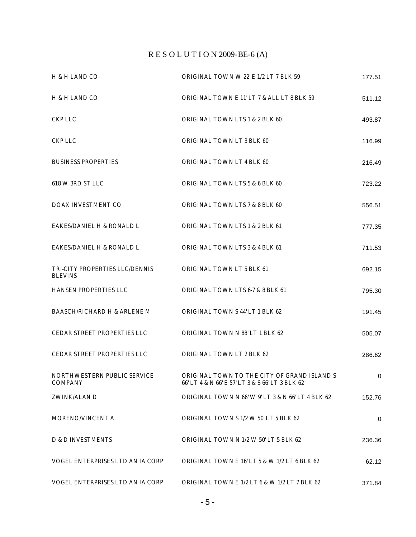| H & H LAND CO                                    | ORIGINAL TOWN W 22' E 1/2 LT 7 BLK 59                                                          | 177.51 |
|--------------------------------------------------|------------------------------------------------------------------------------------------------|--------|
| H & H LAND CO                                    | ORIGINAL TOWN E 11' LT 7 & ALL LT 8 BLK 59                                                     | 511.12 |
| CKP LLC                                          | ORIGINAL TOWN LTS 1 & 2 BLK 60                                                                 | 493.87 |
| <b>CKP LLC</b>                                   | ORIGINAL TOWN LT 3 BLK 60                                                                      | 116.99 |
| <b>BUSINESS PROPERTIES</b>                       | ORIGINAL TOWN LT 4 BLK 60                                                                      | 216.49 |
| 618 W 3RD ST LLC                                 | ORIGINAL TOWN LTS 5 & 6 BLK 60                                                                 | 723.22 |
| DOAX INVESTMENT CO                               | ORIGINAL TOWN LTS 7 & 8 BLK 60                                                                 | 556.51 |
| EAKES/DANIEL H & RONALD L                        | ORIGINAL TOWN LTS 1 & 2 BLK 61                                                                 | 777.35 |
| EAKES/DANIEL H & RONALD L                        | ORIGINAL TOWN LTS 3 & 4 BLK 61                                                                 | 711.53 |
| TRI-CITY PROPERTIES LLC/DENNIS<br><b>BLEVINS</b> | ORIGINAL TOWN LT 5 BLK 61                                                                      | 692.15 |
| HANSEN PROPERTIES LLC                            | ORIGINAL TOWN LTS 6-7 & 8 BLK 61                                                               | 795.30 |
| BAASCH/RICHARD H & ARLENE M                      | ORIGINAL TOWN S 44' LT 1 BLK 62                                                                | 191.45 |
| CEDAR STREET PROPERTIES LLC                      | ORIGINAL TOWN N 88' LT 1 BLK 62                                                                | 505.07 |
| CEDAR STREET PROPERTIES LLC                      | ORIGINAL TOWN LT 2 BLK 62                                                                      | 286.62 |
| NORTHWESTERN PUBLIC SERVICE<br><b>COMPANY</b>    | ORIGINAL TOWN TO THE CITY OF GRAND ISLAND S<br>66' LT 4 & N 66' E 57' LT 3 & S 66' LT 3 BLK 62 | 0      |
| ZWINK/ALAN D                                     | ORIGINAL TOWN N 66' W 9' LT 3 & N 66' LT 4 BLK 62                                              | 152.76 |
| MORENO/VINCENT A                                 | ORIGINAL TOWN S 1/2 W 50'LT 5 BLK 62                                                           | 0      |
| D & D INVESTMENTS                                | ORIGINAL TOWN N 1/2 W 50' LT 5 BLK 62                                                          | 236.36 |
| VOGEL ENTERPRISES LTD AN IA CORP                 | ORIGINAL TOWN E 16' LT 5 & W 1/2 LT 6 BLK 62                                                   | 62.12  |
| VOGEL ENTERPRISES LTD AN IA CORP                 | ORIGINAL TOWN E 1/2 LT 6 & W 1/2 LT 7 BLK 62                                                   | 371.84 |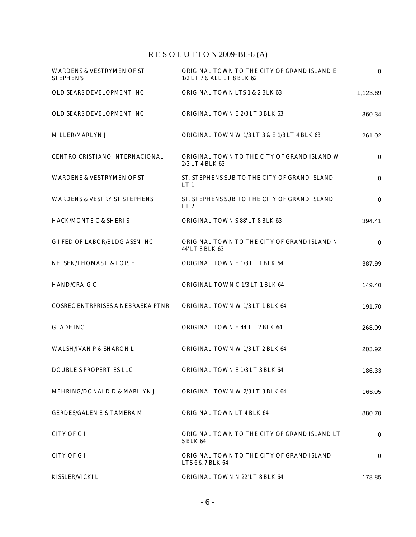| <b>WARDENS &amp; VESTRYMEN OF ST</b><br><b>STEPHEN'S</b> | ORIGINAL TOWN TO THE CITY OF GRAND ISLAND E<br>1/2 LT 7 & ALL LT 8 BLK 62 | $\mathbf 0$ |
|----------------------------------------------------------|---------------------------------------------------------------------------|-------------|
| OLD SEARS DEVELOPMENT INC                                | ORIGINAL TOWN LTS 1 & 2 BLK 63                                            | 1,123.69    |
| OLD SEARS DEVELOPMENT INC                                | ORIGINAL TOWN E 2/3 LT 3 BLK 63                                           | 360.34      |
| MILLER/MARLYN J                                          | ORIGINAL TOWN W 1/3 LT 3 & E 1/3 LT 4 BLK 63                              | 261.02      |
| CENTRO CRISTIANO INTERNACIONAL                           | ORIGINAL TOWN TO THE CITY OF GRAND ISLAND W<br>2/3 LT 4 BLK 63            | 0           |
| WARDENS & VESTRYMEN OF ST                                | ST. STEPHENS SUB TO THE CITY OF GRAND ISLAND<br>LT <sub>1</sub>           | $\mathbf 0$ |
| <b>WARDENS &amp; VESTRY ST STEPHENS</b>                  | ST. STEPHENS SUB TO THE CITY OF GRAND ISLAND<br>LT <sub>2</sub>           | 0           |
| <b>HACK/MONTE C &amp; SHERI S</b>                        | ORIGINAL TOWN S 88' LT 8 BLK 63                                           | 394.41      |
| G I FED OF LABOR/BLDG ASSN INC                           | ORIGINAL TOWN TO THE CITY OF GRAND ISLAND N<br>44' LT 8 BLK 63            | 0           |
| NELSEN/THOMAS L & LOIS E                                 | ORIGINAL TOWN E 1/3 LT 1 BLK 64                                           | 387.99      |
| <b>HAND/CRAIG C</b>                                      | ORIGINAL TOWN C 1/3 LT 1 BLK 64                                           | 149.40      |
| COSREC ENTRPRISES A NEBRASKA PTNR                        | ORIGINAL TOWN W 1/3 LT 1 BLK 64                                           | 191.70      |
| <b>GLADE INC</b>                                         | ORIGINAL TOWN E 44' LT 2 BLK 64                                           | 268.09      |
| <b>WALSH/IVAN P &amp; SHARON L</b>                       | ORIGINAL TOWN W 1/3 LT 2 BLK 64                                           | 203.92      |
| DOUBLE S PROPERTIES LLC                                  | ORIGINAL TOWN E 1/3 LT 3 BLK 64                                           | 186.33      |
| MEHRING/DONALD D & MARILYN J                             | ORIGINAL TOWN W 2/3 LT 3 BLK 64                                           | 166.05      |
| <b>GERDES/GALEN E &amp; TAMERA M</b>                     | ORIGINAL TOWN LT 4 BLK 64                                                 | 880.70      |
| CITY OF GI                                               | ORIGINAL TOWN TO THE CITY OF GRAND ISLAND LT<br>5 BLK 64                  | $\Omega$    |
| CITY OF GI                                               | ORIGINAL TOWN TO THE CITY OF GRAND ISLAND<br>LTS 6 & 7 BLK 64             | 0           |
| KISSLER/VICKI L                                          | ORIGINAL TOWN N 22' LT 8 BLK 64                                           | 178.85      |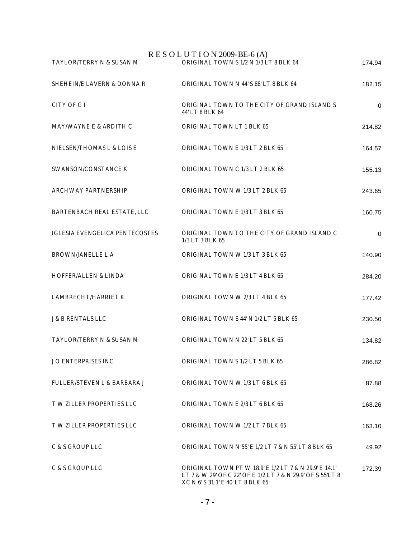|                                       | $R E S O L U T I O N 2009-BE-6 (A)$<br>ORIGINAL TOWN S 1/2 N 1/3 LT 8 BLK 64                                                                             |             |
|---------------------------------------|----------------------------------------------------------------------------------------------------------------------------------------------------------|-------------|
| TAYLOR/TERRY N & SUSAN M              |                                                                                                                                                          | 174.94      |
| <b>SHEHEIN/E LAVERN &amp; DONNA R</b> | ORIGINAL TOWN N 44' S 88' LT 8 BLK 64                                                                                                                    | 182.15      |
| CITY OF G I                           | ORIGINAL TOWN TO THE CITY OF GRAND ISLAND S<br>44' LT 8 BLK 64                                                                                           | $\mathbf 0$ |
| MAY/WAYNE E & ARDITH C                | ORIGINAL TOWN LT 1 BLK 65                                                                                                                                | 214.82      |
| NIELSEN/THOMAS L & LOIS E             | ORIGINAL TOWN E 1/3 LT 2 BLK 65                                                                                                                          | 164.57      |
| SWANSON/CONSTANCE K                   | ORIGINAL TOWN C 1/3 LT 2 BLK 65                                                                                                                          | 155.13      |
| ARCHWAY PARTNERSHIP                   | ORIGINAL TOWN W 1/3 LT 2 BLK 65                                                                                                                          | 243.65      |
| BARTENBACH REAL ESTATE, LLC           | ORIGINAL TOWN E 1/3 LT 3 BLK 65                                                                                                                          | 160.75      |
| IGLESIA EVENGELICA PENTECOSTES        | ORIGINAL TOWN TO THE CITY OF GRAND ISLAND C<br>1/3 LT 3 BLK 65                                                                                           | $\mathbf 0$ |
| <b>BROWN/JANELLE L A</b>              | ORIGINAL TOWN W 1/3 LT 3 BLK 65                                                                                                                          | 140.90      |
| <b>HOFFER/ALLEN &amp; LINDA</b>       | ORIGINAL TOWN E 1/3 LT 4 BLK 65                                                                                                                          | 284.20      |
| LAMBRECHT/HARRIET K                   | ORIGINAL TOWN W 2/3 LT 4 BLK 65                                                                                                                          | 177.42      |
| <b>J &amp; B RENTALS LLC</b>          | ORIGINAL TOWN S 44' N 1/2 LT 5 BLK 65                                                                                                                    | 230.50      |
| TAYLOR/TERRY N & SUSAN M              | ORIGINAL TOWN N 22' LT 5 BLK 65                                                                                                                          | 134.82      |
| <b>JO ENTERPRISES INC</b>             | ORIGINAL TOWN S 1/2 LT 5 BLK 65                                                                                                                          | 286.82      |
| FULLER/STEVEN L & BARBARA J           | ORIGINAL TOWN W 1/3 LT 6 BLK 65                                                                                                                          | 87.88       |
| T W ZILLER PROPERTIES LLC             | ORIGINAL TOWN E 2/3 LT 6 BLK 65                                                                                                                          | 168.26      |
| T W ZILLER PROPERTIES LLC             | ORIGINAL TOWN W 1/2 LT 7 BLK 65                                                                                                                          | 163.10      |
| C & S GROUP LLC                       | ORIGINAL TOWN N 55' E 1/2 LT 7 & N 55' LT 8 BLK 65                                                                                                       | 49.92       |
| C & S GROUP LLC                       | ORIGINAL TOWN PT W 18.9' E 1/2 LT 7 & N 29.9' E 14.1'<br>LT 7 & W 29' OF C 22' OF E 1/2 LT 7 & N 29.9' OF S 55'LT 8<br>XC N 6' S 31.1' E 40' LT 8 BLK 65 | 172.39      |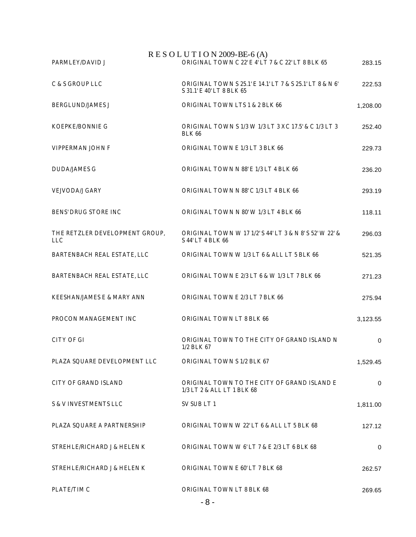|                                              | $R E S O L U T I O N 2009-BE-6 (A)$                                                   |          |
|----------------------------------------------|---------------------------------------------------------------------------------------|----------|
| PARMLEY/DAVID J                              | ORIGINAL TOWN C 22' E 4' LT 7 & C 22' LT 8 BLK 65                                     | 283.15   |
| C & S GROUP LLC                              | ORIGINAL TOWN S 25.1' E 14.1' LT 7 & S 25.1' LT 8 & N 6'<br>S 31.1' E 40' LT 8 BLK 65 | 222.53   |
| <b>BERGLUND/JAMES J</b>                      | ORIGINAL TOWN LTS 1 & 2 BLK 66                                                        | 1,208.00 |
| KOEPKE/BONNIE G                              | ORIGINAL TOWN S 1/3 W 1/3 LT 3 XC 17.5' & C 1/3 LT 3<br><b>BLK 66</b>                 | 252.40   |
| <b>VIPPERMAN JOHN F</b>                      | ORIGINAL TOWN E 1/3 LT 3 BLK 66                                                       | 229.73   |
| <b>DUDA/JAMES G</b>                          | ORIGINAL TOWN N 88' E 1/3 LT 4 BLK 66                                                 | 236.20   |
| VEJVODA/J GARY                               | ORIGINAL TOWN N 88' C 1/3 LT 4 BLK 66                                                 | 293.19   |
| BENS' DRUG STORE INC                         | ORIGINAL TOWN N 80' W 1/3 LT 4 BLK 66                                                 | 118.11   |
| THE RETZLER DEVELOPMENT GROUP,<br><b>LLC</b> | ORIGINAL TOWN W 17 1/2' S 44' LT 3 & N 8' S 52' W 22' &<br>S 44' LT 4 BLK 66          | 296.03   |
| BARTENBACH REAL ESTATE, LLC                  | ORIGINAL TOWN W 1/3 LT 6 & ALL LT 5 BLK 66                                            | 521.35   |
| BARTENBACH REAL ESTATE, LLC                  | ORIGINAL TOWN E 2/3 LT 6 & W 1/3 LT 7 BLK 66                                          | 271.23   |
| KEESHAN/JAMES E & MARY ANN                   | ORIGINAL TOWN E 2/3 LT 7 BLK 66                                                       | 275.94   |
| PROCON MANAGEMENT INC                        | ORIGINAL TOWN LT 8 BLK 66                                                             | 3,123.55 |
| CITY OF GI                                   | ORIGINAL TOWN TO THE CITY OF GRAND ISLAND N<br>1/2 BLK 67                             | 0        |
| PLAZA SQUARE DEVELOPMENT LLC                 | ORIGINAL TOWN S 1/2 BLK 67                                                            | 1,529.45 |
| CITY OF GRAND ISLAND                         | ORIGINAL TOWN TO THE CITY OF GRAND ISLAND E<br>1/3 LT 2 & ALL LT 1 BLK 68             | 0        |
| S & V INVESTMENTS LLC                        | SV SUBLT <sub>1</sub>                                                                 | 1,811.00 |
| PLAZA SQUARE A PARTNERSHIP                   | ORIGINAL TOWN W 22' LT 6 & ALL LT 5 BLK 68                                            | 127.12   |
| STREHLE/RICHARD J & HELEN K                  | ORIGINAL TOWN W 6'LT 7 & E 2/3 LT 6 BLK 68                                            | 0        |
| STREHLE/RICHARD J & HELEN K                  | ORIGINAL TOWN E 60' LT 7 BLK 68                                                       | 262.57   |
| PLATE/TIM C                                  | ORIGINAL TOWN LT 8 BLK 68<br>$-8-$                                                    | 269.65   |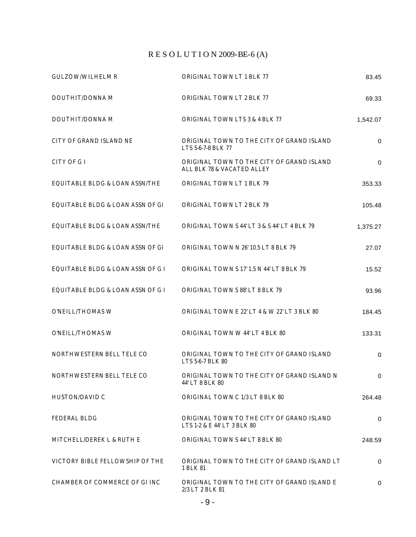| <b>GULZOW/WILHELM R</b>           | ORIGINAL TOWN LT 1 BLK 77                                                | 83.45       |
|-----------------------------------|--------------------------------------------------------------------------|-------------|
| DOUTHIT/DONNA M                   | ORIGINAL TOWN LT 2 BLK 77                                                | 69.33       |
| DOUTHIT/DONNA M                   | ORIGINAL TOWN LTS 3 & 4 BLK 77                                           | 1,542.07    |
| CITY OF GRAND ISLAND NE           | ORIGINAL TOWN TO THE CITY OF GRAND ISLAND<br>LTS 5-6-7-8 BLK 77          | 0           |
| CITY OF GI                        | ORIGINAL TOWN TO THE CITY OF GRAND ISLAND<br>ALL BLK 78 & VACATED ALLEY  | $\mathbf 0$ |
| EQUITABLE BLDG & LOAN ASSN/THE    | ORIGINAL TOWN LT 1 BLK 79                                                | 353.33      |
| EQUITABLE BLDG & LOAN ASSN OF GI  | ORIGINAL TOWN LT 2 BLK 79                                                | 105.48      |
| EQUITABLE BLDG & LOAN ASSN/THE    | ORIGINAL TOWN S 44' LT 3 & S 44' LT 4 BLK 79                             | 1,375.27    |
| EQUITABLE BLDG & LOAN ASSN OF GI  | ORIGINAL TOWN N 26' 10.5 LT 8 BLK 79                                     | 27.07       |
| EQUITABLE BLDG & LOAN ASSN OF G I | ORIGINAL TOWN S 17' 1.5 N 44' LT 8 BLK 79                                | 15.52       |
| EQUITABLE BLDG & LOAN ASSN OF G I | ORIGINAL TOWN S 88' LT 8 BLK 79                                          | 93.96       |
| <b>O'NEILL/THOMAS W</b>           | ORIGINAL TOWN E 22' LT 4 & W 22' LT 3 BLK 80                             | 184.45      |
| O'NEILL/THOMAS W                  | ORIGINAL TOWN W 44' LT 4 BLK 80                                          | 133.31      |
| NORTHWESTERN BELL TELE CO         | ORIGINAL TOWN TO THE CITY OF GRAND ISLAND<br>LTS 5-6-7 BLK 80            | 0           |
| NORTHWESTERN BELL TELE CO         | ORIGINAL TOWN TO THE CITY OF GRAND ISLAND N<br>44' LT 8 BLK 80           | 0           |
| HUSTON/DAVID C                    | ORIGINAL TOWN C 1/3 LT 8 BLK 80                                          | 264.48      |
| <b>FEDERAL BLDG</b>               | ORIGINAL TOWN TO THE CITY OF GRAND ISLAND<br>LTS 1-2 & E 44' LT 3 BLK 80 | 0           |
| MITCHELL/DEREK L & RUTH E         | ORIGINAL TOWN S 44' LT 8 BLK 80                                          | 248.59      |
| VICTORY BIBLE FELLOWSHIP OF THE   | ORIGINAL TOWN TO THE CITY OF GRAND ISLAND LT<br>1 BLK 81                 | 0           |
| CHAMBER OF COMMERCE OF GI INC     | ORIGINAL TOWN TO THE CITY OF GRAND ISLAND E<br>2/3 LT 2 BLK 81           | 0           |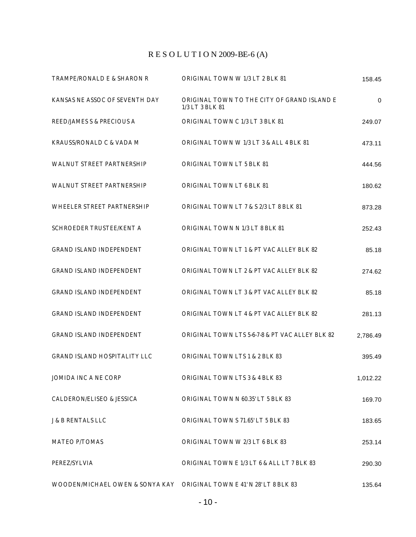| TRAMPE/RONALD E & SHARON R                                            | ORIGINAL TOWN W 1/3 LT 2 BLK 81                                | 158.45    |
|-----------------------------------------------------------------------|----------------------------------------------------------------|-----------|
| KANSAS NE ASSOC OF SEVENTH DAY                                        | ORIGINAL TOWN TO THE CITY OF GRAND ISLAND E<br>1/3 LT 3 BLK 81 | $\pmb{0}$ |
| REED/JAMES S & PRECIOUS A                                             | ORIGINAL TOWN C 1/3 LT 3 BLK 81                                | 249.07    |
| KRAUSS/RONALD C & VADA M                                              | ORIGINAL TOWN W 1/3 LT 3 & ALL 4 BLK 81                        | 473.11    |
| WALNUT STREET PARTNERSHIP                                             | ORIGINAL TOWN LT 5 BLK 81                                      | 444.56    |
| WALNUT STREET PARTNERSHIP                                             | ORIGINAL TOWN LT 6 BLK 81                                      | 180.62    |
| WHEELER STREET PARTNERSHIP                                            | ORIGINAL TOWN LT 7 & S 2/3 LT 8 BLK 81                         | 873.28    |
| SCHROEDER TRUSTEE/KENT A                                              | ORIGINAL TOWN N 1/3 LT 8 BLK 81                                | 252.43    |
| <b>GRAND ISLAND INDEPENDENT</b>                                       | ORIGINAL TOWN LT 1 & PT VAC ALLEY BLK 82                       | 85.18     |
| <b>GRAND ISLAND INDEPENDENT</b>                                       | ORIGINAL TOWN LT 2 & PT VAC ALLEY BLK 82                       | 274.62    |
| <b>GRAND ISLAND INDEPENDENT</b>                                       | ORIGINAL TOWN LT 3 & PT VAC ALLEY BLK 82                       | 85.18     |
| <b>GRAND ISLAND INDEPENDENT</b>                                       | ORIGINAL TOWN LT 4 & PT VAC ALLEY BLK 82                       | 281.13    |
| <b>GRAND ISLAND INDEPENDENT</b>                                       | ORIGINAL TOWN LTS 5-6-7-8 & PT VAC ALLEY BLK 82                | 2,786.49  |
| <b>GRAND ISLAND HOSPITALITY LLC</b>                                   | ORIGINAL TOWN LTS 1 & 2 BLK 83                                 | 395.49    |
| JOMIDA INC A NE CORP                                                  | ORIGINAL TOWN LTS 3 & 4 BLK 83                                 | 1,012.22  |
| <b>CALDERON/ELISEO &amp; JESSICA</b>                                  | ORIGINAL TOWN N 60.35' LT 5 BLK 83                             | 169.70    |
| <b>J &amp; B RENTALS LLC</b>                                          | ORIGINAL TOWN S 71.65' LT 5 BLK 83                             | 183.65    |
| <b>MATEO P/TOMAS</b>                                                  | ORIGINAL TOWN W 2/3 LT 6 BLK 83                                | 253.14    |
| PEREZ/SYLVIA                                                          | ORIGINAL TOWN E 1/3 LT 6 & ALL LT 7 BLK 83                     | 290.30    |
| WOODEN/MICHAEL OWEN & SONYA KAY ORIGINAL TOWN E 41' N 28' LT 8 BLK 83 |                                                                | 135.64    |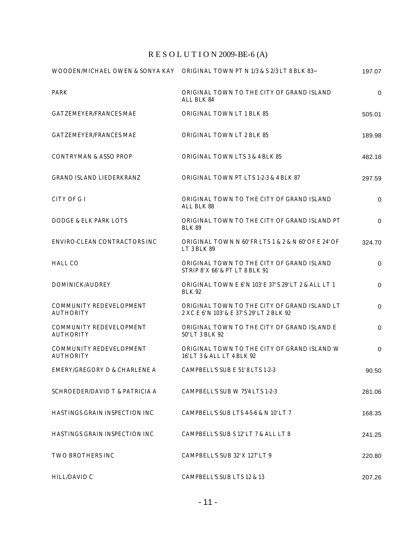|                                                    | WOODEN/MICHAEL OWEN & SONYA KAY ORIGINAL TOWN PT N 1/3 & S 2/3 LT 8 BLK 83~                | 197.07      |
|----------------------------------------------------|--------------------------------------------------------------------------------------------|-------------|
| <b>PARK</b>                                        | ORIGINAL TOWN TO THE CITY OF GRAND ISLAND<br>ALL BLK 84                                    | $\mathbf 0$ |
| <b>GATZEMEYER/FRANCES MAE</b>                      | ORIGINAL TOWN LT 1 BLK 85                                                                  | 505.01      |
| GATZEMEYER/FRANCES MAE                             | ORIGINAL TOWN LT 2 BLK 85                                                                  | 189.98      |
| <b>CONTRYMAN &amp; ASSO PROP</b>                   | ORIGINAL TOWN LTS 3 & 4 BLK 85                                                             | 482.18      |
| <b>GRAND ISLAND LIEDERKRANZ</b>                    | ORIGINAL TOWN PT LTS 1-2-3 & 4 BLK 87                                                      | 297.59      |
| CITY OF G I                                        | ORIGINAL TOWN TO THE CITY OF GRAND ISLAND<br>ALL BLK 88                                    | 0           |
| <b>DODGE &amp; ELK PARK LOTS</b>                   | ORIGINAL TOWN TO THE CITY OF GRAND ISLAND PT<br><b>BLK 89</b>                              | 0           |
| ENVIRO-CLEAN CONTRACTORS INC                       | ORIGINAL TOWN N 60' FR LTS 1 & 2 & N 60' OF E 24' OF<br>LT 3 BLK 89                        | 324.70      |
| <b>HALL CO</b>                                     | ORIGINAL TOWN TO THE CITY OF GRAND ISLAND<br>STRIP 8' X 66' & PT LT 8 BLK 91               | $\Omega$    |
| DOMINICK/AUDREY                                    | ORIGINAL TOWN E 6' N 103' E 37' S 29' LT 2 & ALL LT 1<br><b>BLK 92</b>                     | $\Omega$    |
| COMMUNITY REDEVELOPMENT<br><b>AUTHORITY</b>        | ORIGINAL TOWN TO THE CITY OF GRAND ISLAND LT<br>2 XC E 6' N 103' & E 37' S 29' LT 2 BLK 92 | $\mathbf 0$ |
| <b>COMMUNITY REDEVELOPMENT</b><br><b>AUTHORITY</b> | ORIGINAL TOWN TO THE CITY OF GRAND ISLAND E<br>50' LT 3 BLK 92                             | $\mathbf 0$ |
| <b>COMMUNITY REDEVELOPMENT</b><br><b>AUTHORITY</b> | ORIGINAL TOWN TO THE CITY OF GRAND ISLAND W<br>16' LT 3 & ALL LT 4 BLK 92                  | 0           |
| EMERY/GREGORY D & CHARLENE A                       | CAMPBELL'S SUB E 51' 8 LTS 1-2-3                                                           | 90.50       |
| SCHROEDER/DAVID T & PATRICIA A                     | CAMPBELL'S SUB W 75'4 LTS 1-2-3                                                            | 281.06      |
| HASTINGS GRAIN INSPECTION INC                      | CAMPBELL'S SUB LTS 4-5-6 & N 10' LT 7                                                      | 168.35      |
| HASTINGS GRAIN INSPECTION INC                      | CAMPBELL'S SUB S 12' LT 7 & ALL LT 8                                                       | 241.25      |
| <b>TWO BROTHERS INC</b>                            | CAMPBELL'S SUB 32' X 127' LT 9                                                             | 220.80      |
| HILL/DAVID C                                       | CAMPBELL'S SUB LTS 12 & 13                                                                 | 207.26      |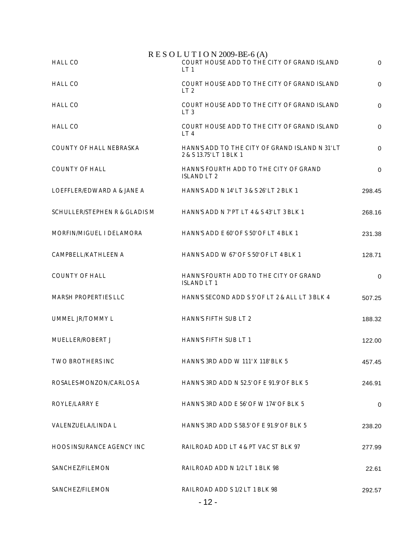| <b>HALL CO</b>                           | $R E S O L U T I O N 2009-BE-6 (A)$<br>COURT HOUSE ADD TO THE CITY OF GRAND ISLAND<br>LT1 | $\Omega$    |
|------------------------------------------|-------------------------------------------------------------------------------------------|-------------|
| <b>HALL CO</b>                           | COURT HOUSE ADD TO THE CITY OF GRAND ISLAND<br>LT <sub>2</sub>                            | $\mathbf 0$ |
| HALL CO                                  | COURT HOUSE ADD TO THE CITY OF GRAND ISLAND<br>LT <sub>3</sub>                            | $\mathbf 0$ |
| <b>HALL CO</b>                           | COURT HOUSE ADD TO THE CITY OF GRAND ISLAND<br>LT4                                        | $\mathbf 0$ |
| <b>COUNTY OF HALL NEBRASKA</b>           | HANN'S ADD TO THE CITY OF GRAND ISLAND N 31'LT<br>2 & S 13.75' LT 1 BLK 1                 | $\mathbf 0$ |
| <b>COUNTY OF HALL</b>                    | HANN'S FOURTH ADD TO THE CITY OF GRAND<br><b>ISLAND LT 2</b>                              | 0           |
| LOEFFLER/EDWARD A & JANE A               | <b>HANN'S ADD N 14' LT 3 &amp; S 26' LT 2 BLK 1</b>                                       | 298.45      |
| <b>SCHULLER/STEPHEN R &amp; GLADIS M</b> | HANN'S ADD N 7' PT LT 4 & S 43' LT 3 BLK 1                                                | 268.16      |
| MORFIN/MIGUEL I DELAMORA                 | HANN'S ADD E 60' OF S 50' OF LT 4 BLK 1                                                   | 231.38      |
| CAMPBELL/KATHLEEN A                      | HANN'S ADD W 67' OF S 50' OF LT 4 BLK 1                                                   | 128.71      |
| <b>COUNTY OF HALL</b>                    | HANN'S FOURTH ADD TO THE CITY OF GRAND<br><b>ISLAND LT 1</b>                              | $\mathbf 0$ |
| <b>MARSH PROPERTIES LLC</b>              | HANN'S SECOND ADD S 5' OF LT 2 & ALL LT 3 BLK 4                                           | 507.25      |
| UMMEL JR/TOMMY L                         | <b>HANN'S FIFTH SUB LT 2</b>                                                              | 188.32      |
| MUELLER/ROBERT J                         | HANN'S FIFTH SUBLT 1                                                                      | 122.00      |
| TWO BROTHERS INC                         | HANN'S 3RD ADD W 111' X 118' BLK 5                                                        | 457.45      |
| ROSALES-MONZON/CARLOS A                  | <b>HANN'S 3RD ADD N 52.5' OF E 91.9' OF BLK 5</b>                                         | 246.91      |
| ROYLE/LARRY E                            | HANN'S 3RD ADD E 56' OF W 174' OF BLK 5                                                   | 0           |
| VALENZUELA/LINDA L                       | HANN'S 3RD ADD S 58.5' OF E 91.9' OF BLK 5                                                | 238.20      |
| <b>HOOS INSURANCE AGENCY INC</b>         | RAILROAD ADD LT 4 & PT VAC ST BLK 97                                                      | 277.99      |
| SANCHEZ/FILEMON                          | RAILROAD ADD N 1/2 LT 1 BLK 98                                                            | 22.61       |
| SANCHEZ/FILEMON                          | RAILROAD ADD S 1/2 LT 1 BLK 98<br>$-12-$                                                  | 292.57      |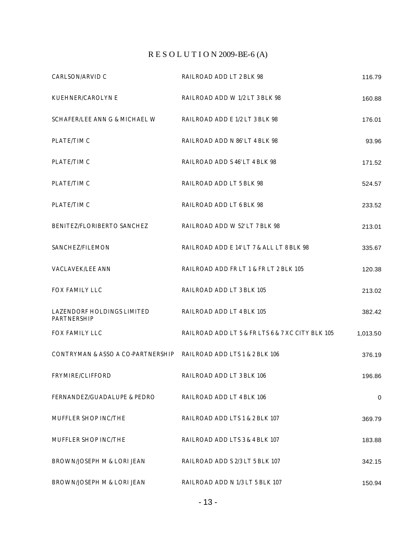| CARLSON/ARVID C                                                  | RAILROAD ADD LT 2 BLK 98                         | 116.79   |
|------------------------------------------------------------------|--------------------------------------------------|----------|
| KUEHNER/CAROLYN E                                                | RAILROAD ADD W 1/2 LT 3 BLK 98                   | 160.88   |
| SCHAFER/LEE ANN G & MICHAEL W                                    | RAILROAD ADD E 1/2 LT 3 BLK 98                   | 176.01   |
| PLATE/TIM C                                                      | RAILROAD ADD N 86' LT 4 BLK 98                   | 93.96    |
| PLATE/TIM C                                                      | RAILROAD ADD S 46' LT 4 BLK 98                   | 171.52   |
| PLATE/TIM C                                                      | RAILROAD ADD LT 5 BLK 98                         | 524.57   |
| PLATE/TIM C                                                      | RAILROAD ADD LT 6 BLK 98                         | 233.52   |
| BENITEZ/FLORIBERTO SANCHEZ                                       | RAILROAD ADD W 52' LT 7 BLK 98                   | 213.01   |
| SANCHEZ/FILEMON                                                  | RAILROAD ADD E 14' LT 7 & ALL LT 8 BLK 98        | 335.67   |
| <b>VACLAVEK/LEE ANN</b>                                          | RAILROAD ADD FR LT 1 & FR LT 2 BLK 105           | 120.38   |
| <b>FOX FAMILY LLC</b>                                            | RAILROAD ADD LT 3 BLK 105                        | 213.02   |
| LAZENDORF HOLDINGS LIMITED<br><b>PARTNERSHIP</b>                 | RAILROAD ADD LT 4 BLK 105                        | 382.42   |
| FOX FAMILY LLC                                                   | RAILROAD ADD LT 5 & FR LTS 6 & 7 XC CITY BLK 105 | 1,013.50 |
| CONTRYMAN & ASSO A CO-PARTNERSHIP RAILROAD ADD LTS 1 & 2 BLK 106 |                                                  | 376.19   |
| FRYMIRE/CLIFFORD                                                 | RAILROAD ADD LT 3 BLK 106                        | 196.86   |
| <b>FERNANDEZ/GUADALUPE &amp; PEDRO</b>                           | RAILROAD ADD LT 4 BLK 106                        | 0        |
| MUFFLER SHOP INC/THE                                             | RAILROAD ADD LTS 1 & 2 BLK 107                   | 369.79   |
| MUFFLER SHOP INC/THE                                             | RAILROAD ADD LTS 3 & 4 BLK 107                   | 183.88   |
| BROWN/JOSEPH M & LORI JEAN                                       | RAILROAD ADD S 2/3 LT 5 BLK 107                  | 342.15   |
| BROWN/JOSEPH M & LORI JEAN                                       | RAILROAD ADD N 1/3 LT 5 BLK 107                  | 150.94   |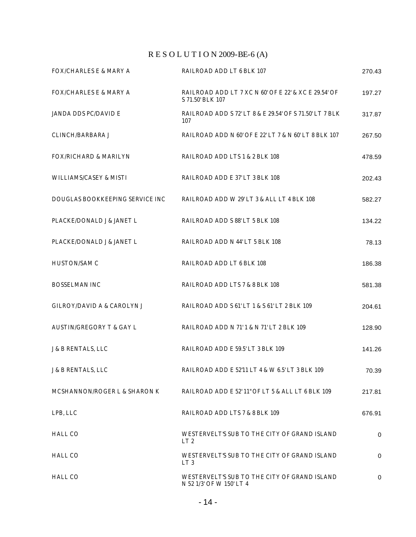| <b>FOX/CHARLES E &amp; MARY A</b>     | RAILROAD ADD LT 6 BLK 107                                                | 270.43   |
|---------------------------------------|--------------------------------------------------------------------------|----------|
| <b>FOX/CHARLES E &amp; MARY A</b>     | RAILROAD ADD LT 7 XC N 60' OF E 22' & XC E 29.54' OF<br>S 71.50' BLK 107 | 197.27   |
| JANDA DDS PC/DAVID E                  | RAILROAD ADD S 72' LT 8 & E 29.54' OF S 71.50' LT 7 BLK<br>107           | 317.87   |
| CLINCH/BARBARA J                      | RAILROAD ADD N 60' OF E 22' LT 7 & N 60' LT 8 BLK 107                    | 267.50   |
| <b>FOX/RICHARD &amp; MARILYN</b>      | RAILROAD ADD LTS 1 & 2 BLK 108                                           | 478.59   |
| WILLIAMS/CASEY & MISTI                | RAILROAD ADD E 37' LT 3 BLK 108                                          | 202.43   |
| DOUGLAS BOOKKEEPING SERVICE INC       | RAILROAD ADD W 29' LT 3 & ALL LT 4 BLK 108                               | 582.27   |
| PLACKE/DONALD J & JANET L             | RAILROAD ADD S 88' LT 5 BLK 108                                          | 134.22   |
| PLACKE/DONALD J & JANET L             | RAILROAD ADD N 44' LT 5 BLK 108                                          | 78.13    |
| HUSTON/SAM C                          | RAILROAD ADD LT 6 BLK 108                                                | 186.38   |
| <b>BOSSELMAN INC</b>                  | RAILROAD ADD LTS 7 & 8 BLK 108                                           | 581.38   |
| <b>GILROY/DAVID A &amp; CAROLYN J</b> | RAILROAD ADD S 61' LT 1 & S 61' LT 2 BLK 109                             | 204.61   |
| AUSTIN/GREGORY T & GAY L              | RAILROAD ADD N 71' 1 & N 71' LT 2 BLK 109                                | 128.90   |
| <b>J &amp; B RENTALS, LLC</b>         | RAILROAD ADD E 59.5' LT 3 BLK 109                                        | 141.26   |
| J & B RENTALS, LLC                    | RAILROAD ADD E 52'11 LT 4 & W 6.5' LT 3 BLK 109                          | 70.39    |
| MCSHANNON/ROGER L & SHARON K          | RAILROAD ADD E 52' 11" OF LT 5 & ALL LT 6 BLK 109                        | 217.81   |
| LPB, LLC                              | RAILROAD ADD LTS 7 & 8 BLK 109                                           | 676.91   |
| <b>HALL CO</b>                        | WESTERVELT'S SUB TO THE CITY OF GRAND ISLAND<br>LT <sub>2</sub>          | 0        |
| <b>HALL CO</b>                        | WESTERVELT'S SUB TO THE CITY OF GRAND ISLAND<br>LT <sub>3</sub>          | $\Omega$ |
| <b>HALL CO</b>                        | WESTERVELT'S SUB TO THE CITY OF GRAND ISLAND<br>N 52 1/3' OF W 150' LT 4 | 0        |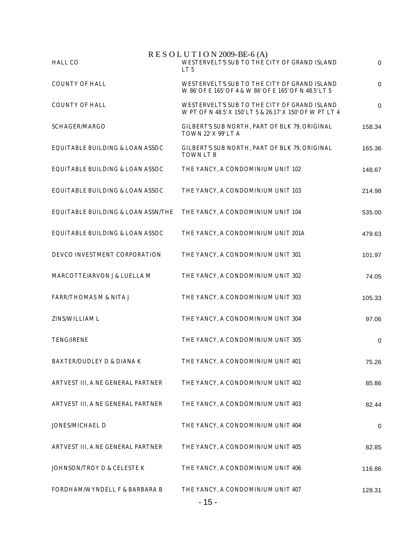| <b>HALL CO</b>                     | $R E S O L U T I O N 2009-BE-6 (A)$<br>WESTERVELT'S SUB TO THE CITY OF GRAND ISLAND<br>LT <sub>5</sub>   | $\mathbf 0$ |
|------------------------------------|----------------------------------------------------------------------------------------------------------|-------------|
| <b>COUNTY OF HALL</b>              | WESTERVELT'S SUB TO THE CITY OF GRAND ISLAND<br>W 86' OF E 165' OF 4 & W 86' OF E 165' OF N 48.5' LT 5   | $\mathbf 0$ |
| <b>COUNTY OF HALL</b>              | WESTERVELT'S SUB TO THE CITY OF GRAND ISLAND<br>W PT OF N 48.5' X 150' LT 5 & 26.17' X 150' OF W PT LT 4 | $\mathbf 0$ |
| SCHAGER/MARGO                      | GILBERT'S SUB NORTH, PART OF BLK 79, ORIGINAL<br>TOWN 22' X 99' LT A                                     | 158.34      |
| EQUITABLE BUILDING & LOAN ASSOC    | GILBERT'S SUB NORTH, PART OF BLK 79, ORIGINAL<br>TOWN LT B                                               | 165.36      |
| EQUITABLE BUILDING & LOAN ASSOC    | THE YANCY, A CONDOMINIUM UNIT 102                                                                        | 148.67      |
| EQUITABLE BUILDING & LOAN ASSOC    | THE YANCY, A CONDOMINIUM UNIT 103                                                                        | 214.98      |
| EQUITABLE BUILDING & LOAN ASSN/THE | THE YANCY, A CONDOMINIUM UNIT 104                                                                        | 535.00      |
| EQUITABLE BUILDING & LOAN ASSOC    | THE YANCY, A CONDOMINIUM UNIT 201A                                                                       | 479.63      |
| DEVCO INVESTMENT CORPORATION       | THE YANCY, A CONDOMINIUM UNIT 301                                                                        | 101.97      |
| MARCOTTE/ARVON J & LUELLA M        | THE YANCY, A CONDOMINIUM UNIT 302                                                                        | 74.05       |
| <b>FARR/THOMAS M &amp; NITA J</b>  | THE YANCY, A CONDOMINIUM UNIT 303                                                                        | 105.33      |
| ZINS/WILLIAM L                     | THE YANCY, A CONDOMINIUM UNIT 304                                                                        | 97.06       |
| <b>TENG/IRENE</b>                  | THE YANCY, A CONDOMINIUM UNIT 305                                                                        | 0           |
| BAXTER/DUDLEY D & DIANA K          | THE YANCY, A CONDOMINIUM UNIT 401                                                                        | 75.26       |
| ARTVEST III, A NE GENERAL PARTNER  | THE YANCY, A CONDOMINIUM UNIT 402                                                                        | 85.86       |
| ARTVEST III, A NE GENERAL PARTNER  | THE YANCY, A CONDOMINIUM UNIT 403                                                                        | 82.44       |
| JONES/MICHAEL D                    | THE YANCY, A CONDOMINIUM UNIT 404                                                                        | 0           |
| ARTVEST III, A NE GENERAL PARTNER  | THE YANCY, A CONDOMINIUM UNIT 405                                                                        | 82.85       |
| JOHNSON/TROY D & CELESTE K         | THE YANCY, A CONDOMINIUM UNIT 406                                                                        | 116.86      |
| FORDHAM/WYNDELL F & BARBARA B      | THE YANCY, A CONDOMINIUM UNIT 407<br>$-15-$                                                              | 128.31      |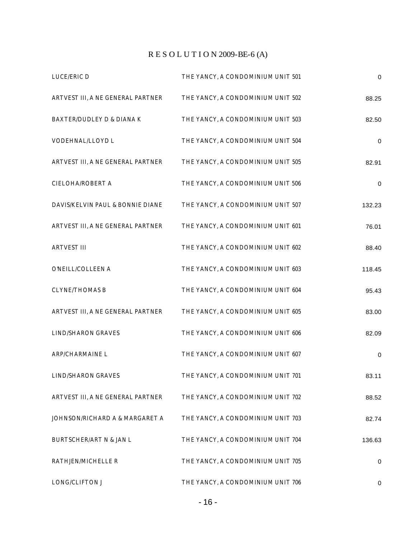| LUCE/ERIC D                       | THE YANCY, A CONDOMINIUM UNIT 501 | $\pmb{0}$   |
|-----------------------------------|-----------------------------------|-------------|
| ARTVEST III, A NE GENERAL PARTNER | THE YANCY, A CONDOMINIUM UNIT 502 | 88.25       |
| BAXTER/DUDLEY D & DIANA K         | THE YANCY, A CONDOMINIUM UNIT 503 | 82.50       |
| VODEHNAL/LLOYD L                  | THE YANCY, A CONDOMINIUM UNIT 504 | 0           |
| ARTVEST III, A NE GENERAL PARTNER | THE YANCY, A CONDOMINIUM UNIT 505 | 82.91       |
| CIELOHA/ROBERT A                  | THE YANCY, A CONDOMINIUM UNIT 506 | $\mathbf 0$ |
| DAVIS/KELVIN PAUL & BONNIE DIANE  | THE YANCY, A CONDOMINIUM UNIT 507 | 132.23      |
| ARTVEST III, A NE GENERAL PARTNER | THE YANCY, A CONDOMINIUM UNIT 601 | 76.01       |
| <b>ARTVEST III</b>                | THE YANCY, A CONDOMINIUM UNIT 602 | 88.40       |
| O'NEILL/COLLEEN A                 | THE YANCY, A CONDOMINIUM UNIT 603 | 118.45      |
| <b>CLYNE/THOMAS B</b>             | THE YANCY, A CONDOMINIUM UNIT 604 | 95.43       |
| ARTVEST III, A NE GENERAL PARTNER | THE YANCY, A CONDOMINIUM UNIT 605 | 83.00       |
| <b>LIND/SHARON GRAVES</b>         | THE YANCY, A CONDOMINIUM UNIT 606 | 82.09       |
| ARP/CHARMAINE L                   | THE YANCY, A CONDOMINIUM UNIT 607 | $\mathbf 0$ |
| LIND/SHARON GRAVES                | THE YANCY, A CONDOMINIUM UNIT 701 | 83.11       |
| ARTVEST III, A NE GENERAL PARTNER | THE YANCY, A CONDOMINIUM UNIT 702 | 88.52       |
| JOHNSON/RICHARD A & MARGARET A    | THE YANCY, A CONDOMINIUM UNIT 703 | 82.74       |
| BURTSCHER/ART N & JAN L           | THE YANCY, A CONDOMINIUM UNIT 704 | 136.63      |
| RATHJEN/MICHELLE R                | THE YANCY, A CONDOMINIUM UNIT 705 | 0           |
| LONG/CLIFTON J                    | THE YANCY, A CONDOMINIUM UNIT 706 | 0           |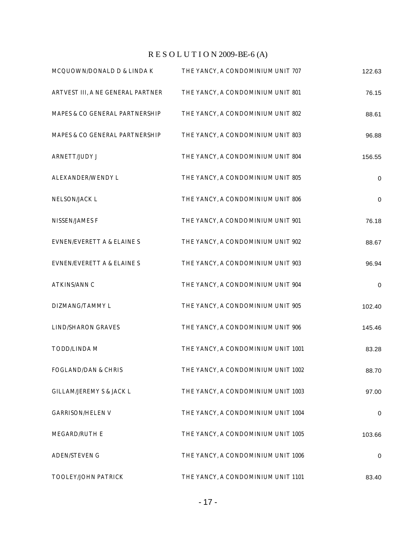| MCQUOWN/DONALD D & LINDA K          | THE YANCY, A CONDOMINIUM UNIT 707  | 122.63      |
|-------------------------------------|------------------------------------|-------------|
| ARTVEST III, A NE GENERAL PARTNER   | THE YANCY, A CONDOMINIUM UNIT 801  | 76.15       |
| MAPES & CO GENERAL PARTNERSHIP      | THE YANCY, A CONDOMINIUM UNIT 802  | 88.61       |
| MAPES & CO GENERAL PARTNERSHIP      | THE YANCY, A CONDOMINIUM UNIT 803  | 96.88       |
| ARNETT/JUDY J                       | THE YANCY, A CONDOMINIUM UNIT 804  | 156.55      |
| ALEXANDER/WENDY L                   | THE YANCY, A CONDOMINIUM UNIT 805  | $\mathbf 0$ |
| NELSON/JACK L                       | THE YANCY, A CONDOMINIUM UNIT 806  | $\mathbf 0$ |
| NISSEN/JAMES F                      | THE YANCY, A CONDOMINIUM UNIT 901  | 76.18       |
| EVNEN/EVERETT A & ELAINE S          | THE YANCY, A CONDOMINIUM UNIT 902  | 88.67       |
| EVNEN/EVERETT A & ELAINE S          | THE YANCY, A CONDOMINIUM UNIT 903  | 96.94       |
| <b>ATKINS/ANN C</b>                 | THE YANCY, A CONDOMINIUM UNIT 904  | $\pmb{0}$   |
| DIZMANG/TAMMY L                     | THE YANCY, A CONDOMINIUM UNIT 905  | 102.40      |
| LIND/SHARON GRAVES                  | THE YANCY, A CONDOMINIUM UNIT 906  | 145.46      |
| TODD/LINDA M                        | THE YANCY, A CONDOMINIUM UNIT 1001 | 83.28       |
| <b>FOGLAND/DAN &amp; CHRIS</b>      | THE YANCY, A CONDOMINIUM UNIT 1002 | 88.70       |
| <b>GILLAM/JEREMY S &amp; JACK L</b> | THE YANCY, A CONDOMINIUM UNIT 1003 | 97.00       |
| <b>GARRISON/HELEN V</b>             | THE YANCY, A CONDOMINIUM UNIT 1004 | 0           |
| MEGARD/RUTH E                       | THE YANCY, A CONDOMINIUM UNIT 1005 | 103.66      |
| <b>ADEN/STEVEN G</b>                | THE YANCY, A CONDOMINIUM UNIT 1006 | 0           |
| TOOLEY/JOHN PATRICK                 | THE YANCY, A CONDOMINIUM UNIT 1101 | 83.40       |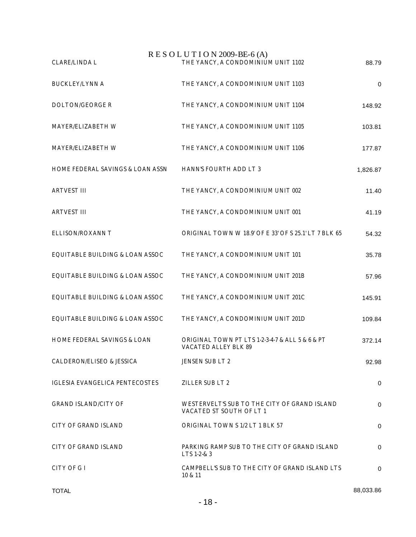| <b>CLARE/LINDA L</b>                   | $R E S O L U T I O N 2009-BE-6 (A)$<br>THE YANCY, A CONDOMINIUM UNIT 1102 | 88.79     |
|----------------------------------------|---------------------------------------------------------------------------|-----------|
| <b>BUCKLEY/LYNN A</b>                  | THE YANCY, A CONDOMINIUM UNIT 1103                                        | 0         |
| DOLTON/GEORGE R                        | THE YANCY, A CONDOMINIUM UNIT 1104                                        | 148.92    |
| MAYER/ELIZABETH W                      | THE YANCY, A CONDOMINIUM UNIT 1105                                        | 103.81    |
| MAYER/ELIZABETH W                      | THE YANCY, A CONDOMINIUM UNIT 1106                                        | 177.87    |
| HOME FEDERAL SAVINGS & LOAN ASSN       | HANN'S FOURTH ADD LT 3                                                    | 1,826.87  |
| <b>ARTVEST III</b>                     | THE YANCY, A CONDOMINIUM UNIT 002                                         | 11.40     |
| <b>ARTVEST III</b>                     | THE YANCY, A CONDOMINIUM UNIT 001                                         | 41.19     |
| ELLISON/ROXANN T                       | ORIGINAL TOWN W 18.9' OF E 33' OF S 25.1' LT 7 BLK 65                     | 54.32     |
| EQUITABLE BUILDING & LOAN ASSOC        | THE YANCY, A CONDOMINIUM UNIT 101                                         | 35.78     |
| EQUITABLE BUILDING & LOAN ASSOC        | THE YANCY, A CONDOMINIUM UNIT 201B                                        | 57.96     |
| EQUITABLE BUILDING & LOAN ASSOC        | THE YANCY, A CONDOMINIUM UNIT 201C                                        | 145.91    |
| EQUITABLE BUILDING & LOAN ASSOC        | THE YANCY, A CONDOMINIUM UNIT 201D                                        | 109.84    |
| <b>HOME FEDERAL SAVINGS &amp; LOAN</b> | ORIGINAL TOWN PT LTS 1-2-3-4-7 & ALL 5 & 6 & PT<br>VACATED ALLEY BLK 89   | 372.14    |
| <b>CALDERON/ELISEO &amp; JESSICA</b>   | <b>JENSEN SUBLT 2</b>                                                     | 92.98     |
| <b>IGLESIA EVANGELICA PENTECOSTES</b>  | ZILLER SUBLT 2                                                            | 0         |
| <b>GRAND ISLAND/CITY OF</b>            | WESTERVELT'S SUB TO THE CITY OF GRAND ISLAND<br>VACATED ST SOUTH OF LT 1  | 0         |
| <b>CITY OF GRAND ISLAND</b>            | ORIGINAL TOWN S 1/2 LT 1 BLK 57                                           | 0         |
| <b>CITY OF GRAND ISLAND</b>            | PARKING RAMP SUB TO THE CITY OF GRAND ISLAND<br>LTS 1-2-& 3               | 0         |
| CITY OF G I                            | CAMPBELL'S SUB TO THE CITY OF GRAND ISLAND LTS<br>10 & 11                 | 0         |
| <b>TOTAL</b>                           |                                                                           | 88,033.86 |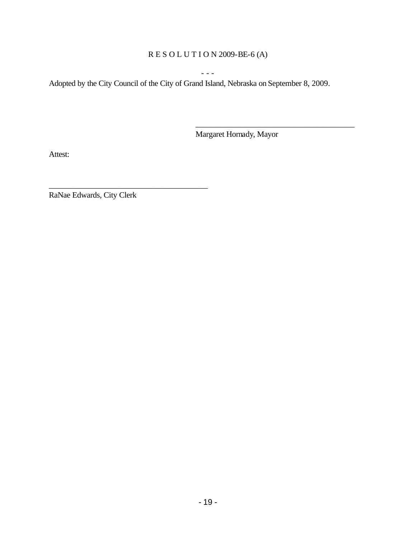- - -

Adopted by the City Council of the City of Grand Island, Nebraska on September 8, 2009.

Margaret Hornady, Mayor

\_\_\_\_\_\_\_\_\_\_\_\_\_\_\_\_\_\_\_\_\_\_\_\_\_\_\_\_\_\_\_\_\_\_\_\_\_\_\_

Attest:

RaNae Edwards, City Clerk

\_\_\_\_\_\_\_\_\_\_\_\_\_\_\_\_\_\_\_\_\_\_\_\_\_\_\_\_\_\_\_\_\_\_\_\_\_\_\_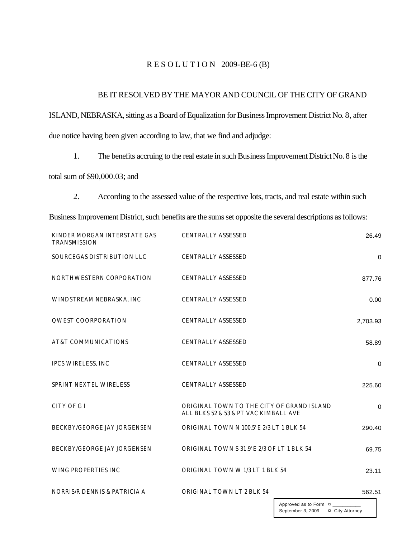#### BE IT RESOLVED BY THE MAYOR AND COUNCIL OF THE CITY OF GRAND

ISLAND, NEBRASKA, sitting as a Board of Equalization for Business Improvement District No. 8, after due notice having been given according to law, that we find and adjudge:

1. The benefits accruing to the real estate in such Business Improvement District No. 8 is the total sum of \$90,000.03; and

2. According to the assessed value of the respective lots, tracts, and real estate within such

Business Improvement District, such benefits are the sums set opposite the several descriptions as follows:

| KINDER MORGAN INTERSTATE GAS<br><b>TRANSMISSION</b> | <b>CENTRALLY ASSESSED</b>                                                          | 26.49    |
|-----------------------------------------------------|------------------------------------------------------------------------------------|----------|
| SOURCEGAS DISTRIBUTION LLC                          | <b>CENTRALLY ASSESSED</b>                                                          | $\Omega$ |
| NORTHWESTERN CORPORATION                            | <b>CENTRALLY ASSESSED</b>                                                          | 877.76   |
| WINDSTREAM NEBRASKA, INC                            | <b>CENTRALLY ASSESSED</b>                                                          | 0.00     |
| QWEST COORPORATION                                  | <b>CENTRALLY ASSESSED</b>                                                          | 2,703.93 |
| AT&T COMMUNICATIONS                                 | <b>CENTRALLY ASSESSED</b>                                                          | 58.89    |
| <b>IPCS WIRELESS, INC</b>                           | <b>CENTRALLY ASSESSED</b>                                                          | $\Omega$ |
| SPRINT NEXTEL WIRELESS                              | <b>CENTRALLY ASSESSED</b>                                                          | 225.60   |
| CITY OF GI                                          | ORIGINAL TOWN TO THE CITY OF GRAND ISLAND<br>ALL BLKS 52 & 53 & PT VAC KIMBALL AVE | $\Omega$ |
| BECKBY/GEORGE JAY JORGENSEN                         | ORIGINAL TOWN N 100.5' E 2/3 LT 1 BLK 54                                           | 290.40   |
| BECKBY/GEORGE JAY JORGENSEN                         | ORIGINAL TOWN S 31.9' E 2/3 OF LT 1 BLK 54                                         | 69.75    |
| WING PROPERTIES INC                                 | ORIGINAL TOWN W 1/3 LT 1 BLK 54                                                    | 23.11    |
| NORRIS/R DENNIS & PATRICIA A                        | ORIGINAL TOWN LT 2 BLK 54                                                          | 562.51   |

Approved as to Form  $\Box$ September 3, 2009 ¤ City Attorney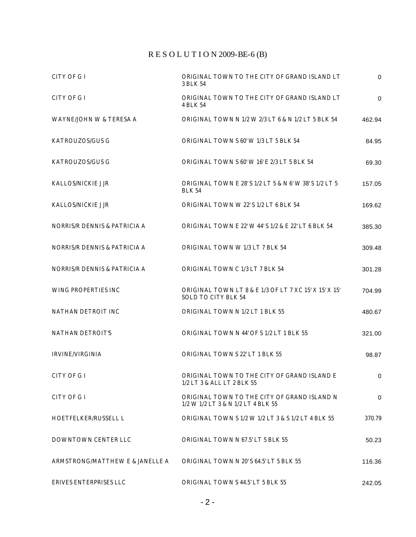| CITY OF GI                      | ORIGINAL TOWN TO THE CITY OF GRAND ISLAND LT<br>3 BLK 54                          | $\mathbf 0$ |
|---------------------------------|-----------------------------------------------------------------------------------|-------------|
| CITY OF G I                     | ORIGINAL TOWN TO THE CITY OF GRAND ISLAND LT<br>4 BLK 54                          | $\Omega$    |
| WAYNE/JOHN W & TERESA A         | ORIGINAL TOWN N 1/2 W 2/3 LT 6 & N 1/2 LT 5 BLK 54                                | 462.94      |
| KATROUZOS/GUS G                 | ORIGINAL TOWN S 60' W 1/3 LT 5 BLK 54                                             | 84.95       |
| KATROUZOS/GUS G                 | ORIGINAL TOWN S 60' W 16' E 2/3 LT 5 BLK 54                                       | 69.30       |
| KALLOS/NICKIE J JR              | ORIGINAL TOWN E 28' S 1/2 LT 5 & N 6' W 38' S 1/2 LT 5<br><b>BLK 54</b>           | 157.05      |
| <b>KALLOS/NICKIE J JR</b>       | ORIGINAL TOWN W 22' S 1/2 LT 6 BLK 54                                             | 169.62      |
| NORRIS/R DENNIS & PATRICIA A    | ORIGINAL TOWN E 22' W 44' S 1/2 & E 22' LT 6 BLK 54                               | 385.30      |
| NORRIS/R DENNIS & PATRICIA A    | ORIGINAL TOWN W 1/3 LT 7 BLK 54                                                   | 309.48      |
| NORRIS/R DENNIS & PATRICIA A    | ORIGINAL TOWN C 1/3 LT 7 BLK 54                                                   | 301.28      |
| WING PROPERTIES INC             | ORIGINAL TOWN LT 8 & E 1/3 OF LT 7 XC 15' X 15' X 15'<br>SOLD TO CITY BLK 54      | 704.99      |
| NATHAN DETROIT INC              | ORIGINAL TOWN N 1/2 LT 1 BLK 55                                                   | 480.67      |
| <b>NATHAN DETROIT'S</b>         | ORIGINAL TOWN N 44' OF S 1/2 LT 1 BLK 55                                          | 321.00      |
| <b>IRVINE/VIRGINIA</b>          | ORIGINAL TOWN S 22' LT 1 BLK 55                                                   | 98.87       |
| CITY OF GI                      | ORIGINAL TOWN TO THE CITY OF GRAND ISLAND E<br>1/2 LT 3 & ALL LT 2 BLK 55         | 0           |
| CITY OF GI                      | ORIGINAL TOWN TO THE CITY OF GRAND ISLAND N<br>1/2 W 1/2 LT 3 & N 1/2 LT 4 BLK 55 | $\mathbf 0$ |
| HOETFELKER/RUSSELL L            | ORIGINAL TOWN S 1/2 W 1/2 LT 3 & S 1/2 LT 4 BLK 55                                | 370.79      |
| DOWNTOWN CENTER LLC             | ORIGINAL TOWN N 67.5' LT 5 BLK 55                                                 | 50.23       |
| ARMSTRONG/MATTHEW E & JANELLE A | ORIGINAL TOWN N 20' S 64.5' LT 5 BLK 55                                           | 116.36      |
| ERIVES ENTERPRISES LLC          | ORIGINAL TOWN S 44.5' LT 5 BLK 55                                                 | 242.05      |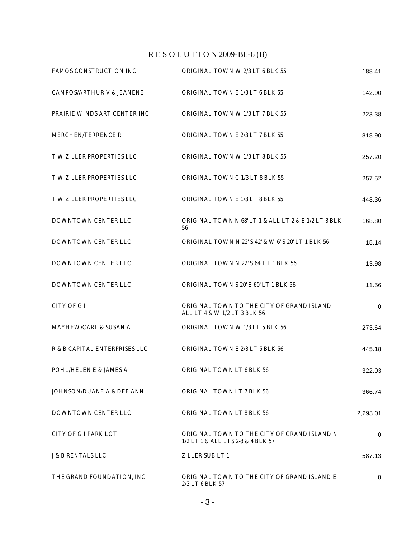| FAMOS CONSTRUCTION INC           | ORIGINAL TOWN W 2/3 LT 6 BLK 55                                                  | 188.41   |
|----------------------------------|----------------------------------------------------------------------------------|----------|
| CAMPOS/ARTHUR V & JEANENE        | ORIGINAL TOWN E 1/3 LT 6 BLK 55                                                  | 142.90   |
| PRAIRIE WINDS ART CENTER INC     | ORIGINAL TOWN W 1/3 LT 7 BLK 55                                                  | 223.38   |
| MERCHEN/TERRENCE R               | ORIGINAL TOWN E 2/3 LT 7 BLK 55                                                  | 818.90   |
| T W ZILLER PROPERTIES LLC        | ORIGINAL TOWN W 1/3 LT 8 BLK 55                                                  | 257.20   |
| T W ZILLER PROPERTIES LLC        | ORIGINAL TOWN C 1/3 LT 8 BLK 55                                                  | 257.52   |
| T W ZILLER PROPERTIES LLC        | ORIGINAL TOWN E 1/3 LT 8 BLK 55                                                  | 443.36   |
| DOWNTOWN CENTER LLC              | ORIGINAL TOWN N 68'LT 1 & ALL LT 2 & E 1/2 LT 3 BLK<br>56                        | 168.80   |
| DOWNTOWN CENTER LLC              | ORIGINAL TOWN N 22' S 42' & W 6' S 20' LT 1 BLK 56                               | 15.14    |
| DOWNTOWN CENTER LLC              | ORIGINAL TOWN N 22' S 64' LT 1 BLK 56                                            | 13.98    |
| DOWNTOWN CENTER LLC              | ORIGINAL TOWN S 20' E 60' LT 1 BLK 56                                            | 11.56    |
| CITY OF GI                       | ORIGINAL TOWN TO THE CITY OF GRAND ISLAND<br>ALL LT 4 & W 1/2 LT 3 BLK 56        | $\Omega$ |
| <b>MAYHEW/CARL &amp; SUSAN A</b> | ORIGINAL TOWN W 1/3 LT 5 BLK 56                                                  | 273.64   |
| R & B CAPITAL ENTERPRISES LLC    | ORIGINAL TOWN E 2/3 LT 5 BLK 56                                                  | 445.18   |
| POHL/HELEN E & JAMES A           | ORIGINAL TOWN LT 6 BLK 56                                                        | 322.03   |
| JOHNSON/DUANE A & DEE ANN        | ORIGINAL TOWN LT 7 BLK 56                                                        | 366.74   |
| DOWNTOWN CENTER LLC              | ORIGINAL TOWN LT 8 BLK 56                                                        | 2,293.01 |
| CITY OF G I PARK LOT             | ORIGINAL TOWN TO THE CITY OF GRAND ISLAND N<br>1/2 LT 1 & ALL LTS 2-3 & 4 BLK 57 | 0        |
| <b>J &amp; B RENTALS LLC</b>     | ZILLER SUB LT 1                                                                  | 587.13   |
| THE GRAND FOUNDATION, INC        | ORIGINAL TOWN TO THE CITY OF GRAND ISLAND E<br>2/3 LT 6 BLK 57                   | $\Omega$ |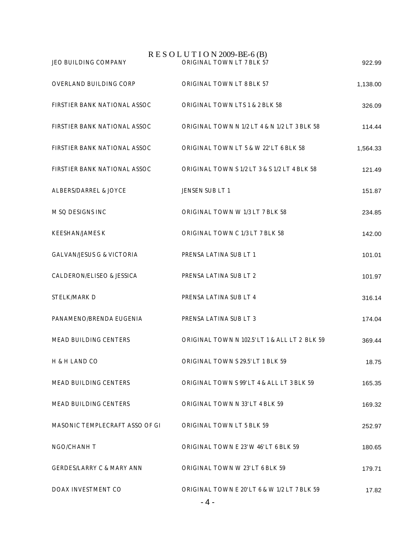| JEO BUILDING COMPANY                 | $R E S O L U T I O N 2009-BE-6 (B)$<br>ORIGINAL TOWN LT 7 BLK 57 | 922.99   |
|--------------------------------------|------------------------------------------------------------------|----------|
| OVERLAND BUILDING CORP               | ORIGINAL TOWN LT 8 BLK 57                                        | 1,138.00 |
| FIRSTIER BANK NATIONAL ASSOC         | ORIGINAL TOWN LTS 1 & 2 BLK 58                                   | 326.09   |
| FIRSTIER BANK NATIONAL ASSOC         | ORIGINAL TOWN N 1/2 LT 4 & N 1/2 LT 3 BLK 58                     | 114.44   |
| FIRSTIER BANK NATIONAL ASSOC         | ORIGINAL TOWN LT 5 & W 22' LT 6 BLK 58                           | 1,564.33 |
| FIRSTIER BANK NATIONAL ASSOC         | ORIGINAL TOWN S 1/2 LT 3 & S 1/2 LT 4 BLK 58                     | 121.49   |
| <b>ALBERS/DARREL &amp; JOYCE</b>     | JENSEN SUB LT 1                                                  | 151.87   |
| M SQ DESIGNS INC                     | ORIGINAL TOWN W 1/3 LT 7 BLK 58                                  | 234.85   |
| <b>KEESHAN/JAMES K</b>               | ORIGINAL TOWN C 1/3 LT 7 BLK 58                                  | 142.00   |
| <b>GALVAN/JESUS G &amp; VICTORIA</b> | PRENSA LATINA SUB LT 1                                           | 101.01   |
| <b>CALDERON/ELISEO &amp; JESSICA</b> | PRENSA LATINA SUB LT 2                                           | 101.97   |
| STELK/MARK D                         | PRENSA LATINA SUB LT 4                                           | 316.14   |
| PANAMENO/BRENDA EUGENIA              | PRENSA LATINA SUB LT 3                                           | 174.04   |
| <b>MEAD BUILDING CENTERS</b>         | ORIGINAL TOWN N 102.5' LT 1 & ALL LT 2 BLK 59                    | 369.44   |
| H & H LAND CO                        | ORIGINAL TOWN S 29.5' LT 1 BLK 59                                | 18.75    |
| MEAD BUILDING CENTERS                | ORIGINAL TOWN S 99' LT 4 & ALL LT 3 BLK 59                       | 165.35   |
| MEAD BUILDING CENTERS                | ORIGINAL TOWN N 33' LT 4 BLK 59                                  | 169.32   |
| MASONIC TEMPLECRAFT ASSO OF GI       | ORIGINAL TOWN LT 5 BLK 59                                        | 252.97   |
| NGO/CHANH T                          | ORIGINAL TOWN E 23' W 46' LT 6 BLK 59                            | 180.65   |
| <b>GERDES/LARRY C &amp; MARY ANN</b> | ORIGINAL TOWN W 23' LT 6 BLK 59                                  | 179.71   |
| DOAX INVESTMENT CO                   | ORIGINAL TOWN E 20' LT 6 & W 1/2 LT 7 BLK 59<br>$-4-$            | 17.82    |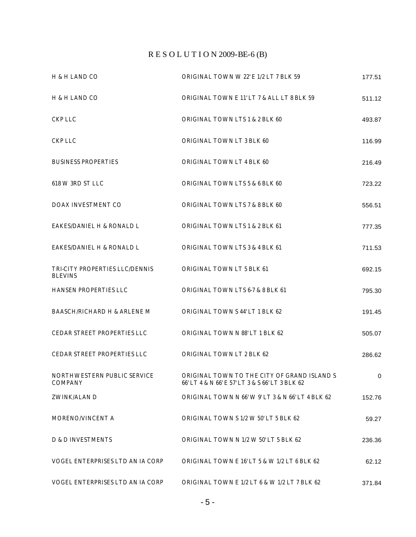| H & H LAND CO                                    | ORIGINAL TOWN W 22' E 1/2 LT 7 BLK 59                                                          | 177.51 |
|--------------------------------------------------|------------------------------------------------------------------------------------------------|--------|
| H & H LAND CO                                    | ORIGINAL TOWN E 11' LT 7 & ALL LT 8 BLK 59                                                     | 511.12 |
| CKP LLC                                          | ORIGINAL TOWN LTS 1 & 2 BLK 60                                                                 | 493.87 |
| CKP LLC                                          | ORIGINAL TOWN LT 3 BLK 60                                                                      | 116.99 |
| <b>BUSINESS PROPERTIES</b>                       | ORIGINAL TOWN LT 4 BLK 60                                                                      | 216.49 |
| 618 W 3RD ST LLC                                 | ORIGINAL TOWN LTS 5 & 6 BLK 60                                                                 | 723.22 |
| DOAX INVESTMENT CO                               | ORIGINAL TOWN LTS 7 & 8 BLK 60                                                                 | 556.51 |
| EAKES/DANIEL H & RONALD L                        | ORIGINAL TOWN LTS 1 & 2 BLK 61                                                                 | 777.35 |
| EAKES/DANIEL H & RONALD L                        | ORIGINAL TOWN LTS 3 & 4 BLK 61                                                                 | 711.53 |
| TRI-CITY PROPERTIES LLC/DENNIS<br><b>BLEVINS</b> | ORIGINAL TOWN LT 5 BLK 61                                                                      | 692.15 |
| HANSEN PROPERTIES LLC                            | ORIGINAL TOWN LTS 6-7 & 8 BLK 61                                                               | 795.30 |
| <b>BAASCH/RICHARD H &amp; ARLENE M</b>           | ORIGINAL TOWN S 44' LT 1 BLK 62                                                                | 191.45 |
| CEDAR STREET PROPERTIES LLC                      | ORIGINAL TOWN N 88' LT 1 BLK 62                                                                | 505.07 |
| CEDAR STREET PROPERTIES LLC                      | ORIGINAL TOWN LT 2 BLK 62                                                                      | 286.62 |
| NORTHWESTERN PUBLIC SERVICE<br><b>COMPANY</b>    | ORIGINAL TOWN TO THE CITY OF GRAND ISLAND S<br>66' LT 4 & N 66' E 57' LT 3 & S 66' LT 3 BLK 62 | 0      |
| ZWINK/ALAN D                                     | ORIGINAL TOWN N 66' W 9' LT 3 & N 66' LT 4 BLK 62                                              | 152.76 |
| MORENO/VINCENT A                                 | ORIGINAL TOWN S 1/2 W 50' LT 5 BLK 62                                                          | 59.27  |
| D & D INVESTMENTS                                | ORIGINAL TOWN N 1/2 W 50' LT 5 BLK 62                                                          | 236.36 |
| VOGEL ENTERPRISES LTD AN IA CORP                 | ORIGINAL TOWN E 16' LT 5 & W 1/2 LT 6 BLK 62                                                   | 62.12  |
| VOGEL ENTERPRISES LTD AN IA CORP                 | ORIGINAL TOWN E 1/2 LT 6 & W 1/2 LT 7 BLK 62                                                   | 371.84 |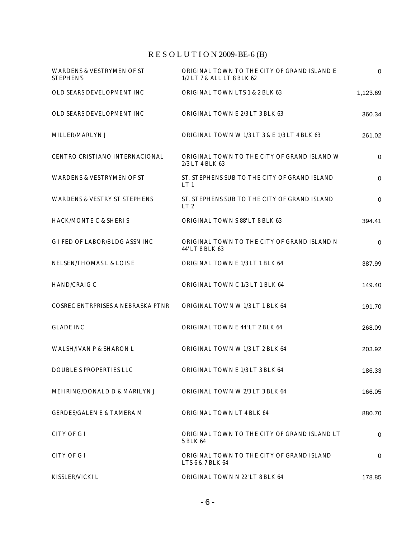| <b>WARDENS &amp; VESTRYMEN OF ST</b><br><b>STEPHEN'S</b> | ORIGINAL TOWN TO THE CITY OF GRAND ISLAND E<br>1/2 LT 7 & ALL LT 8 BLK 62 | $\mathbf 0$ |
|----------------------------------------------------------|---------------------------------------------------------------------------|-------------|
| OLD SEARS DEVELOPMENT INC                                | ORIGINAL TOWN LTS 1 & 2 BLK 63                                            | 1,123.69    |
| OLD SEARS DEVELOPMENT INC                                | ORIGINAL TOWN E 2/3 LT 3 BLK 63                                           | 360.34      |
| MILLER/MARLYN J                                          | ORIGINAL TOWN W 1/3 LT 3 & E 1/3 LT 4 BLK 63                              | 261.02      |
| CENTRO CRISTIANO INTERNACIONAL                           | ORIGINAL TOWN TO THE CITY OF GRAND ISLAND W<br>2/3 LT 4 BLK 63            | $\mathbf 0$ |
| <b>WARDENS &amp; VESTRYMEN OF ST</b>                     | ST. STEPHENS SUB TO THE CITY OF GRAND ISLAND<br>LT <sub>1</sub>           | $\Omega$    |
| <b>WARDENS &amp; VESTRY ST STEPHENS</b>                  | ST. STEPHENS SUB TO THE CITY OF GRAND ISLAND<br>LT <sub>2</sub>           | 0           |
| <b>HACK/MONTE C &amp; SHERI S</b>                        | ORIGINAL TOWN S 88' LT 8 BLK 63                                           | 394.41      |
| G I FED OF LABOR/BLDG ASSN INC                           | ORIGINAL TOWN TO THE CITY OF GRAND ISLAND N<br>44' LT 8 BLK 63            | 0           |
| NELSEN/THOMAS L & LOIS E                                 | ORIGINAL TOWN E 1/3 LT 1 BLK 64                                           | 387.99      |
| <b>HAND/CRAIG C</b>                                      | ORIGINAL TOWN C 1/3 LT 1 BLK 64                                           | 149.40      |
| COSREC ENTRPRISES A NEBRASKA PTNR                        | ORIGINAL TOWN W 1/3 LT 1 BLK 64                                           | 191.70      |
| <b>GLADE INC</b>                                         | ORIGINAL TOWN E 44' LT 2 BLK 64                                           | 268.09      |
| WALSH/IVAN P & SHARON L                                  | ORIGINAL TOWN W 1/3 LT 2 BLK 64                                           | 203.92      |
| DOUBLE S PROPERTIES LLC                                  | ORIGINAL TOWN E 1/3 LT 3 BLK 64                                           | 186.33      |
| MEHRING/DONALD D & MARILYN J                             | ORIGINAL TOWN W 2/3 LT 3 BLK 64                                           | 166.05      |
| <b>GERDES/GALEN E &amp; TAMERA M</b>                     | ORIGINAL TOWN LT 4 BLK 64                                                 | 880.70      |
| CITY OF GI                                               | ORIGINAL TOWN TO THE CITY OF GRAND ISLAND LT<br>5 BLK 64                  | $\Omega$    |
| CITY OF GI                                               | ORIGINAL TOWN TO THE CITY OF GRAND ISLAND<br>LTS 6 & 7 BLK 64             | 0           |
| KISSLER/VICKI L                                          | ORIGINAL TOWN N 22' LT 8 BLK 64                                           | 178.85      |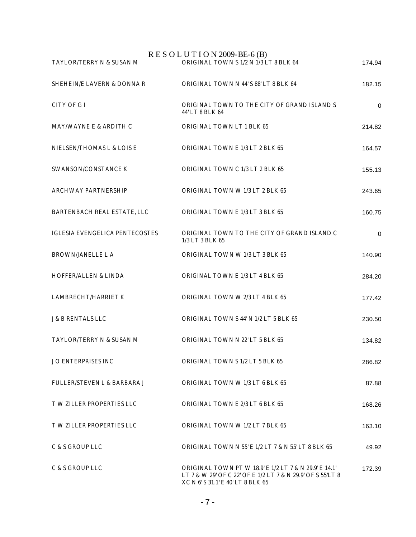|                                       | $R E S O L U T I O N 2009-BE-6 (B)$<br>ORIGINAL TOWN S 1/2 N 1/3 LT 8 BLK 64                                                                             |             |
|---------------------------------------|----------------------------------------------------------------------------------------------------------------------------------------------------------|-------------|
| TAYLOR/TERRY N & SUSAN M              |                                                                                                                                                          | 174.94      |
| <b>SHEHEIN/E LAVERN &amp; DONNA R</b> | ORIGINAL TOWN N 44' S 88' LT 8 BLK 64                                                                                                                    | 182.15      |
| CITY OF G I                           | ORIGINAL TOWN TO THE CITY OF GRAND ISLAND S<br>44' LT 8 BLK 64                                                                                           | $\mathbf 0$ |
| MAY/WAYNE E & ARDITH C                | ORIGINAL TOWN LT 1 BLK 65                                                                                                                                | 214.82      |
| NIELSEN/THOMAS L & LOIS E             | ORIGINAL TOWN E 1/3 LT 2 BLK 65                                                                                                                          | 164.57      |
| SWANSON/CONSTANCE K                   | ORIGINAL TOWN C 1/3 LT 2 BLK 65                                                                                                                          | 155.13      |
| ARCHWAY PARTNERSHIP                   | ORIGINAL TOWN W 1/3 LT 2 BLK 65                                                                                                                          | 243.65      |
| BARTENBACH REAL ESTATE, LLC           | ORIGINAL TOWN E 1/3 LT 3 BLK 65                                                                                                                          | 160.75      |
| IGLESIA EVENGELICA PENTECOSTES        | ORIGINAL TOWN TO THE CITY OF GRAND ISLAND C<br>1/3 LT 3 BLK 65                                                                                           | $\mathbf 0$ |
| <b>BROWN/JANELLE L A</b>              | ORIGINAL TOWN W 1/3 LT 3 BLK 65                                                                                                                          | 140.90      |
| <b>HOFFER/ALLEN &amp; LINDA</b>       | ORIGINAL TOWN E 1/3 LT 4 BLK 65                                                                                                                          | 284.20      |
| LAMBRECHT/HARRIET K                   | ORIGINAL TOWN W 2/3 LT 4 BLK 65                                                                                                                          | 177.42      |
| <b>J &amp; B RENTALS LLC</b>          | ORIGINAL TOWN S 44' N 1/2 LT 5 BLK 65                                                                                                                    | 230.50      |
| TAYLOR/TERRY N & SUSAN M              | ORIGINAL TOWN N 22' LT 5 BLK 65                                                                                                                          | 134.82      |
| <b>JO ENTERPRISES INC</b>             | ORIGINAL TOWN S 1/2 LT 5 BLK 65                                                                                                                          | 286.82      |
| FULLER/STEVEN L & BARBARA J           | ORIGINAL TOWN W 1/3 LT 6 BLK 65                                                                                                                          | 87.88       |
| T W ZILLER PROPERTIES LLC             | ORIGINAL TOWN E 2/3 LT 6 BLK 65                                                                                                                          | 168.26      |
| T W ZILLER PROPERTIES LLC             | ORIGINAL TOWN W 1/2 LT 7 BLK 65                                                                                                                          | 163.10      |
| C & S GROUP LLC                       | ORIGINAL TOWN N 55' E 1/2 LT 7 & N 55' LT 8 BLK 65                                                                                                       | 49.92       |
| C & S GROUP LLC                       | ORIGINAL TOWN PT W 18.9' E 1/2 LT 7 & N 29.9' E 14.1'<br>LT 7 & W 29' OF C 22' OF E 1/2 LT 7 & N 29.9' OF S 55'LT 8<br>XC N 6' S 31.1' E 40' LT 8 BLK 65 | 172.39      |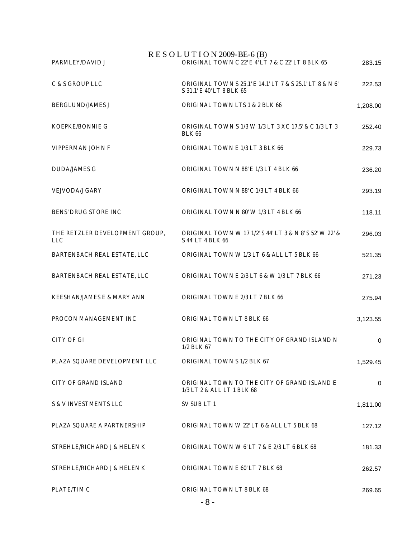|                                              | $R E S O L U T I O N 2009-BE-6 (B)$                                                   |          |
|----------------------------------------------|---------------------------------------------------------------------------------------|----------|
| PARMLEY/DAVID J                              | ORIGINAL TOWN C 22' E 4' LT 7 & C 22' LT 8 BLK 65                                     | 283.15   |
| C & S GROUP LLC                              | ORIGINAL TOWN S 25.1' E 14.1' LT 7 & S 25.1' LT 8 & N 6'<br>S 31.1' E 40' LT 8 BLK 65 | 222.53   |
| <b>BERGLUND/JAMES J</b>                      | ORIGINAL TOWN LTS 1 & 2 BLK 66                                                        | 1,208.00 |
| <b>KOEPKE/BONNIE G</b>                       | ORIGINAL TOWN S 1/3 W 1/3 LT 3 XC 17.5' & C 1/3 LT 3<br><b>BLK 66</b>                 | 252.40   |
| <b>VIPPERMAN JOHN F</b>                      | ORIGINAL TOWN E 1/3 LT 3 BLK 66                                                       | 229.73   |
| <b>DUDA/JAMES G</b>                          | ORIGINAL TOWN N 88' E 1/3 LT 4 BLK 66                                                 | 236.20   |
| <b>VEJVODA/J GARY</b>                        | ORIGINAL TOWN N 88' C 1/3 LT 4 BLK 66                                                 | 293.19   |
| BENS' DRUG STORE INC                         | ORIGINAL TOWN N 80' W 1/3 LT 4 BLK 66                                                 | 118.11   |
| THE RETZLER DEVELOPMENT GROUP,<br><b>LLC</b> | ORIGINAL TOWN W 17 1/2' S 44' LT 3 & N 8' S 52' W 22' &<br>S 44' LT 4 BLK 66          | 296.03   |
| BARTENBACH REAL ESTATE, LLC                  | ORIGINAL TOWN W 1/3 LT 6 & ALL LT 5 BLK 66                                            | 521.35   |
| BARTENBACH REAL ESTATE, LLC                  | ORIGINAL TOWN E 2/3 LT 6 & W 1/3 LT 7 BLK 66                                          | 271.23   |
| KEESHAN/JAMES E & MARY ANN                   | ORIGINAL TOWN E 2/3 LT 7 BLK 66                                                       | 275.94   |
| PROCON MANAGEMENT INC                        | ORIGINAL TOWN LT 8 BLK 66                                                             | 3,123.55 |
| CITY OF GI                                   | ORIGINAL TOWN TO THE CITY OF GRAND ISLAND N<br>1/2 BLK 67                             | 0        |
| PLAZA SQUARE DEVELOPMENT LLC                 | ORIGINAL TOWN S 1/2 BLK 67                                                            | 1,529.45 |
| CITY OF GRAND ISLAND                         | ORIGINAL TOWN TO THE CITY OF GRAND ISLAND E<br>1/3 LT 2 & ALL LT 1 BLK 68             | 0        |
| S & V INVESTMENTS LLC                        | SV SUBLT <sub>1</sub>                                                                 | 1,811.00 |
| PLAZA SQUARE A PARTNERSHIP                   | ORIGINAL TOWN W 22' LT 6 & ALL LT 5 BLK 68                                            | 127.12   |
| STREHLE/RICHARD J & HELEN K                  | ORIGINAL TOWN W 6' LT 7 & E 2/3 LT 6 BLK 68                                           | 181.33   |
| STREHLE/RICHARD J & HELEN K                  | ORIGINAL TOWN E 60' LT 7 BLK 68                                                       | 262.57   |
| PLATE/TIM C                                  | ORIGINAL TOWN LT 8 BLK 68<br>$-8-$                                                    | 269.65   |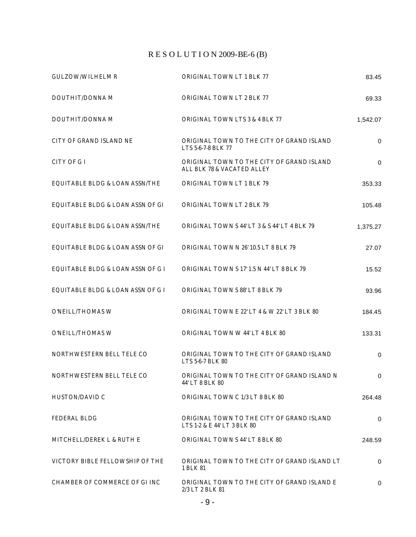| <b>GULZOW/WILHELM R</b>           | ORIGINAL TOWN LT 1 BLK 77                                                | 83.45       |
|-----------------------------------|--------------------------------------------------------------------------|-------------|
| DOUTHIT/DONNA M                   | ORIGINAL TOWN LT 2 BLK 77                                                | 69.33       |
| DOUTHIT/DONNA M                   | ORIGINAL TOWN LTS 3 & 4 BLK 77                                           | 1,542.07    |
| CITY OF GRAND ISLAND NE           | ORIGINAL TOWN TO THE CITY OF GRAND ISLAND<br>LTS 5-6-7-8 BLK 77          | 0           |
| CITY OF GI                        | ORIGINAL TOWN TO THE CITY OF GRAND ISLAND<br>ALL BLK 78 & VACATED ALLEY  | $\mathbf 0$ |
| EQUITABLE BLDG & LOAN ASSN/THE    | ORIGINAL TOWN LT 1 BLK 79                                                | 353.33      |
| EQUITABLE BLDG & LOAN ASSN OF GI  | ORIGINAL TOWN LT 2 BLK 79                                                | 105.48      |
| EQUITABLE BLDG & LOAN ASSN/THE    | ORIGINAL TOWN S 44' LT 3 & S 44' LT 4 BLK 79                             | 1,375.27    |
| EQUITABLE BLDG & LOAN ASSN OF GI  | ORIGINAL TOWN N 26' 10.5 LT 8 BLK 79                                     | 27.07       |
| EQUITABLE BLDG & LOAN ASSN OF G I | ORIGINAL TOWN S 17' 1.5 N 44' LT 8 BLK 79                                | 15.52       |
| EQUITABLE BLDG & LOAN ASSN OF G I | ORIGINAL TOWN S 88' LT 8 BLK 79                                          | 93.96       |
| <b>O'NEILL/THOMAS W</b>           | ORIGINAL TOWN E 22' LT 4 & W 22' LT 3 BLK 80                             | 184.45      |
| O'NEILL/THOMAS W                  | ORIGINAL TOWN W 44' LT 4 BLK 80                                          | 133.31      |
| NORTHWESTERN BELL TELE CO         | ORIGINAL TOWN TO THE CITY OF GRAND ISLAND<br>LTS 5-6-7 BLK 80            | $\mathbf 0$ |
| NORTHWESTERN BELL TELE CO         | ORIGINAL TOWN TO THE CITY OF GRAND ISLAND N<br>44' LT 8 BLK 80           | 0           |
| HUSTON/DAVID C                    | ORIGINAL TOWN C 1/3 LT 8 BLK 80                                          | 264.48      |
| <b>FEDERAL BLDG</b>               | ORIGINAL TOWN TO THE CITY OF GRAND ISLAND<br>LTS 1-2 & E 44' LT 3 BLK 80 | 0           |
| MITCHELL/DEREK L & RUTH E         | ORIGINAL TOWN S 44' LT 8 BLK 80                                          | 248.59      |
| VICTORY BIBLE FELLOWSHIP OF THE   | ORIGINAL TOWN TO THE CITY OF GRAND ISLAND LT<br>1 BLK 81                 | 0           |
| CHAMBER OF COMMERCE OF GI INC     | ORIGINAL TOWN TO THE CITY OF GRAND ISLAND E<br>2/3 LT 2 BLK 81           | 0           |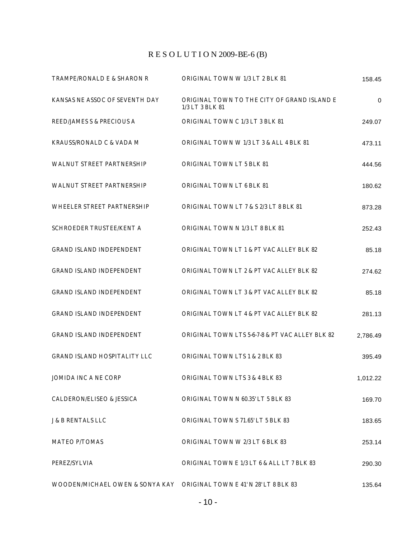| TRAMPE/RONALD E & SHARON R                                            | ORIGINAL TOWN W 1/3 LT 2 BLK 81                                | 158.45    |
|-----------------------------------------------------------------------|----------------------------------------------------------------|-----------|
| KANSAS NE ASSOC OF SEVENTH DAY                                        | ORIGINAL TOWN TO THE CITY OF GRAND ISLAND E<br>1/3 LT 3 BLK 81 | $\pmb{0}$ |
| REED/JAMES S & PRECIOUS A                                             | ORIGINAL TOWN C 1/3 LT 3 BLK 81                                | 249.07    |
| KRAUSS/RONALD C & VADA M                                              | ORIGINAL TOWN W 1/3 LT 3 & ALL 4 BLK 81                        | 473.11    |
| WALNUT STREET PARTNERSHIP                                             | ORIGINAL TOWN LT 5 BLK 81                                      | 444.56    |
| WALNUT STREET PARTNERSHIP                                             | ORIGINAL TOWN LT 6 BLK 81                                      | 180.62    |
| WHEELER STREET PARTNERSHIP                                            | ORIGINAL TOWN LT 7 & S 2/3 LT 8 BLK 81                         | 873.28    |
| SCHROEDER TRUSTEE/KENT A                                              | ORIGINAL TOWN N 1/3 LT 8 BLK 81                                | 252.43    |
| <b>GRAND ISLAND INDEPENDENT</b>                                       | ORIGINAL TOWN LT 1 & PT VAC ALLEY BLK 82                       | 85.18     |
| <b>GRAND ISLAND INDEPENDENT</b>                                       | ORIGINAL TOWN LT 2 & PT VAC ALLEY BLK 82                       | 274.62    |
| <b>GRAND ISLAND INDEPENDENT</b>                                       | ORIGINAL TOWN LT 3 & PT VAC ALLEY BLK 82                       | 85.18     |
| <b>GRAND ISLAND INDEPENDENT</b>                                       | ORIGINAL TOWN LT 4 & PT VAC ALLEY BLK 82                       | 281.13    |
| <b>GRAND ISLAND INDEPENDENT</b>                                       | ORIGINAL TOWN LTS 5-6-7-8 & PT VAC ALLEY BLK 82                | 2,786.49  |
| <b>GRAND ISLAND HOSPITALITY LLC</b>                                   | ORIGINAL TOWN LTS 1 & 2 BLK 83                                 | 395.49    |
| JOMIDA INC A NE CORP                                                  | ORIGINAL TOWN LTS 3 & 4 BLK 83                                 | 1,012.22  |
| <b>CALDERON/ELISEO &amp; JESSICA</b>                                  | ORIGINAL TOWN N 60.35' LT 5 BLK 83                             | 169.70    |
| <b>J &amp; B RENTALS LLC</b>                                          | ORIGINAL TOWN S 71.65' LT 5 BLK 83                             | 183.65    |
| <b>MATEO P/TOMAS</b>                                                  | ORIGINAL TOWN W 2/3 LT 6 BLK 83                                | 253.14    |
| PEREZ/SYLVIA                                                          | ORIGINAL TOWN E 1/3 LT 6 & ALL LT 7 BLK 83                     | 290.30    |
| WOODEN/MICHAEL OWEN & SONYA KAY ORIGINAL TOWN E 41' N 28' LT 8 BLK 83 |                                                                | 135.64    |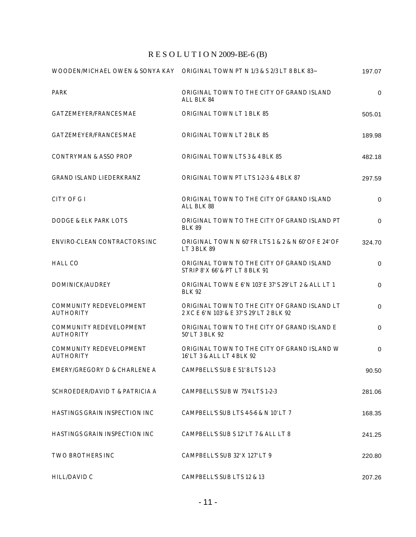|                                                    | WOODEN/MICHAEL OWEN & SONYA KAY ORIGINAL TOWN PT N 1/3 & S 2/3 LT 8 BLK 83~                | 197.07      |
|----------------------------------------------------|--------------------------------------------------------------------------------------------|-------------|
| <b>PARK</b>                                        | ORIGINAL TOWN TO THE CITY OF GRAND ISLAND<br>ALL BLK 84                                    | 0           |
| <b>GATZEMEYER/FRANCES MAE</b>                      | ORIGINAL TOWN LT 1 BLK 85                                                                  | 505.01      |
| <b>GATZEMEYER/FRANCES MAE</b>                      | ORIGINAL TOWN LT 2 BLK 85                                                                  | 189.98      |
| <b>CONTRYMAN &amp; ASSO PROP</b>                   | ORIGINAL TOWN LTS 3 & 4 BLK 85                                                             | 482.18      |
| GRAND ISLAND LIEDERKRANZ                           | ORIGINAL TOWN PT LTS 1-2-3 & 4 BLK 87                                                      | 297.59      |
| CITY OF G I                                        | ORIGINAL TOWN TO THE CITY OF GRAND ISLAND<br>ALL BLK 88                                    | 0           |
| DODGE & ELK PARK LOTS                              | ORIGINAL TOWN TO THE CITY OF GRAND ISLAND PT<br><b>BLK 89</b>                              | $\Omega$    |
| ENVIRO-CLEAN CONTRACTORS INC                       | ORIGINAL TOWN N 60' FR LTS 1 & 2 & N 60' OF E 24' OF<br>LT 3 BLK 89                        | 324.70      |
| <b>HALL CO</b>                                     | ORIGINAL TOWN TO THE CITY OF GRAND ISLAND<br>STRIP 8' X 66' & PT LT 8 BLK 91               | $\Omega$    |
| DOMINICK/AUDREY                                    | ORIGINAL TOWN E 6' N 103' E 37' S 29' LT 2 & ALL LT 1<br><b>BLK 92</b>                     | 0           |
| <b>COMMUNITY REDEVELOPMENT</b><br><b>AUTHORITY</b> | ORIGINAL TOWN TO THE CITY OF GRAND ISLAND LT<br>2 XC E 6' N 103' & E 37' S 29' LT 2 BLK 92 | 0           |
| <b>COMMUNITY REDEVELOPMENT</b><br><b>AUTHORITY</b> | ORIGINAL TOWN TO THE CITY OF GRAND ISLAND E<br>50' LT 3 BLK 92                             | $\mathbf 0$ |
| <b>COMMUNITY REDEVELOPMENT</b><br><b>AUTHORITY</b> | ORIGINAL TOWN TO THE CITY OF GRAND ISLAND W<br>16' LT 3 & ALL LT 4 BLK 92                  | 0           |
| EMERY/GREGORY D & CHARLENE A                       | CAMPBELL'S SUB E 51' 8 LTS 1-2-3                                                           | 90.50       |
| SCHROEDER/DAVID T & PATRICIA A                     | CAMPBELL'S SUB W 75'4 LTS 1-2-3                                                            | 281.06      |
| HASTINGS GRAIN INSPECTION INC                      | CAMPBELL'S SUB LTS 4-5-6 & N 10' LT 7                                                      | 168.35      |
| HASTINGS GRAIN INSPECTION INC                      | CAMPBELL'S SUB S 12' LT 7 & ALL LT 8                                                       | 241.25      |
| TWO BROTHERS INC                                   | CAMPBELL'S SUB 32' X 127' LT 9                                                             | 220.80      |
| HILL/DAVID C                                       | CAMPBELL'S SUB LTS 12 & 13                                                                 | 207.26      |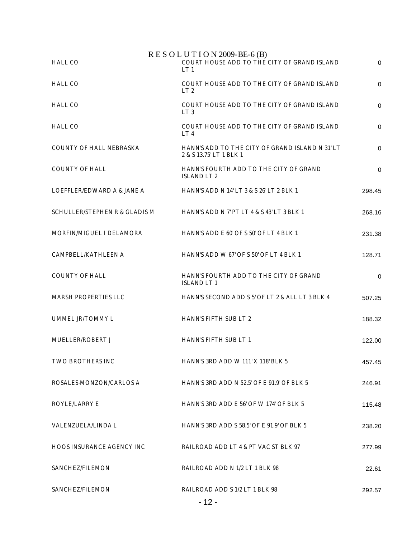| <b>HALL CO</b>                           | $R E S O L U T I O N 2009-BE-6 (B)$<br>COURT HOUSE ADD TO THE CITY OF GRAND ISLAND<br>LT <sub>1</sub> | $\Omega$    |
|------------------------------------------|-------------------------------------------------------------------------------------------------------|-------------|
| <b>HALL CO</b>                           | COURT HOUSE ADD TO THE CITY OF GRAND ISLAND<br>LT <sub>2</sub>                                        | $\mathbf 0$ |
| <b>HALL CO</b>                           | COURT HOUSE ADD TO THE CITY OF GRAND ISLAND<br>LT <sub>3</sub>                                        | $\mathbf 0$ |
| <b>HALL CO</b>                           | COURT HOUSE ADD TO THE CITY OF GRAND ISLAND<br>LT4                                                    | $\mathbf 0$ |
| <b>COUNTY OF HALL NEBRASKA</b>           | HANN'S ADD TO THE CITY OF GRAND ISLAND N 31'LT<br>2 & S 13.75' LT 1 BLK 1                             | $\mathbf 0$ |
| <b>COUNTY OF HALL</b>                    | HANN'S FOURTH ADD TO THE CITY OF GRAND<br><b>ISLAND LT 2</b>                                          | 0           |
| LOEFFLER/EDWARD A & JANE A               | <b>HANN'S ADD N 14' LT 3 &amp; S 26' LT 2 BLK 1</b>                                                   | 298.45      |
| <b>SCHULLER/STEPHEN R &amp; GLADIS M</b> | HANN'S ADD N 7' PT LT 4 & S 43' LT 3 BLK 1                                                            | 268.16      |
| MORFIN/MIGUEL I DELAMORA                 | HANN'S ADD E 60' OF S 50' OF LT 4 BLK 1                                                               | 231.38      |
| CAMPBELL/KATHLEEN A                      | HANN'S ADD W 67' OF S 50' OF LT 4 BLK 1                                                               | 128.71      |
| <b>COUNTY OF HALL</b>                    | HANN'S FOURTH ADD TO THE CITY OF GRAND<br><b>ISLAND LT 1</b>                                          | $\mathbf 0$ |
| <b>MARSH PROPERTIES LLC</b>              | HANN'S SECOND ADD S 5' OF LT 2 & ALL LT 3 BLK 4                                                       | 507.25      |
| UMMEL JR/TOMMY L                         | <b>HANN'S FIFTH SUB LT 2</b>                                                                          | 188.32      |
| MUELLER/ROBERT J                         | HANN'S FIFTH SUBLT 1                                                                                  | 122.00      |
| TWO BROTHERS INC                         | HANN'S 3RD ADD W 111' X 118' BLK 5                                                                    | 457.45      |
| ROSALES-MONZON/CARLOS A                  | <b>HANN'S 3RD ADD N 52.5' OF E 91.9' OF BLK 5</b>                                                     | 246.91      |
| ROYLE/LARRY E                            | HANN'S 3RD ADD E 56' OF W 174' OF BLK 5                                                               | 115.48      |
| VALENZUELA/LINDA L                       | HANN'S 3RD ADD S 58.5' OF E 91.9' OF BLK 5                                                            | 238.20      |
| <b>HOOS INSURANCE AGENCY INC</b>         | RAILROAD ADD LT 4 & PT VAC ST BLK 97                                                                  | 277.99      |
| SANCHEZ/FILEMON                          | RAILROAD ADD N 1/2 LT 1 BLK 98                                                                        | 22.61       |
| SANCHEZ/FILEMON                          | RAILROAD ADD S 1/2 LT 1 BLK 98<br>$-12-$                                                              | 292.57      |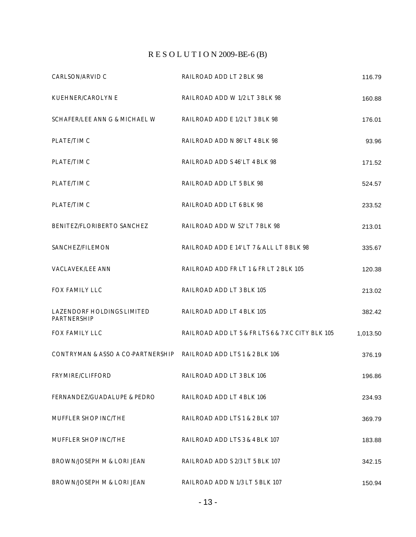| CARLSON/ARVID C                                                  | RAILROAD ADD LT 2 BLK 98                         | 116.79   |
|------------------------------------------------------------------|--------------------------------------------------|----------|
| KUEHNER/CAROLYN E                                                | RAILROAD ADD W 1/2 LT 3 BLK 98                   | 160.88   |
| SCHAFER/LEE ANN G & MICHAEL W                                    | RAILROAD ADD E 1/2 LT 3 BLK 98                   | 176.01   |
| PLATE/TIM C                                                      | RAILROAD ADD N 86' LT 4 BLK 98                   | 93.96    |
| PLATE/TIM C                                                      | RAILROAD ADD S 46' LT 4 BLK 98                   | 171.52   |
| PLATE/TIM C                                                      | RAILROAD ADD LT 5 BLK 98                         | 524.57   |
| PLATE/TIM C                                                      | RAILROAD ADD LT 6 BLK 98                         | 233.52   |
| BENITEZ/FLORIBERTO SANCHEZ                                       | RAILROAD ADD W 52' LT 7 BLK 98                   | 213.01   |
| SANCHEZ/FILEMON                                                  | RAILROAD ADD E 14' LT 7 & ALL LT 8 BLK 98        | 335.67   |
| <b>VACLAVEK/LEE ANN</b>                                          | RAILROAD ADD FR LT 1 & FR LT 2 BLK 105           | 120.38   |
| <b>FOX FAMILY LLC</b>                                            | RAILROAD ADD LT 3 BLK 105                        | 213.02   |
| LAZENDORF HOLDINGS LIMITED<br>PARTNERSHIP                        | RAILROAD ADD LT 4 BLK 105                        | 382.42   |
| FOX FAMILY LLC                                                   | RAILROAD ADD LT 5 & FR LTS 6 & 7 XC CITY BLK 105 | 1,013.50 |
| CONTRYMAN & ASSO A CO-PARTNERSHIP RAILROAD ADD LTS 1 & 2 BLK 106 |                                                  | 376.19   |
| FRYMIRE/CLIFFORD                                                 | RAILROAD ADD LT 3 BLK 106                        | 196.86   |
| <b>FERNANDEZ/GUADALUPE &amp; PEDRO</b>                           | RAILROAD ADD LT 4 BLK 106                        | 234.93   |
| MUFFLER SHOP INC/THE                                             | RAILROAD ADD LTS 1 & 2 BLK 107                   | 369.79   |
| MUFFLER SHOP INC/THE                                             | RAILROAD ADD LTS 3 & 4 BLK 107                   | 183.88   |
| BROWN/JOSEPH M & LORI JEAN                                       | RAILROAD ADD S 2/3 LT 5 BLK 107                  | 342.15   |
| BROWN/JOSEPH M & LORI JEAN                                       | RAILROAD ADD N 1/3 LT 5 BLK 107                  | 150.94   |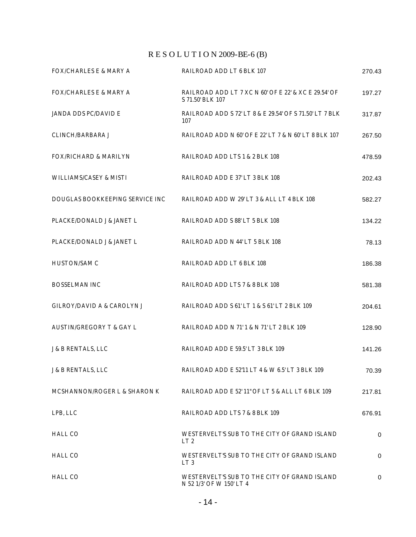| <b>FOX/CHARLES E &amp; MARY A</b>     | RAILROAD ADD LT 6 BLK 107                                                | 270.43   |
|---------------------------------------|--------------------------------------------------------------------------|----------|
| <b>FOX/CHARLES E &amp; MARY A</b>     | RAILROAD ADD LT 7 XC N 60' OF E 22' & XC E 29.54' OF<br>S 71.50' BLK 107 | 197.27   |
| JANDA DDS PC/DAVID E                  | RAILROAD ADD S 72' LT 8 & E 29.54' OF S 71.50' LT 7 BLK<br>107           | 317.87   |
| CLINCH/BARBARA J                      | RAILROAD ADD N 60' OF E 22' LT 7 & N 60' LT 8 BLK 107                    | 267.50   |
| <b>FOX/RICHARD &amp; MARILYN</b>      | RAILROAD ADD LTS 1 & 2 BLK 108                                           | 478.59   |
| WILLIAMS/CASEY & MISTI                | RAILROAD ADD E 37' LT 3 BLK 108                                          | 202.43   |
| DOUGLAS BOOKKEEPING SERVICE INC       | RAILROAD ADD W 29' LT 3 & ALL LT 4 BLK 108                               | 582.27   |
| PLACKE/DONALD J & JANET L             | RAILROAD ADD S 88' LT 5 BLK 108                                          | 134.22   |
| PLACKE/DONALD J & JANET L             | RAILROAD ADD N 44' LT 5 BLK 108                                          | 78.13    |
| <b>HUSTON/SAM C</b>                   | RAILROAD ADD LT 6 BLK 108                                                | 186.38   |
| <b>BOSSELMAN INC</b>                  | RAILROAD ADD LTS 7 & 8 BLK 108                                           | 581.38   |
| <b>GILROY/DAVID A &amp; CAROLYN J</b> | RAILROAD ADD S 61' LT 1 & S 61' LT 2 BLK 109                             | 204.61   |
| <b>AUSTIN/GREGORY T &amp; GAY L</b>   | RAILROAD ADD N 71' 1 & N 71' LT 2 BLK 109                                | 128.90   |
| <b>J &amp; B RENTALS, LLC</b>         | RAILROAD ADD E 59.5' LT 3 BLK 109                                        | 141.26   |
| J & B RENTALS, LLC                    | RAILROAD ADD E 52'11 LT 4 & W 6.5' LT 3 BLK 109                          | 70.39    |
| MCSHANNON/ROGER L & SHARON K          | RAILROAD ADD E 52' 11" OF LT 5 & ALL LT 6 BLK 109                        | 217.81   |
| LPB, LLC                              | RAILROAD ADD LTS 7 & 8 BLK 109                                           | 676.91   |
| <b>HALL CO</b>                        | WESTERVELT'S SUB TO THE CITY OF GRAND ISLAND<br>LT <sub>2</sub>          | 0        |
| <b>HALL CO</b>                        | WESTERVELT'S SUB TO THE CITY OF GRAND ISLAND<br>LT <sub>3</sub>          | $\Omega$ |
| <b>HALL CO</b>                        | WESTERVELT'S SUB TO THE CITY OF GRAND ISLAND<br>N 52 1/3' OF W 150' LT 4 | 0        |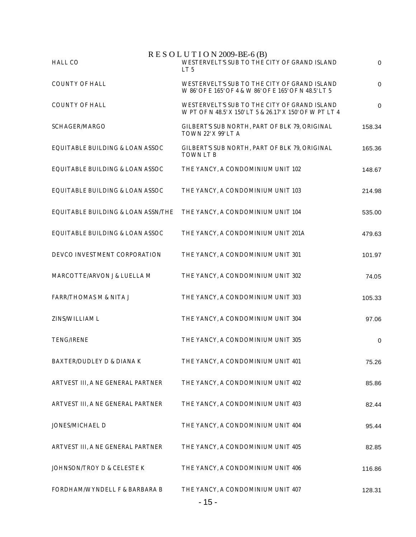| <b>HALL CO</b>                     | $R E S O L U T I O N 2009-BE-6 (B)$<br>WESTERVELT'S SUB TO THE CITY OF GRAND ISLAND<br>LT <sub>5</sub>   | $\mathbf 0$ |
|------------------------------------|----------------------------------------------------------------------------------------------------------|-------------|
| <b>COUNTY OF HALL</b>              | WESTERVELT'S SUB TO THE CITY OF GRAND ISLAND<br>W 86' OF E 165' OF 4 & W 86' OF E 165' OF N 48.5' LT 5   | $\mathbf 0$ |
| <b>COUNTY OF HALL</b>              | WESTERVELT'S SUB TO THE CITY OF GRAND ISLAND<br>W PT OF N 48.5' X 150' LT 5 & 26.17' X 150' OF W PT LT 4 | $\mathbf 0$ |
| SCHAGER/MARGO                      | GILBERT'S SUB NORTH, PART OF BLK 79, ORIGINAL<br>TOWN 22' X 99' LT A                                     | 158.34      |
| EQUITABLE BUILDING & LOAN ASSOC    | GILBERT'S SUB NORTH, PART OF BLK 79, ORIGINAL<br>TOWN LT B                                               | 165.36      |
| EQUITABLE BUILDING & LOAN ASSOC    | THE YANCY, A CONDOMINIUM UNIT 102                                                                        | 148.67      |
| EQUITABLE BUILDING & LOAN ASSOC    | THE YANCY, A CONDOMINIUM UNIT 103                                                                        | 214.98      |
| EQUITABLE BUILDING & LOAN ASSN/THE | THE YANCY, A CONDOMINIUM UNIT 104                                                                        | 535.00      |
| EQUITABLE BUILDING & LOAN ASSOC    | THE YANCY, A CONDOMINIUM UNIT 201A                                                                       | 479.63      |
| DEVCO INVESTMENT CORPORATION       | THE YANCY, A CONDOMINIUM UNIT 301                                                                        | 101.97      |
| MARCOTTE/ARVON J & LUELLA M        | THE YANCY, A CONDOMINIUM UNIT 302                                                                        | 74.05       |
| <b>FARR/THOMAS M &amp; NITA J</b>  | THE YANCY, A CONDOMINIUM UNIT 303                                                                        | 105.33      |
| ZINS/WILLIAM L                     | THE YANCY, A CONDOMINIUM UNIT 304                                                                        | 97.06       |
| <b>TENG/IRENE</b>                  | THE YANCY, A CONDOMINIUM UNIT 305                                                                        | 0           |
| BAXTER/DUDLEY D & DIANA K          | THE YANCY, A CONDOMINIUM UNIT 401                                                                        | 75.26       |
| ARTVEST III, A NE GENERAL PARTNER  | THE YANCY, A CONDOMINIUM UNIT 402                                                                        | 85.86       |
| ARTVEST III, A NE GENERAL PARTNER  | THE YANCY, A CONDOMINIUM UNIT 403                                                                        | 82.44       |
| <b>JONES/MICHAEL D</b>             | THE YANCY, A CONDOMINIUM UNIT 404                                                                        | 95.44       |
| ARTVEST III, A NE GENERAL PARTNER  | THE YANCY, A CONDOMINIUM UNIT 405                                                                        | 82.85       |
| JOHNSON/TROY D & CELESTE K         | THE YANCY, A CONDOMINIUM UNIT 406                                                                        | 116.86      |
| FORDHAM/WYNDELL F & BARBARA B      | THE YANCY, A CONDOMINIUM UNIT 407<br>$-15-$                                                              | 128.31      |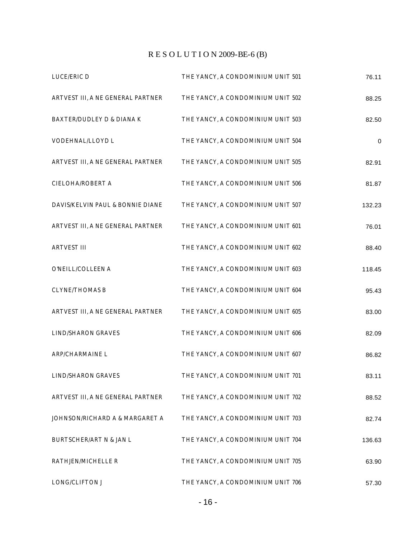| LUCE/ERIC D                        | THE YANCY, A CONDOMINIUM UNIT 501 | 76.11     |
|------------------------------------|-----------------------------------|-----------|
| ARTVEST III, A NE GENERAL PARTNER  | THE YANCY, A CONDOMINIUM UNIT 502 | 88.25     |
| BAXTER/DUDLEY D & DIANA K          | THE YANCY, A CONDOMINIUM UNIT 503 | 82.50     |
| VODEHNAL/LLOYD L                   | THE YANCY, A CONDOMINIUM UNIT 504 | $\pmb{0}$ |
| ARTVEST III, A NE GENERAL PARTNER  | THE YANCY, A CONDOMINIUM UNIT 505 | 82.91     |
| CIELOHA/ROBERT A                   | THE YANCY, A CONDOMINIUM UNIT 506 | 81.87     |
| DAVIS/KELVIN PAUL & BONNIE DIANE   | THE YANCY, A CONDOMINIUM UNIT 507 | 132.23    |
| ARTVEST III, A NE GENERAL PARTNER  | THE YANCY, A CONDOMINIUM UNIT 601 | 76.01     |
| <b>ARTVEST III</b>                 | THE YANCY, A CONDOMINIUM UNIT 602 | 88.40     |
| O'NEILL/COLLEEN A                  | THE YANCY, A CONDOMINIUM UNIT 603 | 118.45    |
| <b>CLYNE/THOMAS B</b>              | THE YANCY, A CONDOMINIUM UNIT 604 | 95.43     |
| ARTVEST III, A NE GENERAL PARTNER  | THE YANCY, A CONDOMINIUM UNIT 605 | 83.00     |
| <b>LIND/SHARON GRAVES</b>          | THE YANCY, A CONDOMINIUM UNIT 606 | 82.09     |
| ARP/CHARMAINE L                    | THE YANCY, A CONDOMINIUM UNIT 607 | 86.82     |
| <b>LIND/SHARON GRAVES</b>          | THE YANCY, A CONDOMINIUM UNIT 701 | 83.11     |
| ARTVEST III, A NE GENERAL PARTNER  | THE YANCY, A CONDOMINIUM UNIT 702 | 88.52     |
| JOHNSON/RICHARD A & MARGARET A     | THE YANCY, A CONDOMINIUM UNIT 703 | 82.74     |
| <b>BURTSCHER/ART N &amp; JAN L</b> | THE YANCY, A CONDOMINIUM UNIT 704 | 136.63    |
| RATHJEN/MICHELLE R                 | THE YANCY, A CONDOMINIUM UNIT 705 | 63.90     |
| <b>LONG/CLIFTON J</b>              | THE YANCY, A CONDOMINIUM UNIT 706 | 57.30     |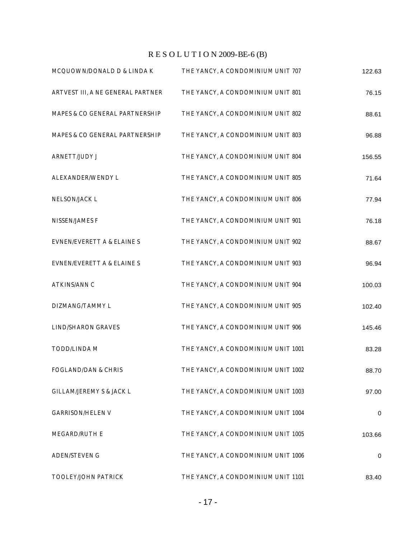| MCQUOWN/DONALD D & LINDA K          | THE YANCY, A CONDOMINIUM UNIT 707  | 122.63      |
|-------------------------------------|------------------------------------|-------------|
| ARTVEST III, A NE GENERAL PARTNER   | THE YANCY, A CONDOMINIUM UNIT 801  | 76.15       |
| MAPES & CO GENERAL PARTNERSHIP      | THE YANCY, A CONDOMINIUM UNIT 802  | 88.61       |
| MAPES & CO GENERAL PARTNERSHIP      | THE YANCY, A CONDOMINIUM UNIT 803  | 96.88       |
| ARNETT/JUDY J                       | THE YANCY, A CONDOMINIUM UNIT 804  | 156.55      |
| ALEXANDER/WENDY L                   | THE YANCY, A CONDOMINIUM UNIT 805  | 71.64       |
| NELSON/JACK L                       | THE YANCY, A CONDOMINIUM UNIT 806  | 77.94       |
| NISSEN/JAMES F                      | THE YANCY, A CONDOMINIUM UNIT 901  | 76.18       |
| EVNEN/EVERETT A & ELAINE S          | THE YANCY, A CONDOMINIUM UNIT 902  | 88.67       |
| EVNEN/EVERETT A & ELAINE S          | THE YANCY, A CONDOMINIUM UNIT 903  | 96.94       |
| <b>ATKINS/ANN C</b>                 | THE YANCY, A CONDOMINIUM UNIT 904  | 100.03      |
| DIZMANG/TAMMY L                     | THE YANCY, A CONDOMINIUM UNIT 905  | 102.40      |
| <b>LIND/SHARON GRAVES</b>           | THE YANCY, A CONDOMINIUM UNIT 906  | 145.46      |
| TODD/LINDA M                        | THE YANCY, A CONDOMINIUM UNIT 1001 | 83.28       |
| <b>FOGLAND/DAN &amp; CHRIS</b>      | THE YANCY, A CONDOMINIUM UNIT 1002 | 88.70       |
| <b>GILLAM/JEREMY S &amp; JACK L</b> | THE YANCY, A CONDOMINIUM UNIT 1003 | 97.00       |
| <b>GARRISON/HELEN V</b>             | THE YANCY, A CONDOMINIUM UNIT 1004 | $\mathbf 0$ |
| <b>MEGARD/RUTH E</b>                | THE YANCY, A CONDOMINIUM UNIT 1005 | 103.66      |
| <b>ADEN/STEVEN G</b>                | THE YANCY, A CONDOMINIUM UNIT 1006 | 0           |
| TOOLEY/JOHN PATRICK                 | THE YANCY, A CONDOMINIUM UNIT 1101 | 83.40       |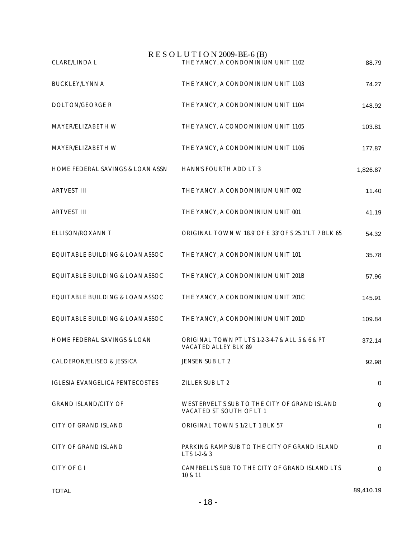| <b>CLARE/LINDA L</b>                  | $R E S O L U T I O N 2009-BE-6 (B)$<br>THE YANCY, A CONDOMINIUM UNIT 1102 | 88.79     |
|---------------------------------------|---------------------------------------------------------------------------|-----------|
| <b>BUCKLEY/LYNN A</b>                 | THE YANCY, A CONDOMINIUM UNIT 1103                                        | 74.27     |
| DOLTON/GEORGE R                       | THE YANCY, A CONDOMINIUM UNIT 1104                                        | 148.92    |
| MAYER/ELIZABETH W                     | THE YANCY, A CONDOMINIUM UNIT 1105                                        | 103.81    |
| MAYER/ELIZABETH W                     | THE YANCY, A CONDOMINIUM UNIT 1106                                        | 177.87    |
| HOME FEDERAL SAVINGS & LOAN ASSN      | HANN'S FOURTH ADD LT 3                                                    | 1,826.87  |
| <b>ARTVEST III</b>                    | THE YANCY, A CONDOMINIUM UNIT 002                                         | 11.40     |
| <b>ARTVEST III</b>                    | THE YANCY, A CONDOMINIUM UNIT 001                                         | 41.19     |
| ELLISON/ROXANN T                      | ORIGINAL TOWN W 18.9' OF E 33' OF S 25.1' LT 7 BLK 65                     | 54.32     |
| EQUITABLE BUILDING & LOAN ASSOC       | THE YANCY, A CONDOMINIUM UNIT 101                                         | 35.78     |
| EQUITABLE BUILDING & LOAN ASSOC       | THE YANCY, A CONDOMINIUM UNIT 201B                                        | 57.96     |
| EQUITABLE BUILDING & LOAN ASSOC       | THE YANCY, A CONDOMINIUM UNIT 201C                                        | 145.91    |
| EQUITABLE BUILDING & LOAN ASSOC       | THE YANCY, A CONDOMINIUM UNIT 201D                                        | 109.84    |
| HOME FEDERAL SAVINGS & LOAN           | ORIGINAL TOWN PT LTS 1-2-3-4-7 & ALL 5 & 6 & PT<br>VACATED ALLEY BLK 89   | 372.14    |
| <b>CALDERON/ELISEO &amp; JESSICA</b>  | <b>JENSEN SUBLT 2</b>                                                     | 92.98     |
| <b>IGLESIA EVANGELICA PENTECOSTES</b> | ZILLER SUBLT 2                                                            | 0         |
| <b>GRAND ISLAND/CITY OF</b>           | WESTERVELT'S SUB TO THE CITY OF GRAND ISLAND<br>VACATED ST SOUTH OF LT 1  | 0         |
| <b>CITY OF GRAND ISLAND</b>           | ORIGINAL TOWN S 1/2 LT 1 BLK 57                                           | 0         |
| <b>CITY OF GRAND ISLAND</b>           | PARKING RAMP SUB TO THE CITY OF GRAND ISLAND<br>LTS 1-2-& 3               | 0         |
| CITY OF G I                           | CAMPBELL'S SUB TO THE CITY OF GRAND ISLAND LTS<br>10 & 11                 | 0         |
| <b>TOTAL</b>                          |                                                                           | 89,410.19 |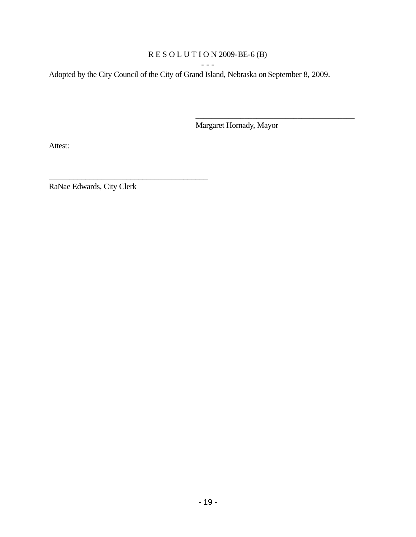- - -

Adopted by the City Council of the City of Grand Island, Nebraska on September 8, 2009.

Margaret Hornady, Mayor

\_\_\_\_\_\_\_\_\_\_\_\_\_\_\_\_\_\_\_\_\_\_\_\_\_\_\_\_\_\_\_\_\_\_\_\_\_\_\_

Attest:

RaNae Edwards, City Clerk

\_\_\_\_\_\_\_\_\_\_\_\_\_\_\_\_\_\_\_\_\_\_\_\_\_\_\_\_\_\_\_\_\_\_\_\_\_\_\_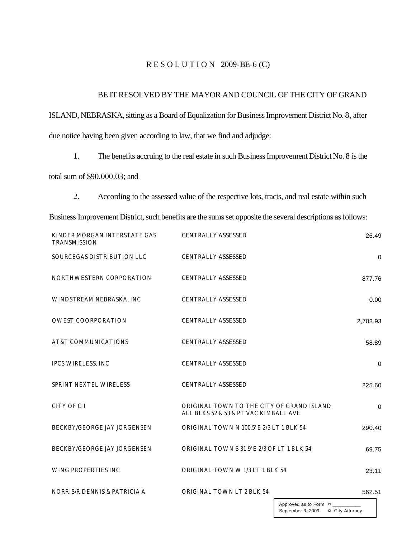#### BE IT RESOLVED BY THE MAYOR AND COUNCIL OF THE CITY OF GRAND

ISLAND, NEBRASKA, sitting as a Board of Equalization for Business Improvement District No. 8, after due notice having been given according to law, that we find and adjudge:

1. The benefits accruing to the real estate in such Business Improvement District No. 8 is the total sum of \$90,000.03; and

2. According to the assessed value of the respective lots, tracts, and real estate within such

Business Improvement District, such benefits are the sums set opposite the several descriptions as follows:

| KINDER MORGAN INTERSTATE GAS<br><b>TRANSMISSION</b> | <b>CENTRALLY ASSESSED</b>                                                          | 26.49       |
|-----------------------------------------------------|------------------------------------------------------------------------------------|-------------|
| SOURCEGAS DISTRIBUTION LLC                          | <b>CENTRALLY ASSESSED</b>                                                          | $\Omega$    |
| NORTHWESTERN CORPORATION                            | <b>CENTRALLY ASSESSED</b>                                                          | 877.76      |
| WINDSTREAM NEBRASKA, INC                            | <b>CENTRALLY ASSESSED</b>                                                          | 0.00        |
| QWEST COORPORATION                                  | <b>CENTRALLY ASSESSED</b>                                                          | 2,703.93    |
| AT&T COMMUNICATIONS                                 | <b>CENTRALLY ASSESSED</b>                                                          | 58.89       |
| IPCS WIRELESS, INC                                  | <b>CENTRALLY ASSESSED</b>                                                          | $\mathbf 0$ |
| SPRINT NEXTEL WIRELESS                              | <b>CENTRALLY ASSESSED</b>                                                          | 225.60      |
| CITY OF G I                                         | ORIGINAL TOWN TO THE CITY OF GRAND ISLAND<br>ALL BLKS 52 & 53 & PT VAC KIMBALL AVE | $\mathbf 0$ |
| BECKBY/GEORGE JAY JORGENSEN                         | ORIGINAL TOWN N 100.5' E 2/3 LT 1 BLK 54                                           | 290.40      |
| BECKBY/GEORGE JAY JORGENSEN                         | ORIGINAL TOWN S 31.9' E 2/3 OF LT 1 BLK 54                                         | 69.75       |
| WING PROPERTIES INC                                 | ORIGINAL TOWN W 1/3 LT 1 BLK 54                                                    | 23.11       |
| NORRIS/R DENNIS & PATRICIA A                        | ORIGINAL TOWN LT 2 BLK 54                                                          | 562.51      |

Approved as to Form  $\Box$ September 3, 2009 ¤ City Attorney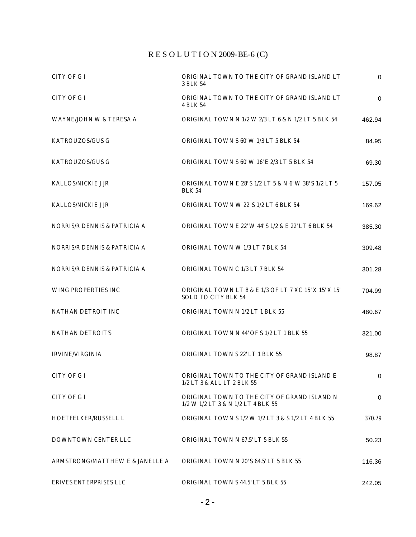| CITY OF G I                     | ORIGINAL TOWN TO THE CITY OF GRAND ISLAND LT<br>3 BLK 54                          | $\mathbf 0$ |
|---------------------------------|-----------------------------------------------------------------------------------|-------------|
| CITY OF GI                      | ORIGINAL TOWN TO THE CITY OF GRAND ISLAND LT<br>4 BLK 54                          | $\mathbf 0$ |
| WAYNE/JOHN W & TERESA A         | ORIGINAL TOWN N 1/2 W 2/3 LT 6 & N 1/2 LT 5 BLK 54                                | 462.94      |
| KATROUZOS/GUS G                 | ORIGINAL TOWN S 60' W 1/3 LT 5 BLK 54                                             | 84.95       |
| KATROUZOS/GUS G                 | ORIGINAL TOWN S 60' W 16' E 2/3 LT 5 BLK 54                                       | 69.30       |
| KALLOS/NICKIE J JR              | ORIGINAL TOWN E 28' S 1/2 LT 5 & N 6' W 38' S 1/2 LT 5<br><b>BLK 54</b>           | 157.05      |
| <b>KALLOS/NICKIE J JR</b>       | ORIGINAL TOWN W 22' S 1/2 LT 6 BLK 54                                             | 169.62      |
| NORRIS/R DENNIS & PATRICIA A    | ORIGINAL TOWN E 22' W 44' S 1/2 & E 22' LT 6 BLK 54                               | 385.30      |
| NORRIS/R DENNIS & PATRICIA A    | ORIGINAL TOWN W 1/3 LT 7 BLK 54                                                   | 309.48      |
| NORRIS/R DENNIS & PATRICIA A    | ORIGINAL TOWN C 1/3 LT 7 BLK 54                                                   | 301.28      |
| WING PROPERTIES INC             | ORIGINAL TOWN LT 8 & E 1/3 OF LT 7 XC 15' X 15' X 15'<br>SOLD TO CITY BLK 54      | 704.99      |
| NATHAN DETROIT INC              | ORIGINAL TOWN N 1/2 LT 1 BLK 55                                                   | 480.67      |
| NATHAN DETROIT'S                | ORIGINAL TOWN N 44' OF S 1/2 LT 1 BLK 55                                          | 321.00      |
| <b>IRVINE/VIRGINIA</b>          | ORIGINAL TOWN S 22' LT 1 BLK 55                                                   | 98.87       |
| CITY OF GI                      | ORIGINAL TOWN TO THE CITY OF GRAND ISLAND E<br>1/2 LT 3 & ALL LT 2 BLK 55         | 0           |
| CITY OF G I                     | ORIGINAL TOWN TO THE CITY OF GRAND ISLAND N<br>1/2 W 1/2 LT 3 & N 1/2 LT 4 BLK 55 | $\mathbf 0$ |
| HOETFELKER/RUSSELL L            | ORIGINAL TOWN S 1/2 W 1/2 LT 3 & S 1/2 LT 4 BLK 55                                | 370.79      |
| DOWNTOWN CENTER LLC             | ORIGINAL TOWN N 67.5' LT 5 BLK 55                                                 | 50.23       |
| ARMSTRONG/MATTHEW E & JANELLE A | ORIGINAL TOWN N 20' S 64.5' LT 5 BLK 55                                           | 116.36      |
| ERIVES ENTERPRISES LLC          | ORIGINAL TOWN S 44.5' LT 5 BLK 55                                                 | 242.05      |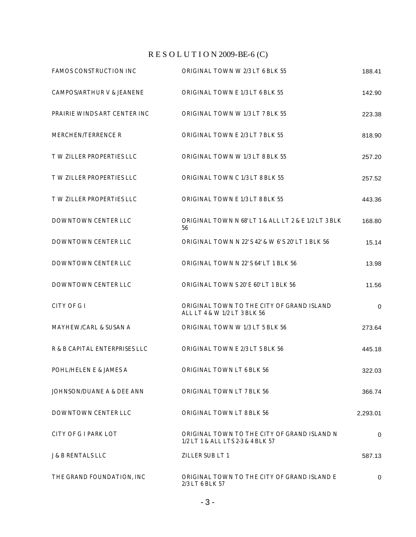| FAMOS CONSTRUCTION INC               | ORIGINAL TOWN W 2/3 LT 6 BLK 55                                                  | 188.41   |
|--------------------------------------|----------------------------------------------------------------------------------|----------|
| <b>CAMPOS/ARTHUR V &amp; JEANENE</b> | ORIGINAL TOWN E 1/3 LT 6 BLK 55                                                  | 142.90   |
| PRAIRIE WINDS ART CENTER INC         | ORIGINAL TOWN W 1/3 LT 7 BLK 55                                                  | 223.38   |
| MERCHEN/TERRENCE R                   | ORIGINAL TOWN E 2/3 LT 7 BLK 55                                                  | 818.90   |
| T W ZILLER PROPERTIES LLC            | ORIGINAL TOWN W 1/3 LT 8 BLK 55                                                  | 257.20   |
| T W ZILLER PROPERTIES LLC            | ORIGINAL TOWN C 1/3 LT 8 BLK 55                                                  | 257.52   |
| T W ZILLER PROPERTIES LLC            | ORIGINAL TOWN E 1/3 LT 8 BLK 55                                                  | 443.36   |
| DOWNTOWN CENTER LLC                  | ORIGINAL TOWN N 68' LT 1 & ALL LT 2 & E 1/2 LT 3 BLK<br>56                       | 168.80   |
| DOWNTOWN CENTER LLC                  | ORIGINAL TOWN N 22' S 42' & W 6' S 20' LT 1 BLK 56                               | 15.14    |
| DOWNTOWN CENTER LLC                  | ORIGINAL TOWN N 22' S 64' LT 1 BLK 56                                            | 13.98    |
| DOWNTOWN CENTER LLC                  | ORIGINAL TOWN S 20' E 60' LT 1 BLK 56                                            | 11.56    |
| CITY OF GI                           | ORIGINAL TOWN TO THE CITY OF GRAND ISLAND<br>ALL LT 4 & W 1/2 LT 3 BLK 56        | 0        |
| <b>MAYHEW/CARL &amp; SUSAN A</b>     | ORIGINAL TOWN W 1/3 LT 5 BLK 56                                                  | 273.64   |
| R & B CAPITAL ENTERPRISES LLC        | ORIGINAL TOWN E 2/3 LT 5 BLK 56                                                  | 445.18   |
| POHL/HELEN E & JAMES A               | ORIGINAL TOWN LT 6 BLK 56                                                        | 322.03   |
| JOHNSON/DUANE A & DEE ANN            | ORIGINAL TOWN LT 7 BLK 56                                                        | 366.74   |
| DOWNTOWN CENTER LLC                  | ORIGINAL TOWN LT 8 BLK 56                                                        | 2,293.01 |
| CITY OF G I PARK LOT                 | ORIGINAL TOWN TO THE CITY OF GRAND ISLAND N<br>1/2 LT 1 & ALL LTS 2-3 & 4 BLK 57 | $\Omega$ |
| <b>J &amp; B RENTALS LLC</b>         | ZILLER SUBLT1                                                                    | 587.13   |
| THE GRAND FOUNDATION, INC            | ORIGINAL TOWN TO THE CITY OF GRAND ISLAND E<br>2/3 LT 6 BLK 57                   | 0        |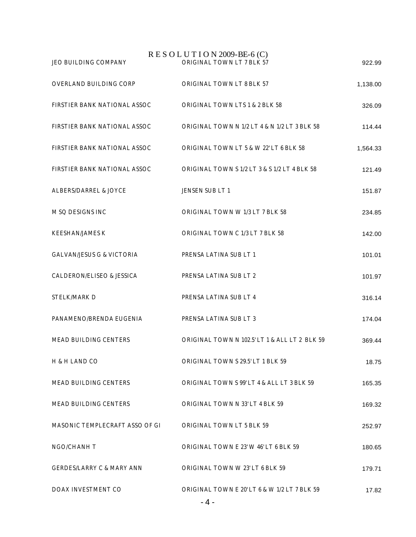| JEO BUILDING COMPANY                 | $R E S O L U T I O N 2009-BE-6 (C)$<br>ORIGINAL TOWN LT 7 BLK 57 | 922.99   |
|--------------------------------------|------------------------------------------------------------------|----------|
| OVERLAND BUILDING CORP               | ORIGINAL TOWN LT 8 BLK 57                                        | 1,138.00 |
| FIRSTIER BANK NATIONAL ASSOC         | ORIGINAL TOWN LTS 1 & 2 BLK 58                                   | 326.09   |
| FIRSTIER BANK NATIONAL ASSOC         | ORIGINAL TOWN N 1/2 LT 4 & N 1/2 LT 3 BLK 58                     | 114.44   |
| FIRSTIER BANK NATIONAL ASSOC         | ORIGINAL TOWN LT 5 & W 22' LT 6 BLK 58                           | 1,564.33 |
| FIRSTIER BANK NATIONAL ASSOC         | ORIGINAL TOWN S 1/2 LT 3 & S 1/2 LT 4 BLK 58                     | 121.49   |
| <b>ALBERS/DARREL &amp; JOYCE</b>     | JENSEN SUB LT 1                                                  | 151.87   |
| M SQ DESIGNS INC                     | ORIGINAL TOWN W 1/3 LT 7 BLK 58                                  | 234.85   |
| <b>KEESHAN/JAMES K</b>               | ORIGINAL TOWN C 1/3 LT 7 BLK 58                                  | 142.00   |
| <b>GALVAN/JESUS G &amp; VICTORIA</b> | PRENSA LATINA SUB LT 1                                           | 101.01   |
| <b>CALDERON/ELISEO &amp; JESSICA</b> | PRENSA LATINA SUB LT 2                                           | 101.97   |
| STELK/MARK D                         | PRENSA LATINA SUB LT 4                                           | 316.14   |
| PANAMENO/BRENDA EUGENIA              | PRENSA LATINA SUB LT 3                                           | 174.04   |
| <b>MEAD BUILDING CENTERS</b>         | ORIGINAL TOWN N 102.5' LT 1 & ALL LT 2 BLK 59                    | 369.44   |
| H & H LAND CO                        | ORIGINAL TOWN S 29.5' LT 1 BLK 59                                | 18.75    |
| MEAD BUILDING CENTERS                | ORIGINAL TOWN S 99' LT 4 & ALL LT 3 BLK 59                       | 165.35   |
| MEAD BUILDING CENTERS                | ORIGINAL TOWN N 33' LT 4 BLK 59                                  | 169.32   |
| MASONIC TEMPLECRAFT ASSO OF GI       | ORIGINAL TOWN LT 5 BLK 59                                        | 252.97   |
| NGO/CHANH T                          | ORIGINAL TOWN E 23' W 46' LT 6 BLK 59                            | 180.65   |
| <b>GERDES/LARRY C &amp; MARY ANN</b> | ORIGINAL TOWN W 23' LT 6 BLK 59                                  | 179.71   |
| DOAX INVESTMENT CO                   | ORIGINAL TOWN E 20' LT 6 & W 1/2 LT 7 BLK 59<br>$-4-$            | 17.82    |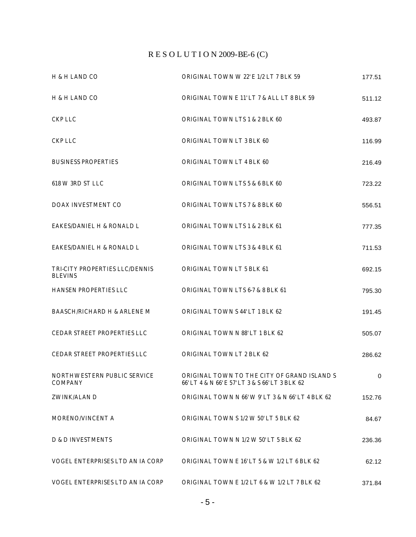| H & H LAND CO                                    | ORIGINAL TOWN W 22' E 1/2 LT 7 BLK 59                                                          | 177.51 |
|--------------------------------------------------|------------------------------------------------------------------------------------------------|--------|
| H & H LAND CO                                    | ORIGINAL TOWN E 11' LT 7 & ALL LT 8 BLK 59                                                     | 511.12 |
| <b>CKP LLC</b>                                   | ORIGINAL TOWN LTS 1 & 2 BLK 60                                                                 | 493.87 |
| <b>CKP LLC</b>                                   | ORIGINAL TOWN LT 3 BLK 60                                                                      | 116.99 |
| <b>BUSINESS PROPERTIES</b>                       | ORIGINAL TOWN LT 4 BLK 60                                                                      | 216.49 |
| 618 W 3RD ST LLC                                 | ORIGINAL TOWN LTS 5 & 6 BLK 60                                                                 | 723.22 |
| DOAX INVESTMENT CO                               | ORIGINAL TOWN LTS 7 & 8 BLK 60                                                                 | 556.51 |
| EAKES/DANIEL H & RONALD L                        | ORIGINAL TOWN LTS 1 & 2 BLK 61                                                                 | 777.35 |
| EAKES/DANIEL H & RONALD L                        | ORIGINAL TOWN LTS 3 & 4 BLK 61                                                                 | 711.53 |
| TRI-CITY PROPERTIES LLC/DENNIS<br><b>BLEVINS</b> | ORIGINAL TOWN LT 5 BLK 61                                                                      | 692.15 |
| HANSEN PROPERTIES LLC                            | ORIGINAL TOWN LTS 6-7 & 8 BLK 61                                                               | 795.30 |
| <b>BAASCH/RICHARD H &amp; ARLENE M</b>           | ORIGINAL TOWN S 44' LT 1 BLK 62                                                                | 191.45 |
| CEDAR STREET PROPERTIES LLC                      | ORIGINAL TOWN N 88' LT 1 BLK 62                                                                | 505.07 |
| CEDAR STREET PROPERTIES LLC                      | ORIGINAL TOWN LT 2 BLK 62                                                                      | 286.62 |
| NORTHWESTERN PUBLIC SERVICE<br><b>COMPANY</b>    | ORIGINAL TOWN TO THE CITY OF GRAND ISLAND S<br>66' LT 4 & N 66' E 57' LT 3 & S 66' LT 3 BLK 62 | 0      |
| ZWINK/ALAN D                                     | ORIGINAL TOWN N 66' W 9' LT 3 & N 66' LT 4 BLK 62                                              | 152.76 |
| MORENO/VINCENT A                                 | ORIGINAL TOWN S 1/2 W 50' LT 5 BLK 62                                                          | 84.67  |
| D & D INVESTMENTS                                | ORIGINAL TOWN N 1/2 W 50' LT 5 BLK 62                                                          | 236.36 |
| VOGEL ENTERPRISES LTD AN IA CORP                 | ORIGINAL TOWN E 16' LT 5 & W 1/2 LT 6 BLK 62                                                   | 62.12  |
| VOGEL ENTERPRISES LTD AN IA CORP                 | ORIGINAL TOWN E 1/2 LT 6 & W 1/2 LT 7 BLK 62                                                   | 371.84 |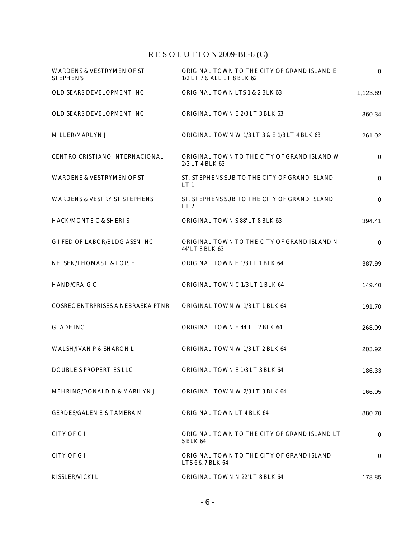| <b>WARDENS &amp; VESTRYMEN OF ST</b><br><b>STEPHEN'S</b> | ORIGINAL TOWN TO THE CITY OF GRAND ISLAND E<br>1/2 LT 7 & ALL LT 8 BLK 62 | $\mathbf 0$ |
|----------------------------------------------------------|---------------------------------------------------------------------------|-------------|
| OLD SEARS DEVELOPMENT INC                                | ORIGINAL TOWN LTS 1 & 2 BLK 63                                            | 1,123.69    |
| OLD SEARS DEVELOPMENT INC                                | ORIGINAL TOWN E 2/3 LT 3 BLK 63                                           | 360.34      |
| MILLER/MARLYN J                                          | ORIGINAL TOWN W 1/3 LT 3 & E 1/3 LT 4 BLK 63                              | 261.02      |
| CENTRO CRISTIANO INTERNACIONAL                           | ORIGINAL TOWN TO THE CITY OF GRAND ISLAND W<br>2/3 LT 4 BLK 63            | 0           |
| WARDENS & VESTRYMEN OF ST                                | ST. STEPHENS SUB TO THE CITY OF GRAND ISLAND<br>LT <sub>1</sub>           | $\mathbf 0$ |
| <b>WARDENS &amp; VESTRY ST STEPHENS</b>                  | ST. STEPHENS SUB TO THE CITY OF GRAND ISLAND<br>LT <sub>2</sub>           | 0           |
| <b>HACK/MONTE C &amp; SHERI S</b>                        | ORIGINAL TOWN S 88' LT 8 BLK 63                                           | 394.41      |
| G I FED OF LABOR/BLDG ASSN INC                           | ORIGINAL TOWN TO THE CITY OF GRAND ISLAND N<br>44' LT 8 BLK 63            | 0           |
| NELSEN/THOMAS L & LOIS E                                 | ORIGINAL TOWN E 1/3 LT 1 BLK 64                                           | 387.99      |
| <b>HAND/CRAIG C</b>                                      | ORIGINAL TOWN C 1/3 LT 1 BLK 64                                           | 149.40      |
| COSREC ENTRPRISES A NEBRASKA PTNR                        | ORIGINAL TOWN W 1/3 LT 1 BLK 64                                           | 191.70      |
| <b>GLADE INC</b>                                         | ORIGINAL TOWN E 44' LT 2 BLK 64                                           | 268.09      |
| <b>WALSH/IVAN P &amp; SHARON L</b>                       | ORIGINAL TOWN W 1/3 LT 2 BLK 64                                           | 203.92      |
| DOUBLE S PROPERTIES LLC                                  | ORIGINAL TOWN E 1/3 LT 3 BLK 64                                           | 186.33      |
| MEHRING/DONALD D & MARILYN J                             | ORIGINAL TOWN W 2/3 LT 3 BLK 64                                           | 166.05      |
| <b>GERDES/GALEN E &amp; TAMERA M</b>                     | ORIGINAL TOWN LT 4 BLK 64                                                 | 880.70      |
| CITY OF GI                                               | ORIGINAL TOWN TO THE CITY OF GRAND ISLAND LT<br>5 BLK 64                  | $\Omega$    |
| CITY OF GI                                               | ORIGINAL TOWN TO THE CITY OF GRAND ISLAND<br>LTS 6 & 7 BLK 64             | 0           |
| KISSLER/VICKI L                                          | ORIGINAL TOWN N 22' LT 8 BLK 64                                           | 178.85      |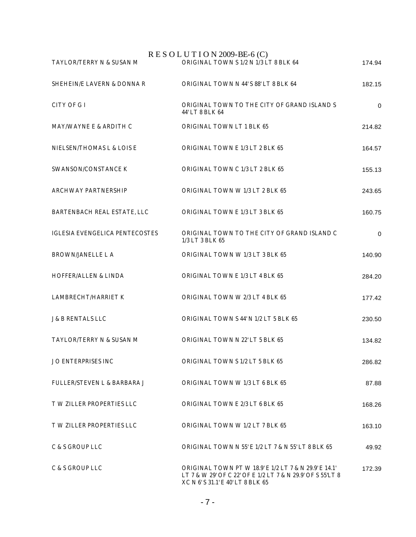|                                       | $R E S O L U T I O N 2009-BE-6 (C)$<br>ORIGINAL TOWN S 1/2 N 1/3 LT 8 BLK 64                                                                             |             |
|---------------------------------------|----------------------------------------------------------------------------------------------------------------------------------------------------------|-------------|
| TAYLOR/TERRY N & SUSAN M              |                                                                                                                                                          | 174.94      |
| <b>SHEHEIN/E LAVERN &amp; DONNA R</b> | ORIGINAL TOWN N 44' S 88' LT 8 BLK 64                                                                                                                    | 182.15      |
| CITY OF G I                           | ORIGINAL TOWN TO THE CITY OF GRAND ISLAND S<br>44' LT 8 BLK 64                                                                                           | $\mathbf 0$ |
| MAY/WAYNE E & ARDITH C                | ORIGINAL TOWN LT 1 BLK 65                                                                                                                                | 214.82      |
| NIELSEN/THOMAS L & LOIS E             | ORIGINAL TOWN E 1/3 LT 2 BLK 65                                                                                                                          | 164.57      |
| SWANSON/CONSTANCE K                   | ORIGINAL TOWN C 1/3 LT 2 BLK 65                                                                                                                          | 155.13      |
| <b>ARCHWAY PARTNERSHIP</b>            | ORIGINAL TOWN W 1/3 LT 2 BLK 65                                                                                                                          | 243.65      |
| BARTENBACH REAL ESTATE, LLC           | ORIGINAL TOWN E 1/3 LT 3 BLK 65                                                                                                                          | 160.75      |
| IGLESIA EVENGELICA PENTECOSTES        | ORIGINAL TOWN TO THE CITY OF GRAND ISLAND C<br>1/3 LT 3 BLK 65                                                                                           | 0           |
| <b>BROWN/JANELLE L A</b>              | ORIGINAL TOWN W 1/3 LT 3 BLK 65                                                                                                                          | 140.90      |
| <b>HOFFER/ALLEN &amp; LINDA</b>       | ORIGINAL TOWN E 1/3 LT 4 BLK 65                                                                                                                          | 284.20      |
| LAMBRECHT/HARRIET K                   | ORIGINAL TOWN W 2/3 LT 4 BLK 65                                                                                                                          | 177.42      |
| <b>J &amp; B RENTALS LLC</b>          | ORIGINAL TOWN S 44' N 1/2 LT 5 BLK 65                                                                                                                    | 230.50      |
| TAYLOR/TERRY N & SUSAN M              | ORIGINAL TOWN N 22' LT 5 BLK 65                                                                                                                          | 134.82      |
| <b>JO ENTERPRISES INC</b>             | ORIGINAL TOWN S 1/2 LT 5 BLK 65                                                                                                                          | 286.82      |
| FULLER/STEVEN L & BARBARA J           | ORIGINAL TOWN W 1/3 LT 6 BLK 65                                                                                                                          | 87.88       |
| T W ZILLER PROPERTIES LLC             | ORIGINAL TOWN E 2/3 LT 6 BLK 65                                                                                                                          | 168.26      |
| T W ZILLER PROPERTIES LLC             | ORIGINAL TOWN W 1/2 LT 7 BLK 65                                                                                                                          | 163.10      |
| C & S GROUP LLC                       | ORIGINAL TOWN N 55' E 1/2 LT 7 & N 55' LT 8 BLK 65                                                                                                       | 49.92       |
| C & S GROUP LLC                       | ORIGINAL TOWN PT W 18.9' E 1/2 LT 7 & N 29.9' E 14.1'<br>LT 7 & W 29' OF C 22' OF E 1/2 LT 7 & N 29.9' OF S 55'LT 8<br>XC N 6' S 31.1' E 40' LT 8 BLK 65 | 172.39      |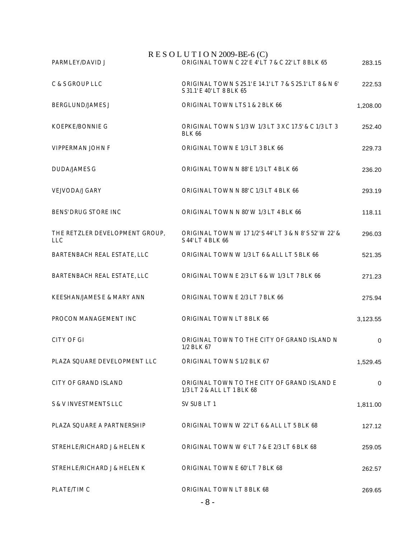|                                              | $RES O L U T I O N 2009-BE-6 (C)$                                                     |          |
|----------------------------------------------|---------------------------------------------------------------------------------------|----------|
| PARMLEY/DAVID J                              | ORIGINAL TOWN C 22' E 4' LT 7 & C 22' LT 8 BLK 65                                     | 283.15   |
| C & S GROUP LLC                              | ORIGINAL TOWN S 25.1' E 14.1' LT 7 & S 25.1' LT 8 & N 6'<br>S 31.1' E 40' LT 8 BLK 65 | 222.53   |
| <b>BERGLUND/JAMES J</b>                      | ORIGINAL TOWN LTS 1 & 2 BLK 66                                                        | 1,208.00 |
| <b>KOEPKE/BONNIE G</b>                       | ORIGINAL TOWN S 1/3 W 1/3 LT 3 XC 17.5' & C 1/3 LT 3<br><b>BLK 66</b>                 | 252.40   |
| <b>VIPPERMAN JOHN F</b>                      | ORIGINAL TOWN E 1/3 LT 3 BLK 66                                                       | 229.73   |
| <b>DUDA/JAMES G</b>                          | ORIGINAL TOWN N 88' E 1/3 LT 4 BLK 66                                                 | 236.20   |
| <b>VEJVODA/J GARY</b>                        | ORIGINAL TOWN N 88' C 1/3 LT 4 BLK 66                                                 | 293.19   |
| BENS' DRUG STORE INC                         | ORIGINAL TOWN N 80' W 1/3 LT 4 BLK 66                                                 | 118.11   |
| THE RETZLER DEVELOPMENT GROUP,<br><b>LLC</b> | ORIGINAL TOWN W 17 1/2' S 44' LT 3 & N 8' S 52' W 22' &<br>S 44' LT 4 BLK 66          | 296.03   |
| BARTENBACH REAL ESTATE, LLC                  | ORIGINAL TOWN W 1/3 LT 6 & ALL LT 5 BLK 66                                            | 521.35   |
| BARTENBACH REAL ESTATE, LLC                  | ORIGINAL TOWN E 2/3 LT 6 & W 1/3 LT 7 BLK 66                                          | 271.23   |
| KEESHAN/JAMES E & MARY ANN                   | ORIGINAL TOWN E 2/3 LT 7 BLK 66                                                       | 275.94   |
| PROCON MANAGEMENT INC                        | ORIGINAL TOWN LT 8 BLK 66                                                             | 3,123.55 |
| CITY OF GI                                   | ORIGINAL TOWN TO THE CITY OF GRAND ISLAND N<br>1/2 BLK 67                             | 0        |
| PLAZA SQUARE DEVELOPMENT LLC                 | ORIGINAL TOWN S 1/2 BLK 67                                                            | 1,529.45 |
| CITY OF GRAND ISLAND                         | ORIGINAL TOWN TO THE CITY OF GRAND ISLAND E<br>1/3 LT 2 & ALL LT 1 BLK 68             | 0        |
| S & V INVESTMENTS LLC                        | SV SUBLT <sub>1</sub>                                                                 | 1,811.00 |
| PLAZA SQUARE A PARTNERSHIP                   | ORIGINAL TOWN W 22' LT 6 & ALL LT 5 BLK 68                                            | 127.12   |
| STREHLE/RICHARD J & HELEN K                  | ORIGINAL TOWN W 6' LT 7 & E 2/3 LT 6 BLK 68                                           | 259.05   |
| STREHLE/RICHARD J & HELEN K                  | ORIGINAL TOWN E 60' LT 7 BLK 68                                                       | 262.57   |
| PLATE/TIM C                                  | ORIGINAL TOWN LT 8 BLK 68<br>$-8-$                                                    | 269.65   |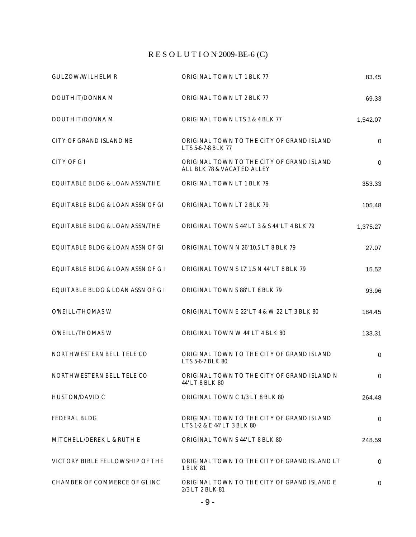| <b>GULZOW/WILHELM R</b>           | ORIGINAL TOWN LT 1 BLK 77                                                | 83.45       |
|-----------------------------------|--------------------------------------------------------------------------|-------------|
| DOUTHIT/DONNA M                   | ORIGINAL TOWN LT 2 BLK 77                                                | 69.33       |
| DOUTHIT/DONNA M                   | ORIGINAL TOWN LTS 3 & 4 BLK 77                                           | 1,542.07    |
| CITY OF GRAND ISLAND NE           | ORIGINAL TOWN TO THE CITY OF GRAND ISLAND<br>LTS 5-6-7-8 BLK 77          | 0           |
| CITY OF GI                        | ORIGINAL TOWN TO THE CITY OF GRAND ISLAND<br>ALL BLK 78 & VACATED ALLEY  | $\mathbf 0$ |
| EQUITABLE BLDG & LOAN ASSN/THE    | ORIGINAL TOWN LT 1 BLK 79                                                | 353.33      |
| EQUITABLE BLDG & LOAN ASSN OF GI  | ORIGINAL TOWN LT 2 BLK 79                                                | 105.48      |
| EQUITABLE BLDG & LOAN ASSN/THE    | ORIGINAL TOWN S 44' LT 3 & S 44' LT 4 BLK 79                             | 1,375.27    |
| EQUITABLE BLDG & LOAN ASSN OF GI  | ORIGINAL TOWN N 26' 10.5 LT 8 BLK 79                                     | 27.07       |
| EQUITABLE BLDG & LOAN ASSN OF G I | ORIGINAL TOWN S 17' 1.5 N 44' LT 8 BLK 79                                | 15.52       |
| EQUITABLE BLDG & LOAN ASSN OF G I | ORIGINAL TOWN S 88' LT 8 BLK 79                                          | 93.96       |
| <b>O'NEILL/THOMAS W</b>           | ORIGINAL TOWN E 22' LT 4 & W 22' LT 3 BLK 80                             | 184.45      |
| O'NEILL/THOMAS W                  | ORIGINAL TOWN W 44' LT 4 BLK 80                                          | 133.31      |
| NORTHWESTERN BELL TELE CO         | ORIGINAL TOWN TO THE CITY OF GRAND ISLAND<br>LTS 5-6-7 BLK 80            | $\mathbf 0$ |
| NORTHWESTERN BELL TELE CO         | ORIGINAL TOWN TO THE CITY OF GRAND ISLAND N<br>44' LT 8 BLK 80           | 0           |
| HUSTON/DAVID C                    | ORIGINAL TOWN C 1/3 LT 8 BLK 80                                          | 264.48      |
| <b>FEDERAL BLDG</b>               | ORIGINAL TOWN TO THE CITY OF GRAND ISLAND<br>LTS 1-2 & E 44' LT 3 BLK 80 | 0           |
| MITCHELL/DEREK L & RUTH E         | ORIGINAL TOWN S 44' LT 8 BLK 80                                          | 248.59      |
| VICTORY BIBLE FELLOWSHIP OF THE   | ORIGINAL TOWN TO THE CITY OF GRAND ISLAND LT<br>1 BLK 81                 | 0           |
| CHAMBER OF COMMERCE OF GI INC     | ORIGINAL TOWN TO THE CITY OF GRAND ISLAND E<br>2/3 LT 2 BLK 81           | 0           |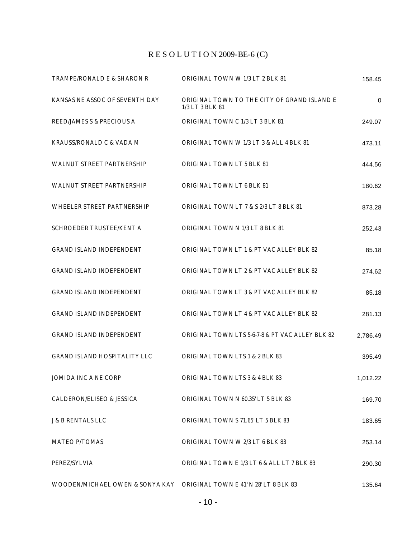| TRAMPE/RONALD E & SHARON R                                            | ORIGINAL TOWN W 1/3 LT 2 BLK 81                                | 158.45    |
|-----------------------------------------------------------------------|----------------------------------------------------------------|-----------|
| KANSAS NE ASSOC OF SEVENTH DAY                                        | ORIGINAL TOWN TO THE CITY OF GRAND ISLAND E<br>1/3 LT 3 BLK 81 | $\pmb{0}$ |
| REED/JAMES S & PRECIOUS A                                             | ORIGINAL TOWN C 1/3 LT 3 BLK 81                                | 249.07    |
| KRAUSS/RONALD C & VADA M                                              | ORIGINAL TOWN W 1/3 LT 3 & ALL 4 BLK 81                        | 473.11    |
| WALNUT STREET PARTNERSHIP                                             | ORIGINAL TOWN LT 5 BLK 81                                      | 444.56    |
| WALNUT STREET PARTNERSHIP                                             | ORIGINAL TOWN LT 6 BLK 81                                      | 180.62    |
| WHEELER STREET PARTNERSHIP                                            | ORIGINAL TOWN LT 7 & S 2/3 LT 8 BLK 81                         | 873.28    |
| SCHROEDER TRUSTEE/KENT A                                              | ORIGINAL TOWN N 1/3 LT 8 BLK 81                                | 252.43    |
| <b>GRAND ISLAND INDEPENDENT</b>                                       | ORIGINAL TOWN LT 1 & PT VAC ALLEY BLK 82                       | 85.18     |
| <b>GRAND ISLAND INDEPENDENT</b>                                       | ORIGINAL TOWN LT 2 & PT VAC ALLEY BLK 82                       | 274.62    |
| <b>GRAND ISLAND INDEPENDENT</b>                                       | ORIGINAL TOWN LT 3 & PT VAC ALLEY BLK 82                       | 85.18     |
| <b>GRAND ISLAND INDEPENDENT</b>                                       | ORIGINAL TOWN LT 4 & PT VAC ALLEY BLK 82                       | 281.13    |
| <b>GRAND ISLAND INDEPENDENT</b>                                       | ORIGINAL TOWN LTS 5-6-7-8 & PT VAC ALLEY BLK 82                | 2,786.49  |
| <b>GRAND ISLAND HOSPITALITY LLC</b>                                   | ORIGINAL TOWN LTS 1 & 2 BLK 83                                 | 395.49    |
| JOMIDA INC A NE CORP                                                  | ORIGINAL TOWN LTS 3 & 4 BLK 83                                 | 1,012.22  |
| CALDERON/ELISEO & JESSICA                                             | ORIGINAL TOWN N 60.35' LT 5 BLK 83                             | 169.70    |
| J & B RENTALS LLC                                                     | ORIGINAL TOWN S 71.65' LT 5 BLK 83                             | 183.65    |
| <b>MATEO P/TOMAS</b>                                                  | ORIGINAL TOWN W 2/3 LT 6 BLK 83                                | 253.14    |
| PEREZ/SYLVIA                                                          | ORIGINAL TOWN E 1/3 LT 6 & ALL LT 7 BLK 83                     | 290.30    |
| WOODEN/MICHAEL OWEN & SONYA KAY ORIGINAL TOWN E 41' N 28' LT 8 BLK 83 |                                                                | 135.64    |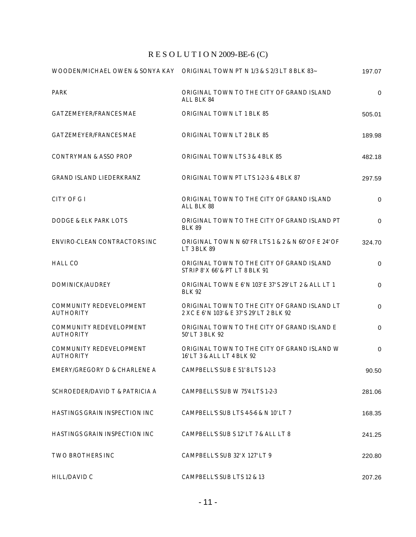|                                                    | WOODEN/MICHAEL OWEN & SONYA KAY ORIGINAL TOWN PT N 1/3 & S 2/3 LT 8 BLK 83~                | 197.07   |
|----------------------------------------------------|--------------------------------------------------------------------------------------------|----------|
| <b>PARK</b>                                        | ORIGINAL TOWN TO THE CITY OF GRAND ISLAND<br>ALL BLK 84                                    | $\Omega$ |
| <b>GATZEMEYER/FRANCES MAE</b>                      | ORIGINAL TOWN LT 1 BLK 85                                                                  | 505.01   |
| <b>GATZEMEYER/FRANCES MAE</b>                      | ORIGINAL TOWN LT 2 BLK 85                                                                  | 189.98   |
| <b>CONTRYMAN &amp; ASSO PROP</b>                   | ORIGINAL TOWN LTS 3 & 4 BLK 85                                                             | 482.18   |
| GRAND ISLAND LIEDERKRANZ                           | ORIGINAL TOWN PT LTS 1-2-3 & 4 BLK 87                                                      | 297.59   |
| CITY OF G I                                        | ORIGINAL TOWN TO THE CITY OF GRAND ISLAND<br>ALL BLK 88                                    | 0        |
| DODGE & ELK PARK LOTS                              | ORIGINAL TOWN TO THE CITY OF GRAND ISLAND PT<br><b>BLK 89</b>                              | 0        |
| ENVIRO-CLEAN CONTRACTORS INC                       | ORIGINAL TOWN N 60' FR LTS 1 & 2 & N 60' OF E 24' OF<br>LT 3 BLK 89                        | 324.70   |
| <b>HALL CO</b>                                     | ORIGINAL TOWN TO THE CITY OF GRAND ISLAND<br>STRIP 8' X 66' & PT LT 8 BLK 91               | $\Omega$ |
| DOMINICK/AUDREY                                    | ORIGINAL TOWN E 6' N 103' E 37' S 29' LT 2 & ALL LT 1<br><b>BLK 92</b>                     | $\Omega$ |
| <b>COMMUNITY REDEVELOPMENT</b><br><b>AUTHORITY</b> | ORIGINAL TOWN TO THE CITY OF GRAND ISLAND LT<br>2 XC E 6' N 103' & E 37' S 29' LT 2 BLK 92 | $\Omega$ |
| <b>COMMUNITY REDEVELOPMENT</b><br><b>AUTHORITY</b> | ORIGINAL TOWN TO THE CITY OF GRAND ISLAND E<br>50' LT 3 BLK 92                             | $\Omega$ |
| <b>COMMUNITY REDEVELOPMENT</b><br><b>AUTHORITY</b> | ORIGINAL TOWN TO THE CITY OF GRAND ISLAND W<br>16' LT 3 & ALL LT 4 BLK 92                  | 0        |
| EMERY/GREGORY D & CHARLENE A                       | CAMPBELL'S SUB E 51' 8 LTS 1-2-3                                                           | 90.50    |
| SCHROEDER/DAVID T & PATRICIA A                     | CAMPBELL'S SUB W 75'4 LTS 1-2-3                                                            | 281.06   |
| HASTINGS GRAIN INSPECTION INC                      | CAMPBELL'S SUB LTS 4-5-6 & N 10' LT 7                                                      | 168.35   |
| HASTINGS GRAIN INSPECTION INC                      | CAMPBELL'S SUB S 12' LT 7 & ALL LT 8                                                       | 241.25   |
| TWO BROTHERS INC                                   | CAMPBELL'S SUB 32' X 127' LT 9                                                             | 220.80   |
| HILL/DAVID C                                       | CAMPBELL'S SUB LTS 12 & 13                                                                 | 207.26   |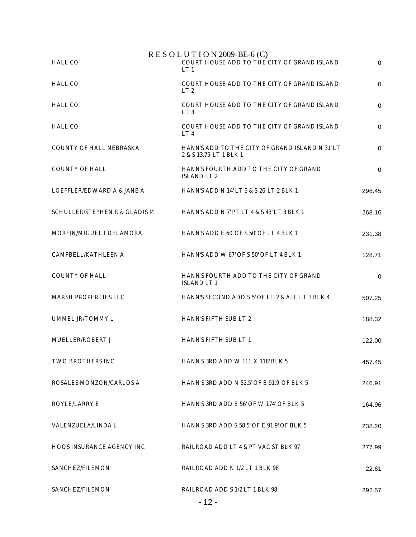| <b>HALL CO</b>                           | RESOLUTION 2009-BE-6 (C)<br>COURT HOUSE ADD TO THE CITY OF GRAND ISLAND<br>LT <sub>1</sub> | $\Omega$    |
|------------------------------------------|--------------------------------------------------------------------------------------------|-------------|
| <b>HALL CO</b>                           | COURT HOUSE ADD TO THE CITY OF GRAND ISLAND<br>LT <sub>2</sub>                             | $\mathbf 0$ |
| <b>HALL CO</b>                           | COURT HOUSE ADD TO THE CITY OF GRAND ISLAND<br>LT <sub>3</sub>                             | $\mathbf 0$ |
| <b>HALL CO</b>                           | COURT HOUSE ADD TO THE CITY OF GRAND ISLAND<br>LT <sub>4</sub>                             | $\mathbf 0$ |
| COUNTY OF HALL NEBRASKA                  | HANN'S ADD TO THE CITY OF GRAND ISLAND N 31'LT<br>2 & S 13.75' LT 1 BLK 1                  | $\mathbf 0$ |
| <b>COUNTY OF HALL</b>                    | HANN'S FOURTH ADD TO THE CITY OF GRAND<br><b>ISLAND LT 2</b>                               | 0           |
| LOEFFLER/EDWARD A & JANE A               | <b>HANN'S ADD N 14' LT 3 &amp; S 26' LT 2 BLK 1</b>                                        | 298.45      |
| <b>SCHULLER/STEPHEN R &amp; GLADIS M</b> | HANN'S ADD N 7' PT LT 4 & S 43' LT 3 BLK 1                                                 | 268.16      |
| MORFIN/MIGUEL I DELAMORA                 | HANN'S ADD E 60' OF S 50' OF LT 4 BLK 1                                                    | 231.38      |
| CAMPBELL/KATHLEEN A                      | HANN'S ADD W 67' OF S 50' OF LT 4 BLK 1                                                    | 128.71      |
| <b>COUNTY OF HALL</b>                    | HANN'S FOURTH ADD TO THE CITY OF GRAND<br><b>ISLAND LT 1</b>                               | $\mathbf 0$ |
| MARSH PROPERTIES LLC                     | HANN'S SECOND ADD S 5' OF LT 2 & ALL LT 3 BLK 4                                            | 507.25      |
| UMMEL JR/TOMMY L                         | <b>HANN'S FIFTH SUBLT 2</b>                                                                | 188.32      |
| MUELLER/ROBERT J                         | HANN'S FIFTH SUB LT 1                                                                      | 122.00      |
| TWO BROTHERS INC                         | HANN'S 3RD ADD W 111' X 118' BLK 5                                                         | 457.45      |
| ROSALES-MONZON/CARLOS A                  | <b>HANN'S 3RD ADD N 52.5' OF E 91.9' OF BLK 5</b>                                          | 246.91      |
| <b>ROYLE/LARRY E</b>                     | HANN'S 3RD ADD E 56' OF W 174' OF BLK 5                                                    | 164.96      |
| VALENZUELA/LINDA L                       | HANN'S 3RD ADD S 58.5' OF E 91.9' OF BLK 5                                                 | 238.20      |
| <b>HOOS INSURANCE AGENCY INC</b>         | RAILROAD ADD LT 4 & PT VAC ST BLK 97                                                       | 277.99      |
| SANCHEZ/FILEMON                          | RAILROAD ADD N 1/2 LT 1 BLK 98                                                             | 22.61       |
| SANCHEZ/FILEMON                          | RAILROAD ADD S 1/2 LT 1 BLK 98<br>$-12-$                                                   | 292.57      |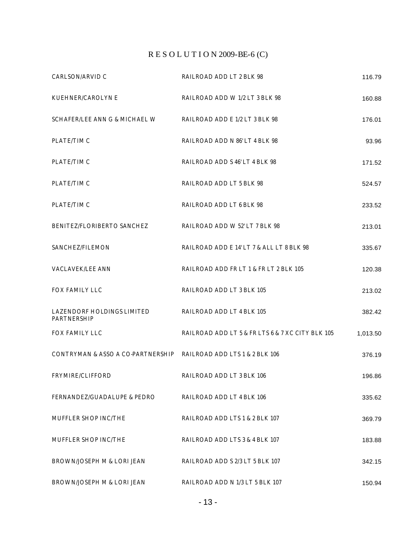| CARLSON/ARVID C                                                  | RAILROAD ADD LT 2 BLK 98                         | 116.79   |
|------------------------------------------------------------------|--------------------------------------------------|----------|
| KUEHNER/CAROLYN E                                                | RAILROAD ADD W 1/2 LT 3 BLK 98                   | 160.88   |
| SCHAFER/LEE ANN G & MICHAEL W                                    | RAILROAD ADD E 1/2 LT 3 BLK 98                   | 176.01   |
| PLATE/TIM C                                                      | RAILROAD ADD N 86' LT 4 BLK 98                   | 93.96    |
| PLATE/TIM C                                                      | RAILROAD ADD S 46' LT 4 BLK 98                   | 171.52   |
| PLATE/TIM C                                                      | RAILROAD ADD LT 5 BLK 98                         | 524.57   |
| PLATE/TIM C                                                      | RAILROAD ADD LT 6 BLK 98                         | 233.52   |
| BENITEZ/FLORIBERTO SANCHEZ                                       | RAILROAD ADD W 52' LT 7 BLK 98                   | 213.01   |
| SANCHEZ/FILEMON                                                  | RAILROAD ADD E 14' LT 7 & ALL LT 8 BLK 98        | 335.67   |
| <b>VACLAVEK/LEE ANN</b>                                          | RAILROAD ADD FR LT 1 & FR LT 2 BLK 105           | 120.38   |
| <b>FOX FAMILY LLC</b>                                            | RAILROAD ADD LT 3 BLK 105                        | 213.02   |
| LAZENDORF HOLDINGS LIMITED<br><b>PARTNERSHIP</b>                 | RAILROAD ADD LT 4 BLK 105                        | 382.42   |
| FOX FAMILY LLC                                                   | RAILROAD ADD LT 5 & FR LTS 6 & 7 XC CITY BLK 105 | 1,013.50 |
| CONTRYMAN & ASSO A CO-PARTNERSHIP RAILROAD ADD LTS 1 & 2 BLK 106 |                                                  | 376.19   |
| FRYMIRE/CLIFFORD                                                 | RAILROAD ADD LT 3 BLK 106                        | 196.86   |
| <b>FERNANDEZ/GUADALUPE &amp; PEDRO</b>                           | RAILROAD ADD LT 4 BLK 106                        | 335.62   |
| MUFFLER SHOP INC/THE                                             | RAILROAD ADD LTS 1 & 2 BLK 107                   | 369.79   |
| MUFFLER SHOP INC/THE                                             | RAILROAD ADD LTS 3 & 4 BLK 107                   | 183.88   |
| BROWN/JOSEPH M & LORI JEAN                                       | RAILROAD ADD S 2/3 LT 5 BLK 107                  | 342.15   |
| BROWN/JOSEPH M & LORI JEAN                                       | RAILROAD ADD N 1/3 LT 5 BLK 107                  | 150.94   |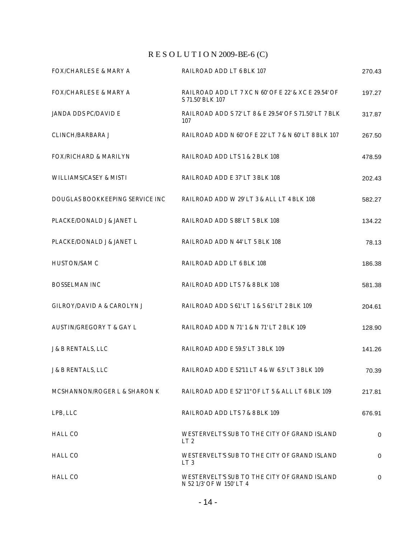| <b>FOX/CHARLES E &amp; MARY A</b>     | RAILROAD ADD LT 6 BLK 107                                                | 270.43   |
|---------------------------------------|--------------------------------------------------------------------------|----------|
| <b>FOX/CHARLES E &amp; MARY A</b>     | RAILROAD ADD LT 7 XC N 60' OF E 22' & XC E 29.54' OF<br>S 71.50' BLK 107 | 197.27   |
| JANDA DDS PC/DAVID E                  | RAILROAD ADD S 72' LT 8 & E 29.54' OF S 71.50' LT 7 BLK<br>107           | 317.87   |
| CLINCH/BARBARA J                      | RAILROAD ADD N 60' OF E 22' LT 7 & N 60' LT 8 BLK 107                    | 267.50   |
| <b>FOX/RICHARD &amp; MARILYN</b>      | RAILROAD ADD LTS 1 & 2 BLK 108                                           | 478.59   |
| WILLIAMS/CASEY & MISTI                | RAILROAD ADD E 37' LT 3 BLK 108                                          | 202.43   |
| DOUGLAS BOOKKEEPING SERVICE INC       | RAILROAD ADD W 29' LT 3 & ALL LT 4 BLK 108                               | 582.27   |
| PLACKE/DONALD J & JANET L             | RAILROAD ADD S 88' LT 5 BLK 108                                          | 134.22   |
| PLACKE/DONALD J & JANET L             | RAILROAD ADD N 44' LT 5 BLK 108                                          | 78.13    |
| HUSTON/SAM C                          | RAILROAD ADD LT 6 BLK 108                                                | 186.38   |
| <b>BOSSELMAN INC</b>                  | RAILROAD ADD LTS 7 & 8 BLK 108                                           | 581.38   |
| <b>GILROY/DAVID A &amp; CAROLYN J</b> | RAILROAD ADD S 61' LT 1 & S 61' LT 2 BLK 109                             | 204.61   |
| AUSTIN/GREGORY T & GAY L              | RAILROAD ADD N 71' 1 & N 71' LT 2 BLK 109                                | 128.90   |
| <b>J &amp; B RENTALS, LLC</b>         | RAILROAD ADD E 59.5' LT 3 BLK 109                                        | 141.26   |
| J & B RENTALS, LLC                    | RAILROAD ADD E 52'11 LT 4 & W 6.5' LT 3 BLK 109                          | 70.39    |
| MCSHANNON/ROGER L & SHARON K          | RAILROAD ADD E 52' 11" OF LT 5 & ALL LT 6 BLK 109                        | 217.81   |
| LPB, LLC                              | RAILROAD ADD LTS 7 & 8 BLK 109                                           | 676.91   |
| <b>HALL CO</b>                        | WESTERVELT'S SUB TO THE CITY OF GRAND ISLAND<br>LT <sub>2</sub>          | 0        |
| <b>HALL CO</b>                        | WESTERVELT'S SUB TO THE CITY OF GRAND ISLAND<br>LT <sub>3</sub>          | $\Omega$ |
| <b>HALL CO</b>                        | WESTERVELT'S SUB TO THE CITY OF GRAND ISLAND<br>N 52 1/3' OF W 150' LT 4 | 0        |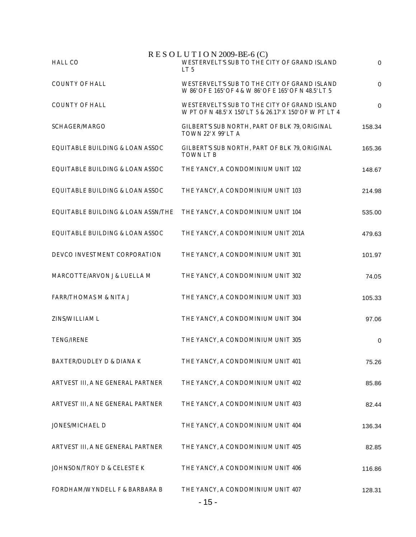| <b>HALL CO</b>                     | $RES O L U T I O N 2009-BE-6 (C)$<br>WESTERVELT'S SUB TO THE CITY OF GRAND ISLAND<br>LT <sub>5</sub>     | $\mathbf 0$ |
|------------------------------------|----------------------------------------------------------------------------------------------------------|-------------|
| <b>COUNTY OF HALL</b>              | WESTERVELT'S SUB TO THE CITY OF GRAND ISLAND<br>W 86' OF E 165' OF 4 & W 86' OF E 165' OF N 48.5' LT 5   | $\mathbf 0$ |
| <b>COUNTY OF HALL</b>              | WESTERVELT'S SUB TO THE CITY OF GRAND ISLAND<br>W PT OF N 48.5' X 150' LT 5 & 26.17' X 150' OF W PT LT 4 | $\mathbf 0$ |
| SCHAGER/MARGO                      | GILBERT'S SUB NORTH, PART OF BLK 79, ORIGINAL<br>TOWN 22' X 99' LT A                                     | 158.34      |
| EQUITABLE BUILDING & LOAN ASSOC    | GILBERT'S SUB NORTH, PART OF BLK 79, ORIGINAL<br>TOWN LT B                                               | 165.36      |
| EQUITABLE BUILDING & LOAN ASSOC    | THE YANCY, A CONDOMINIUM UNIT 102                                                                        | 148.67      |
| EQUITABLE BUILDING & LOAN ASSOC    | THE YANCY, A CONDOMINIUM UNIT 103                                                                        | 214.98      |
| EQUITABLE BUILDING & LOAN ASSN/THE | THE YANCY, A CONDOMINIUM UNIT 104                                                                        | 535.00      |
| EQUITABLE BUILDING & LOAN ASSOC    | THE YANCY, A CONDOMINIUM UNIT 201A                                                                       | 479.63      |
| DEVCO INVESTMENT CORPORATION       | THE YANCY, A CONDOMINIUM UNIT 301                                                                        | 101.97      |
| MARCOTTE/ARVON J & LUELLA M        | THE YANCY, A CONDOMINIUM UNIT 302                                                                        | 74.05       |
| <b>FARR/THOMAS M &amp; NITA J</b>  | THE YANCY, A CONDOMINIUM UNIT 303                                                                        | 105.33      |
| ZINS/WILLIAM L                     | THE YANCY, A CONDOMINIUM UNIT 304                                                                        | 97.06       |
| <b>TENG/IRENE</b>                  | THE YANCY, A CONDOMINIUM UNIT 305                                                                        | 0           |
| BAXTER/DUDLEY D & DIANA K          | THE YANCY, A CONDOMINIUM UNIT 401                                                                        | 75.26       |
| ARTVEST III, A NE GENERAL PARTNER  | THE YANCY, A CONDOMINIUM UNIT 402                                                                        | 85.86       |
| ARTVEST III, A NE GENERAL PARTNER  | THE YANCY, A CONDOMINIUM UNIT 403                                                                        | 82.44       |
| <b>JONES/MICHAEL D</b>             | THE YANCY, A CONDOMINIUM UNIT 404                                                                        | 136.34      |
| ARTVEST III, A NE GENERAL PARTNER  | THE YANCY, A CONDOMINIUM UNIT 405                                                                        | 82.85       |
| JOHNSON/TROY D & CELESTE K         | THE YANCY, A CONDOMINIUM UNIT 406                                                                        | 116.86      |
| FORDHAM/WYNDELL F & BARBARA B      | THE YANCY, A CONDOMINIUM UNIT 407<br>$-15-$                                                              | 128.31      |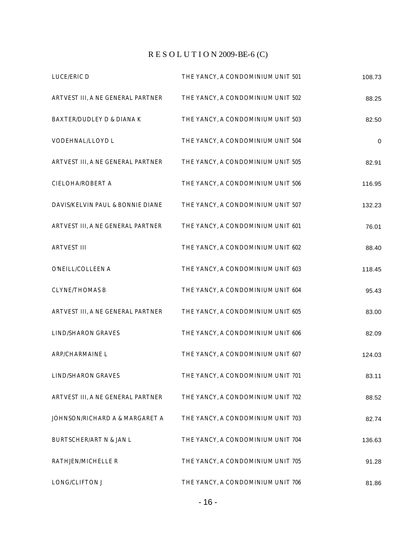| LUCE/ERIC D                        | THE YANCY, A CONDOMINIUM UNIT 501 | 108.73    |
|------------------------------------|-----------------------------------|-----------|
| ARTVEST III, A NE GENERAL PARTNER  | THE YANCY, A CONDOMINIUM UNIT 502 | 88.25     |
| BAXTER/DUDLEY D & DIANA K          | THE YANCY, A CONDOMINIUM UNIT 503 | 82.50     |
| VODEHNAL/LLOYD L                   | THE YANCY, A CONDOMINIUM UNIT 504 | $\pmb{0}$ |
| ARTVEST III, A NE GENERAL PARTNER  | THE YANCY, A CONDOMINIUM UNIT 505 | 82.91     |
| CIELOHA/ROBERT A                   | THE YANCY, A CONDOMINIUM UNIT 506 | 116.95    |
| DAVIS/KELVIN PAUL & BONNIE DIANE   | THE YANCY, A CONDOMINIUM UNIT 507 | 132.23    |
| ARTVEST III, A NE GENERAL PARTNER  | THE YANCY, A CONDOMINIUM UNIT 601 | 76.01     |
| <b>ARTVEST III</b>                 | THE YANCY, A CONDOMINIUM UNIT 602 | 88.40     |
| O'NEILL/COLLEEN A                  | THE YANCY, A CONDOMINIUM UNIT 603 | 118.45    |
| <b>CLYNE/THOMAS B</b>              | THE YANCY, A CONDOMINIUM UNIT 604 | 95.43     |
| ARTVEST III, A NE GENERAL PARTNER  | THE YANCY, A CONDOMINIUM UNIT 605 | 83.00     |
| <b>LIND/SHARON GRAVES</b>          | THE YANCY, A CONDOMINIUM UNIT 606 | 82.09     |
| ARP/CHARMAINE L                    | THE YANCY, A CONDOMINIUM UNIT 607 | 124.03    |
| <b>LIND/SHARON GRAVES</b>          | THE YANCY, A CONDOMINIUM UNIT 701 | 83.11     |
| ARTVEST III, A NE GENERAL PARTNER  | THE YANCY, A CONDOMINIUM UNIT 702 | 88.52     |
| JOHNSON/RICHARD A & MARGARET A     | THE YANCY, A CONDOMINIUM UNIT 703 | 82.74     |
| <b>BURTSCHER/ART N &amp; JAN L</b> | THE YANCY, A CONDOMINIUM UNIT 704 | 136.63    |
| RATHJEN/MICHELLE R                 | THE YANCY, A CONDOMINIUM UNIT 705 | 91.28     |
| <b>LONG/CLIFTON J</b>              | THE YANCY, A CONDOMINIUM UNIT 706 | 81.86     |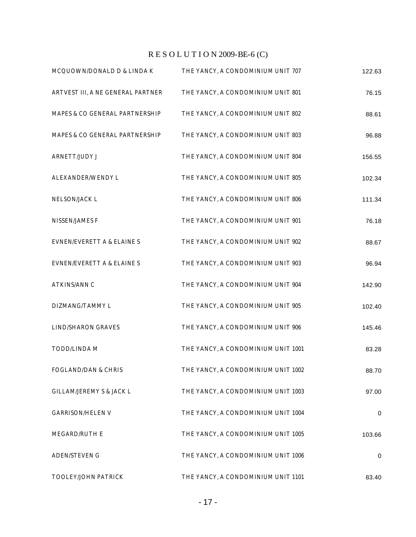| MCQUOWN/DONALD D & LINDA K          | THE YANCY, A CONDOMINIUM UNIT 707  | 122.63      |
|-------------------------------------|------------------------------------|-------------|
| ARTVEST III, A NE GENERAL PARTNER   | THE YANCY, A CONDOMINIUM UNIT 801  | 76.15       |
| MAPES & CO GENERAL PARTNERSHIP      | THE YANCY, A CONDOMINIUM UNIT 802  | 88.61       |
| MAPES & CO GENERAL PARTNERSHIP      | THE YANCY, A CONDOMINIUM UNIT 803  | 96.88       |
| ARNETT/JUDY J                       | THE YANCY, A CONDOMINIUM UNIT 804  | 156.55      |
| ALEXANDER/WENDY L                   | THE YANCY, A CONDOMINIUM UNIT 805  | 102.34      |
| NELSON/JACK L                       | THE YANCY, A CONDOMINIUM UNIT 806  | 111.34      |
| NISSEN/JAMES F                      | THE YANCY, A CONDOMINIUM UNIT 901  | 76.18       |
| EVNEN/EVERETT A & ELAINE S          | THE YANCY, A CONDOMINIUM UNIT 902  | 88.67       |
| EVNEN/EVERETT A & ELAINE S          | THE YANCY, A CONDOMINIUM UNIT 903  | 96.94       |
| <b>ATKINS/ANN C</b>                 | THE YANCY, A CONDOMINIUM UNIT 904  | 142.90      |
| DIZMANG/TAMMY L                     | THE YANCY, A CONDOMINIUM UNIT 905  | 102.40      |
| <b>LIND/SHARON GRAVES</b>           | THE YANCY, A CONDOMINIUM UNIT 906  | 145.46      |
| TODD/LINDA M                        | THE YANCY, A CONDOMINIUM UNIT 1001 | 83.28       |
| <b>FOGLAND/DAN &amp; CHRIS</b>      | THE YANCY, A CONDOMINIUM UNIT 1002 | 88.70       |
| <b>GILLAM/JEREMY S &amp; JACK L</b> | THE YANCY, A CONDOMINIUM UNIT 1003 | 97.00       |
| <b>GARRISON/HELEN V</b>             | THE YANCY, A CONDOMINIUM UNIT 1004 | $\mathbf 0$ |
| MEGARD/RUTH E                       | THE YANCY, A CONDOMINIUM UNIT 1005 | 103.66      |
| <b>ADEN/STEVEN G</b>                | THE YANCY, A CONDOMINIUM UNIT 1006 | 0           |
| TOOLEY/JOHN PATRICK                 | THE YANCY, A CONDOMINIUM UNIT 1101 | 83.40       |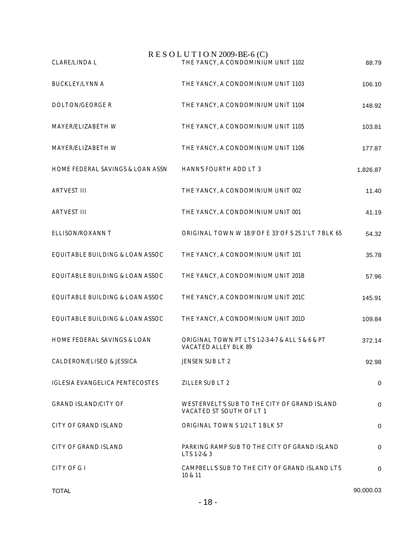| <b>CLARE/LINDA L</b>                   | $R E S O L U T I O N 2009-BE-6 (C)$<br>THE YANCY, A CONDOMINIUM UNIT 1102 | 88.79     |
|----------------------------------------|---------------------------------------------------------------------------|-----------|
| <b>BUCKLEY/LYNN A</b>                  | THE YANCY, A CONDOMINIUM UNIT 1103                                        | 106.10    |
| DOLTON/GEORGE R                        | THE YANCY, A CONDOMINIUM UNIT 1104                                        | 148.92    |
| MAYER/ELIZABETH W                      | THE YANCY, A CONDOMINIUM UNIT 1105                                        | 103.81    |
| MAYER/ELIZABETH W                      | THE YANCY, A CONDOMINIUM UNIT 1106                                        | 177.87    |
| HOME FEDERAL SAVINGS & LOAN ASSN       | HANN'S FOURTH ADD LT 3                                                    | 1,826.87  |
| <b>ARTVEST III</b>                     | THE YANCY, A CONDOMINIUM UNIT 002                                         | 11.40     |
| <b>ARTVEST III</b>                     | THE YANCY, A CONDOMINIUM UNIT 001                                         | 41.19     |
| ELLISON/ROXANN T                       | ORIGINAL TOWN W 18.9' OF E 33' OF S 25.1' LT 7 BLK 65                     | 54.32     |
| EQUITABLE BUILDING & LOAN ASSOC        | THE YANCY, A CONDOMINIUM UNIT 101                                         | 35.78     |
| EQUITABLE BUILDING & LOAN ASSOC        | THE YANCY, A CONDOMINIUM UNIT 201B                                        | 57.96     |
| EQUITABLE BUILDING & LOAN ASSOC        | THE YANCY, A CONDOMINIUM UNIT 201C                                        | 145.91    |
| EQUITABLE BUILDING & LOAN ASSOC        | THE YANCY, A CONDOMINIUM UNIT 201D                                        | 109.84    |
| <b>HOME FEDERAL SAVINGS &amp; LOAN</b> | ORIGINAL TOWN PT LTS 1-2-3-4-7 & ALL 5 & 6 & PT<br>VACATED ALLEY BLK 89   | 372.14    |
| <b>CALDERON/ELISEO &amp; JESSICA</b>   | <b>JENSEN SUBLT 2</b>                                                     | 92.98     |
| <b>IGLESIA EVANGELICA PENTECOSTES</b>  | ZILLER SUBLT 2                                                            | 0         |
| <b>GRAND ISLAND/CITY OF</b>            | WESTERVELT'S SUB TO THE CITY OF GRAND ISLAND<br>VACATED ST SOUTH OF LT 1  | 0         |
| CITY OF GRAND ISLAND                   | ORIGINAL TOWN S 1/2 LT 1 BLK 57                                           | 0         |
| <b>CITY OF GRAND ISLAND</b>            | PARKING RAMP SUB TO THE CITY OF GRAND ISLAND<br>LTS 1-2-& 3               | 0         |
| CITY OF G I                            | CAMPBELL'S SUB TO THE CITY OF GRAND ISLAND LTS<br>10 & 11                 | 0         |
| <b>TOTAL</b>                           |                                                                           | 90,000.03 |